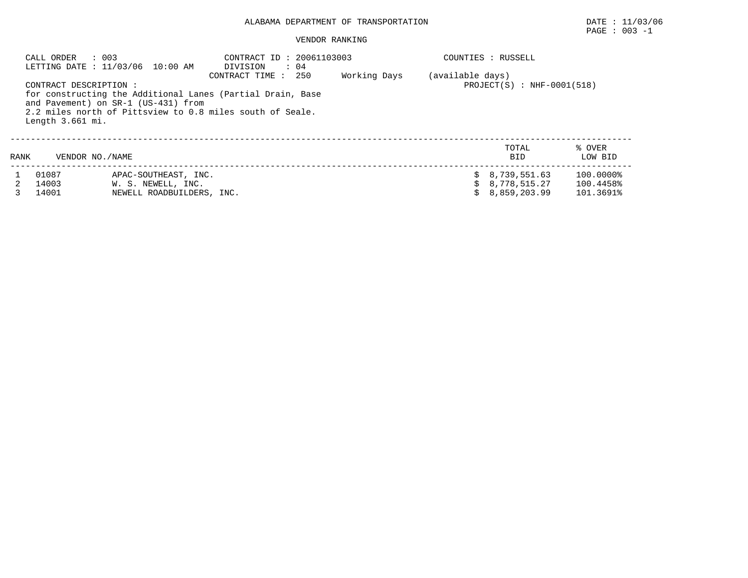## ALABAMA DEPARTMENT OF TRANSPORTATION DATE : 11/03/06

#### VENDOR RANKING

|      | $\therefore$ 003<br>CALL ORDER             | LETTING DATE : 11/03/06 10:00 AM                                                                                                                               | CONTRACT ID: 20061103003<br>DIVISION<br>$\therefore$ 04 |     |              |                  | COUNTIES : RUSSELL                               |                                     |
|------|--------------------------------------------|----------------------------------------------------------------------------------------------------------------------------------------------------------------|---------------------------------------------------------|-----|--------------|------------------|--------------------------------------------------|-------------------------------------|
|      | CONTRACT DESCRIPTION :<br>Length 3.661 mi. | for constructing the Additional Lanes (Partial Drain, Base<br>and Pavement) on SR-1 (US-431) from<br>2.2 miles north of Pittsview to 0.8 miles south of Seale. | CONTRACT TIME:                                          | 250 | Working Days | (available days) | $PROJECT(S)$ : NHF-0001(518)                     |                                     |
| RANK | VENDOR NO./NAME                            |                                                                                                                                                                |                                                         |     |              |                  | TOTAL<br>BID                                     | % OVER<br>LOW BID                   |
|      | 01087<br>14003<br>14001                    | APAC-SOUTHEAST, INC.<br>W. S. NEWELL, INC.<br>NEWELL ROADBUILDERS, INC.                                                                                        |                                                         |     |              |                  | \$8,739,551.63<br>\$8,778,515.27<br>8,859,203.99 | 100.0000%<br>100.4458%<br>101.3691% |

 $\texttt{PAGE}$  : 003 -1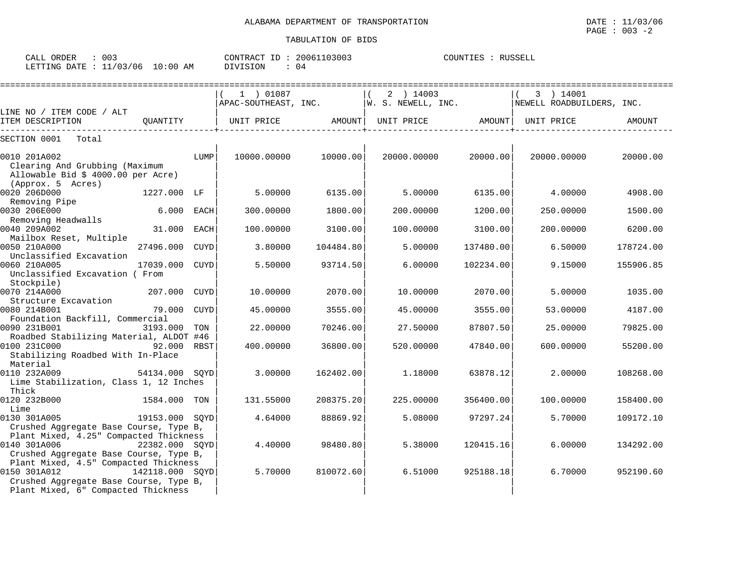| 003<br>CALL ORDER               |          | CONTRACT ID: 20061103003 | COUNTIES : RUSSELL |
|---------------------------------|----------|--------------------------|--------------------|
| LETTING DATE: 11/03/06 10:00 AM | DIVISION | 04                       |                    |

|                                                                                                  |                 |      | 1 ) 01087<br>APAC-SOUTHEAST, INC. |           | 2 ) 14003<br>W. S. NEWELL, INC. |           | 3 ) 14001<br>NEWELL ROADBUILDERS, INC. |               |
|--------------------------------------------------------------------------------------------------|-----------------|------|-----------------------------------|-----------|---------------------------------|-----------|----------------------------------------|---------------|
| LINE NO / ITEM CODE / ALT                                                                        |                 |      |                                   |           |                                 |           |                                        |               |
| ITEM DESCRIPTION                                                                                 | OUANTITY        |      | UNIT PRICE                        | AMOUNT    | UNIT PRICE                      | AMOUNT    | UNIT PRICE                             | <b>AMOUNT</b> |
| SECTION 0001<br>Total                                                                            |                 |      |                                   |           |                                 |           |                                        |               |
| 0010 201A002<br>Clearing And Grubbing (Maximum<br>Allowable Bid \$ 4000.00 per Acre)             |                 | LUMP | 10000.00000                       | 10000.00  | 20000.00000                     | 20000.00  | 20000.00000                            | 20000.00      |
| (Approx. 5 Acres)<br>0020 206D000                                                                | 1227.000 LF     |      | 5.00000                           | 6135.00   | 5.00000                         | 6135.00   | 4.00000                                | 4908.00       |
| Removing Pipe<br>0030 206E000<br>Removing Headwalls                                              | 6.000           | EACH | 300.00000                         | 1800.00   | 200.00000                       | 1200.00   | 250.00000                              | 1500.00       |
| 0040 209A002<br>Mailbox Reset, Multiple                                                          | 31.000          | EACH | 100.00000                         | 3100.00   | 100.00000                       | 3100.00   | 200.00000                              | 6200.00       |
| 0050 210A000<br>Unclassified Excavation                                                          | 27496.000       | CUYD | 3.80000                           | 104484.80 | 5.00000                         | 137480.00 | 6.50000                                | 178724.00     |
| 0060 210A005<br>Unclassified Excavation ( From<br>Stockpile)                                     | 17039.000       | CUYD | 5.50000                           | 93714.50  | 6,00000                         | 102234.00 | 9.15000                                | 155906.85     |
| 0070 214A000<br>Structure Excavation                                                             | 207.000         | CUYD | 10.00000                          | 2070.00   | 10.00000                        | 2070.00   | 5.00000                                | 1035.00       |
| 0080 214B001<br>Foundation Backfill, Commercial                                                  | 79.000          | CUYD | 45.00000                          | 3555.00   | 45.00000                        | 3555.00   | 53.00000                               | 4187.00       |
| 0090 231B001<br>Roadbed Stabilizing Material, ALDOT #46                                          | 3193.000        | TON  | 22.00000                          | 70246.00  | 27.50000                        | 87807.50  | 25.00000                               | 79825.00      |
| 0100 231C000<br>92.000 RBST<br>Stabilizing Roadbed With In-Place<br>Material                     |                 |      | 400.00000                         | 36800.00  | 520.00000                       | 47840.00  | 600,00000                              | 55200.00      |
| 0110 232A009<br>Lime Stabilization, Class 1, 12 Inches<br>Thick                                  | 54134.000 SOYD  |      | 3.00000                           | 162402.00 | 1.18000                         | 63878.12  | 2.00000                                | 108268.00     |
| 0120 232B000<br>Lime                                                                             | 1584.000        | TON  | 131.55000                         | 208375.20 | 225,00000                       | 356400.00 | 100,00000                              | 158400.00     |
| 0130 301A005<br>Crushed Aggregate Base Course, Type B,<br>Plant Mixed, 4.25" Compacted Thickness | 19153.000 SOYD  |      | 4.64000                           | 88869.92  | 5.08000                         | 97297.24  | 5.70000                                | 109172.10     |
| 0140 301A006<br>Crushed Aggregate Base Course, Type B,<br>Plant Mixed, 4.5" Compacted Thickness  | 22382.000 SOYD  |      | 4.40000                           | 98480.80  | 5.38000                         | 120415.16 | 6.00000                                | 134292.00     |
| 0150 301A012<br>Crushed Aggregate Base Course, Type B,<br>Plant Mixed, 6" Compacted Thickness    | 142118.000 SQYD |      | 5.70000                           | 810072.60 | 6.51000                         | 925188.18 | 6.70000                                | 952190.60     |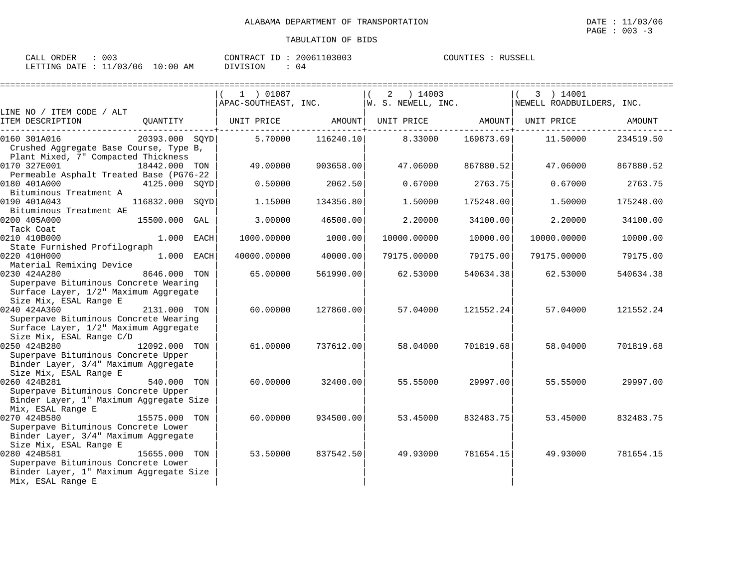| ORDER<br>CALL | 003      |             | CONTRACT<br>ID | 20061103003 | COUNTIES | RUSSELL |
|---------------|----------|-------------|----------------|-------------|----------|---------|
| LETTING DATE  | 11/03/06 | 10:00<br>AΜ | DIVISION       | 04          |          |         |

|                                                                                                                          |                 |      | 1 ) 01087<br>$APAC-SOUTHEAST, INC.$ W. S. NEWELL, INC. |           | $2 \t14003$ |                                   | 3 ) 14001<br>NEWELL ROADBUILDERS, INC. |           |
|--------------------------------------------------------------------------------------------------------------------------|-----------------|------|--------------------------------------------------------|-----------|-------------|-----------------------------------|----------------------------------------|-----------|
| LINE NO / ITEM CODE / ALT                                                                                                |                 |      |                                                        |           |             |                                   |                                        |           |
| ITEM DESCRIPTION                                                                                                         | QUANTITY        |      | UNIT PRICE                                             | AMOUNT    |             | UNIT PRICE AMOUNT<br>---------+-- | UNIT PRICE                             | AMOUNT    |
| 0160 301A016<br>Crushed Aggregate Base Course, Type B,<br>Plant Mixed, 7" Compacted Thickness                            | 20393.000 SOYD  |      | 5.70000                                                | 116240.10 | 8.33000     | 169873.69                         | 11.50000                               | 234519.50 |
| 0170 327E001<br>Permeable Asphalt Treated Base (PG76-22                                                                  | 18442.000 TON   |      | 49.00000                                               | 903658.00 | 47.06000    | 867880.52                         | 47.06000                               | 867880.52 |
| 0180 401A000<br>Bituminous Treatment A                                                                                   | 4125.000 SOYD   |      | 0.50000                                                | 2062.50   | 0.67000     | 2763.75                           | 0.67000                                | 2763.75   |
| 0190 401A043<br>Bituminous Treatment AE                                                                                  | 116832.000 SOYD |      | 1.15000                                                | 134356.80 | 1.50000     | 175248.00                         | 1.50000                                | 175248.00 |
| 0200 405A000<br>Tack Coat                                                                                                | 15500.000       | GAL  | 3.00000                                                | 46500.00  | 2.20000     | 34100.00                          | 2.20000                                | 34100.00  |
| 0210 410B000<br>State Furnished Profilograph                                                                             | 1.000 EACH      |      | 1000.00000                                             | 1000.00   | 10000.00000 | 10000.00                          | 10000.00000                            | 10000.00  |
| 0220 410H000<br>Material Remixing Device                                                                                 | 1.000           | EACH | 40000.00000                                            | 40000.00  | 79175.00000 | 79175.00                          | 79175.00000                            | 79175.00  |
| 0230 424A280<br>Superpave Bituminous Concrete Wearing<br>Surface Layer, 1/2" Maximum Aggregate                           | 8646.000        | TON  | 65,00000                                               | 561990.00 | 62.53000    | 540634.38                         | 62.53000                               | 540634.38 |
| Size Mix, ESAL Range E<br>0240 424A360<br>Superpave Bituminous Concrete Wearing                                          | 2131.000 TON    |      | 60.00000                                               | 127860.00 | 57.04000    | 121552.24                         | 57.04000                               | 121552.24 |
| Surface Layer, 1/2" Maximum Aggregate<br>Size Mix, ESAL Range C/D<br>0250 424B280<br>Superpave Bituminous Concrete Upper | 12092.000 TON   |      | 61,00000                                               | 737612.00 | 58.04000    | 701819.68                         | 58.04000                               | 701819.68 |
| Binder Layer, 3/4" Maximum Aggregate<br>Size Mix, ESAL Range E<br>0260 424B281                                           | 540.000 TON     |      | 60.00000                                               | 32400.00  | 55.55000    | 29997.00                          | 55.55000                               | 29997.00  |
| Superpave Bituminous Concrete Upper<br>Binder Layer, 1" Maximum Aggregate Size<br>Mix, ESAL Range E                      |                 |      |                                                        |           |             |                                   |                                        |           |
| 0270 424B580<br>Superpave Bituminous Concrete Lower<br>Binder Layer, 3/4" Maximum Aggregate                              | 15575.000 TON   |      | 60.00000                                               | 934500.00 | 53.45000    | 832483.75                         | 53.45000                               | 832483.75 |
| Size Mix, ESAL Range E<br>0280 424B581<br>Superpave Bituminous Concrete Lower<br>Binder Layer, 1" Maximum Aggregate Size | 15655.000 TON   |      | 53.50000                                               | 837542.50 | 49.93000    | 781654.15                         | 49.93000                               | 781654.15 |
| Mix, ESAL Range E                                                                                                        |                 |      |                                                        |           |             |                                   |                                        |           |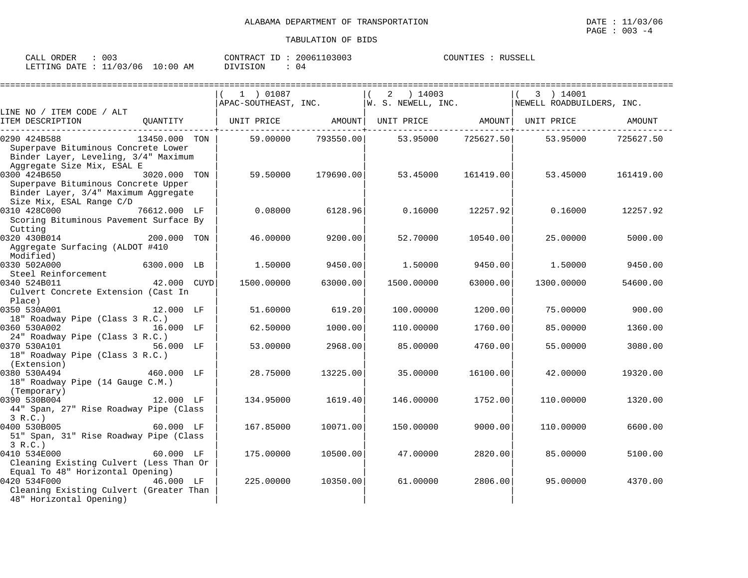| CALL ORDER                       | 003 |          | CONTRACT ID: 20061103003 | COUNTIES | RUSSELL |
|----------------------------------|-----|----------|--------------------------|----------|---------|
| LETTING DATE : 11/03/06 10:00 AM |     | DIVISION | 04                       |          |         |

|                                                          |               |      | 1 ) 01087            |           | 2<br>) 14003       |           | 3 ) 14001                 |           |
|----------------------------------------------------------|---------------|------|----------------------|-----------|--------------------|-----------|---------------------------|-----------|
|                                                          |               |      | APAC-SOUTHEAST, INC. |           | W. S. NEWELL, INC. |           | NEWELL ROADBUILDERS, INC. |           |
| LINE NO / ITEM CODE / ALT                                |               |      |                      |           |                    |           |                           |           |
| ITEM DESCRIPTION                                         | QUANTITY      |      | UNIT PRICE           | AMOUNT    | UNIT PRICE         | AMOUNT    | UNIT PRICE                | AMOUNT    |
| 0290 424B588                                             | 13450.000 TON |      | 59.00000             | 793550.00 | 53.95000           | 725627.50 | 53.95000                  | 725627.50 |
| Superpave Bituminous Concrete Lower                      |               |      |                      |           |                    |           |                           |           |
| Binder Layer, Leveling, 3/4" Maximum                     |               |      |                      |           |                    |           |                           |           |
| Aggregate Size Mix, ESAL E                               |               |      |                      |           |                    |           |                           |           |
| 0300 424B650                                             | 3020.000 TON  |      | 59.50000             | 179690.00 | 53.45000           | 161419.00 | 53.45000                  | 161419.00 |
| Superpave Bituminous Concrete Upper                      |               |      |                      |           |                    |           |                           |           |
| Binder Layer, 3/4" Maximum Aggregate                     |               |      |                      |           |                    |           |                           |           |
| Size Mix, ESAL Range C/D<br>0310 428C000<br>76612.000 LF |               |      | 0.08000              | 6128.96   | 0.16000            | 12257.92  | 0.16000                   | 12257.92  |
| Scoring Bituminous Pavement Surface By                   |               |      |                      |           |                    |           |                           |           |
| Cutting                                                  |               |      |                      |           |                    |           |                           |           |
| 0320 430B014                                             | 200.000 TON   |      | 46.00000             | 9200.00   | 52.70000           | 10540.00  | 25,00000                  | 5000.00   |
| Aggregate Surfacing (ALDOT #410                          |               |      |                      |           |                    |           |                           |           |
| Modified)                                                |               |      |                      |           |                    |           |                           |           |
| 0330 502A000                                             | 6300.000 LB   |      | 1.50000              | 9450.00   | 1.50000            | 9450.00   | 1,50000                   | 9450.00   |
| Steel Reinforcement                                      |               |      |                      |           |                    |           |                           |           |
| 0340 524B011                                             | 42.000        | CUYD | 1500.00000           | 63000.00  | 1500.00000         | 63000.00  | 1300.00000                | 54600.00  |
| Culvert Concrete Extension (Cast In                      |               |      |                      |           |                    |           |                           |           |
| Place)                                                   |               |      |                      |           |                    |           |                           |           |
| 0350 530A001                                             | 12.000 LF     |      | 51.60000             | 619.20    | 100.00000          | 1200.00   | 75.00000                  | 900.00    |
| 18" Roadway Pipe (Class 3 R.C.)<br>0360 530A002          | 16.000 LF     |      | 62.50000             | 1000.00   | 110.00000          | 1760.00   | 85.00000                  | 1360.00   |
| 24" Roadway Pipe (Class 3 R.C.)                          |               |      |                      |           |                    |           |                           |           |
| 0370 530A101                                             | 56.000 LF     |      | 53.00000             | 2968.00   | 85,00000           | 4760.00   | 55.00000                  | 3080.00   |
| 18" Roadway Pipe (Class 3 R.C.)                          |               |      |                      |           |                    |           |                           |           |
| (Extension)                                              |               |      |                      |           |                    |           |                           |           |
| 0380 530A494                                             | 460.000 LF    |      | 28.75000             | 13225.00  | 35.00000           | 16100.00  | 42.00000                  | 19320.00  |
| 18" Roadway Pipe (14 Gauge C.M.)                         |               |      |                      |           |                    |           |                           |           |
| (Temporary)                                              |               |      |                      |           |                    |           |                           |           |
| 0390 530B004                                             | 12.000 LF     |      | 134.95000            | 1619.40   | 146.00000          | 1752.00   | 110.00000                 | 1320.00   |
| 44" Span, 27" Rise Roadway Pipe (Class                   |               |      |                      |           |                    |           |                           |           |
| 3 R.C.                                                   |               |      |                      |           |                    |           |                           |           |
| 0400 530B005<br>51" Span, 31" Rise Roadway Pipe (Class   | 60.000 LF     |      | 167.85000            | 10071.00  | 150.00000          | 9000.00   | 110.00000                 | 6600.00   |
| 3 R.C.                                                   |               |      |                      |           |                    |           |                           |           |
| 0410 534E000                                             | $60.000$ LF   |      | 175.00000            | 10500.00  | 47.00000           | 2820.00   | 85,00000                  | 5100.00   |
| Cleaning Existing Culvert (Less Than Or                  |               |      |                      |           |                    |           |                           |           |
| Equal To 48" Horizontal Opening)                         |               |      |                      |           |                    |           |                           |           |
| 0420 534F000                                             | 46.000 LF     |      | 225.00000            | 10350.00  | 61.00000           | 2806.00   | 95.00000                  | 4370.00   |
| Cleaning Existing Culvert (Greater Than                  |               |      |                      |           |                    |           |                           |           |
| 48" Horizontal Opening)                                  |               |      |                      |           |                    |           |                           |           |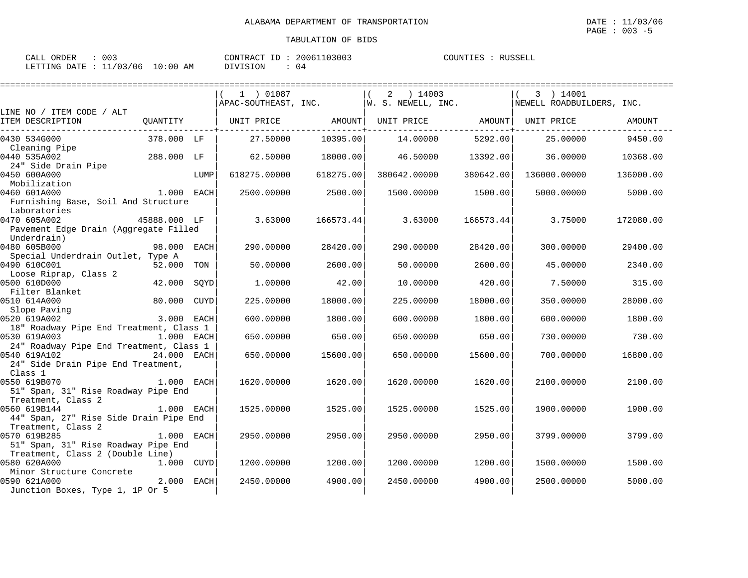CALL ORDER : 003 CONTRACT ID : 20061103003 COUNTIES : RUSSELL LETTING DATE : 11/03/06 10:00 AM DIVISION : 04

|                                                                                                                                                                           |              |             | $(1)$ 01087  |           | 2 ) 14003<br>$APAC-SOUTHEAST, INC.$ $W. S. NEWELL, INC.$                                            |           | 3 ) 14001<br>NEWELL ROADBUILDERS, INC. |           |
|---------------------------------------------------------------------------------------------------------------------------------------------------------------------------|--------------|-------------|--------------|-----------|-----------------------------------------------------------------------------------------------------|-----------|----------------------------------------|-----------|
| LINE NO / ITEM CODE / ALT                                                                                                                                                 |              |             |              |           |                                                                                                     |           |                                        |           |
| ITEM DESCRIPTION                                                                                                                                                          |              |             |              |           | QUANTITY   UNIT PRICE                 AMOUNT    UNIT PRICE                     AMOUNT    UNIT PRICE |           |                                        | AMOUNT    |
| 0430 534G000<br>Cleaning Pipe                                                                                                                                             | 378.000 LF   |             | 27.50000     | 10395.00  | 14.00000                                                                                            | 5292.00   | 25,00000                               | 9450.00   |
| 0440 535A002<br>24" Side Drain Pipe                                                                                                                                       | 288.000 LF   |             | 62.50000     | 18000.00  | 46.50000                                                                                            | 13392.00  | 36.00000                               | 10368.00  |
| 0450 600A000<br>Mobilization                                                                                                                                              |              | LUMP        | 618275.00000 | 618275.00 | 380642.00000                                                                                        | 380642.00 | 136000.00000                           | 136000.00 |
| 0460 601A000<br>Furnishing Base, Soil And Structure                                                                                                                       | $1.000$ EACH |             | 2500.00000   | 2500.00   | 1500.00000                                                                                          | 1500.00   | 5000.00000                             | 5000.00   |
| Laboratories<br>45888.000 LF<br>0470 605A002<br>Pavement Edge Drain (Aggregate Filled                                                                                     |              |             | 3.63000      | 166573.44 | 3.63000                                                                                             | 166573.44 | 3.75000                                | 172080.00 |
| Underdrain)<br>0480 605B000<br>Special Underdrain Outlet, Type A                                                                                                          | 98.000 EACH  |             | 290.00000    | 28420.00  | 290.00000                                                                                           | 28420.00  | 300.00000                              | 29400.00  |
| 0490 610C001<br>Loose Riprap, Class 2                                                                                                                                     | 52.000 TON   |             | 50.00000     | 2600.00   | 50.00000                                                                                            | 2600.00   | 45.00000                               | 2340.00   |
| 0500 610D000<br>Filter Blanket                                                                                                                                            | 42.000       | SOYD        | 1,00000      | 42.00     | 10.00000                                                                                            | 420.00    | 7.50000                                | 315.00    |
| 0510 614A000<br>Slope Paving                                                                                                                                              | 80.000       | <b>CUYD</b> | 225,00000    | 18000.00  | 225,00000                                                                                           | 18000.00  | 350.00000                              | 28000.00  |
| $3.000$ EACH<br>0520 619A002<br>18" Roadway Pipe End Treatment, Class 1                                                                                                   |              |             | 600,00000    | 1800.00   | 600,00000                                                                                           | 1800.00   | 600,00000                              | 1800.00   |
| 0530 619A003<br>личного процесса в 1.000 г. п.н.е. при процесси в 1.000 г. п.н.е. при процесси и продължават на 1.000 г. п.н.е<br>24" Roadway Pipe End Treatment, Class 1 |              |             | 650.00000    | 650.00    | 650.00000                                                                                           | 650.00    | 730.00000                              | 730.00    |
| 0540 619A102<br>24" Side Drain Pipe End Treatment,<br>Class 1                                                                                                             | 24.000 EACH  |             | 650.00000    | 15600.00  | 650.00000                                                                                           | 15600.00  | 700.00000                              | 16800.00  |
| 1.000 EACH<br>0550 619B070<br>51" Span, 31" Rise Roadway Pipe End<br>Treatment, Class 2                                                                                   |              |             | 1620.00000   | 1620.00   | 1620.00000                                                                                          | 1620.00   | 2100.00000                             | 2100.00   |
| 0560 619B144<br>44" Span, 27" Rise Side Drain Pipe End<br>Treatment, Class 2                                                                                              | 1.000 EACH   |             | 1525.00000   | 1525.00   | 1525.00000                                                                                          | 1525.00   | 1900.00000                             | 1900.00   |
| 0570 619B285<br>51" Span, 31" Rise Roadway Pipe End<br>Treatment, Class 2 (Double Line)                                                                                   | 1.000 EACH   |             | 2950.00000   | 2950.00   | 2950.00000                                                                                          | 2950.00   | 3799.00000                             | 3799.00   |
| 0580 620A000<br>Minor Structure Concrete                                                                                                                                  | 1.000 CUYD   |             | 1200.00000   | 1200.00   | 1200.00000                                                                                          | 1200.00   | 1500.00000                             | 1500.00   |
| 2.000 EACH<br>0590 621A000<br>Junction Boxes, Type 1, 1P Or 5                                                                                                             |              |             | 2450.00000   | 4900.00   | 2450.00000                                                                                          | 4900.00   | 2500.00000                             | 5000.00   |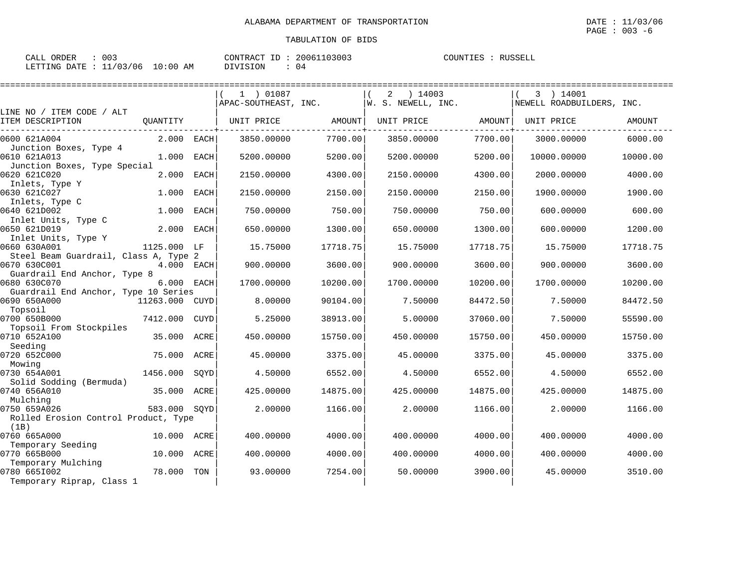| ORDER<br>CALL | 003      |               | CONTRACT<br>ID | 20061103003 | COUNTIES | RIISSELI |
|---------------|----------|---------------|----------------|-------------|----------|----------|
| LETTING DATE  | 11/03/06 | LO : 00<br>AM | DIVISION       | 04          |          |          |

|                                              |                |             | 1 ) 01087<br>APAC-SOUTHEAST, INC. |          | 2<br>14003<br>W. S. NEWELL, INC. |          | 3 ) 14001<br>NEWELL ROADBUILDERS, INC. |          |
|----------------------------------------------|----------------|-------------|-----------------------------------|----------|----------------------------------|----------|----------------------------------------|----------|
| LINE NO / ITEM CODE / ALT                    |                |             |                                   |          |                                  |          |                                        |          |
| ITEM DESCRIPTION                             | OUANTITY       |             | UNIT PRICE                        | AMOUNT   | UNIT PRICE                       | AMOUNT   | UNIT PRICE                             | AMOUNT   |
| 0600 621A004                                 | 2.000          | EACH        | 3850.00000                        | 7700.00  | 3850.00000                       | 7700.00  | 3000.00000                             | 6000.00  |
| Junction Boxes, Type 4                       |                |             |                                   |          |                                  |          |                                        |          |
| 0610 621A013                                 | 1,000          | <b>EACH</b> | 5200.00000                        | 5200.00  | 5200.00000                       | 5200.00  | 10000.00000                            | 10000.00 |
| Junction Boxes, Type Special                 |                |             |                                   |          |                                  |          |                                        |          |
| 0620 621C020                                 | 2.000          | <b>EACH</b> | 2150.00000                        | 4300.00  | 2150.00000                       | 4300.00  | 2000.00000                             | 4000.00  |
| Inlets, Type Y                               |                |             |                                   |          |                                  |          |                                        |          |
| 0630 621C027                                 | 1,000          | <b>EACH</b> | 2150.00000                        | 2150.00  | 2150.00000                       | 2150.00  | 1900.00000                             | 1900.00  |
| Inlets, Type C                               |                |             |                                   |          |                                  |          |                                        |          |
| 0640 621D002                                 | 1.000          | <b>EACH</b> | 750.00000                         | 750.00   | 750.00000                        | 750.00   | 600.00000                              | 600.00   |
| Inlet Units, Type C<br>0650 621D019          | 2,000          | EACH        | 650.00000                         | 1300.00  | 650.00000                        | 1300.00  | 600.00000                              | 1200.00  |
| Inlet Units, Type Y                          |                |             |                                   |          |                                  |          |                                        |          |
| 0660 630A001                                 | 1125.000 LF    |             | 15.75000                          | 17718.75 | 15.75000                         | 17718.75 | 15.75000                               | 17718.75 |
| Steel Beam Guardrail, Class A, Type 2        |                |             |                                   |          |                                  |          |                                        |          |
| 0670 630C001                                 | 4.000 EACH     |             | 900.00000                         | 3600.00  | 900.00000                        | 3600.00  | 900.00000                              | 3600.00  |
| Guardrail End Anchor, Type 8                 |                |             |                                   |          |                                  |          |                                        |          |
| 0680 630C070                                 | 6.000 EACH     |             | 1700.00000                        | 10200.00 | 1700.00000                       | 10200.00 | 1700.00000                             | 10200.00 |
| Guardrail End Anchor, Type 10 Series         |                |             |                                   |          |                                  |          |                                        |          |
| 0690 650A000                                 | 11263.000 CUYD |             | 8.00000                           | 90104.00 | 7.50000                          | 84472.50 | 7.50000                                | 84472.50 |
| Topsoil                                      |                |             |                                   |          |                                  |          |                                        |          |
| 0700 650B000                                 | 7412.000       | CUYD        | 5.25000                           | 38913.00 | 5.00000                          | 37060.00 | 7.50000                                | 55590.00 |
| Topsoil From Stockpiles                      |                |             |                                   |          |                                  |          |                                        |          |
| 0710 652A100                                 | 35.000         | ACRE        | 450.00000                         | 15750.00 | 450.00000                        | 15750.00 | 450.00000                              | 15750.00 |
| Seeding                                      |                |             |                                   |          |                                  |          |                                        |          |
| 0720 652C000                                 | 75.000         | ACRE        | 45.00000                          | 3375.00  | 45.00000                         | 3375.00  | 45.00000                               | 3375.00  |
| Mowing                                       |                |             |                                   |          |                                  |          |                                        |          |
| 0730 654A001                                 | 1456.000       | SQYD        | 4.50000                           | 6552.00  | 4.50000                          | 6552.00  | 4.50000                                | 6552.00  |
| Solid Sodding (Bermuda)                      |                |             |                                   |          |                                  |          |                                        |          |
| 0740 656A010                                 | 35.000         | ACRE        | 425.00000                         | 14875.00 | 425,00000                        | 14875.00 | 425.00000                              | 14875.00 |
| Mulching                                     |                |             |                                   |          |                                  |          |                                        |          |
| 0750 659A026                                 | 583.000        | SOYD        | 2.00000                           | 1166.00  | 2.00000                          | 1166.00  | 2.00000                                | 1166.00  |
| Rolled Erosion Control Product, Type<br>(1B) |                |             |                                   |          |                                  |          |                                        |          |
| 0760 665A000                                 | 10.000         | ACRE        | 400.00000                         | 4000.00  | 400.00000                        | 4000.00  | 400.00000                              | 4000.00  |
| Temporary Seeding                            |                |             |                                   |          |                                  |          |                                        |          |
| 0770 665B000                                 | 10.000         | ACRE        | 400.00000                         | 4000.00  | 400.00000                        | 4000.00  | 400.00000                              | 4000.00  |
| Temporary Mulching                           |                |             |                                   |          |                                  |          |                                        |          |
| 0780 665I002                                 | 78.000         | TON         | 93.00000                          | 7254.00  | 50.00000                         | 3900.00  | 45.00000                               | 3510.00  |
| Temporary Riprap, Class 1                    |                |             |                                   |          |                                  |          |                                        |          |
|                                              |                |             |                                   |          |                                  |          |                                        |          |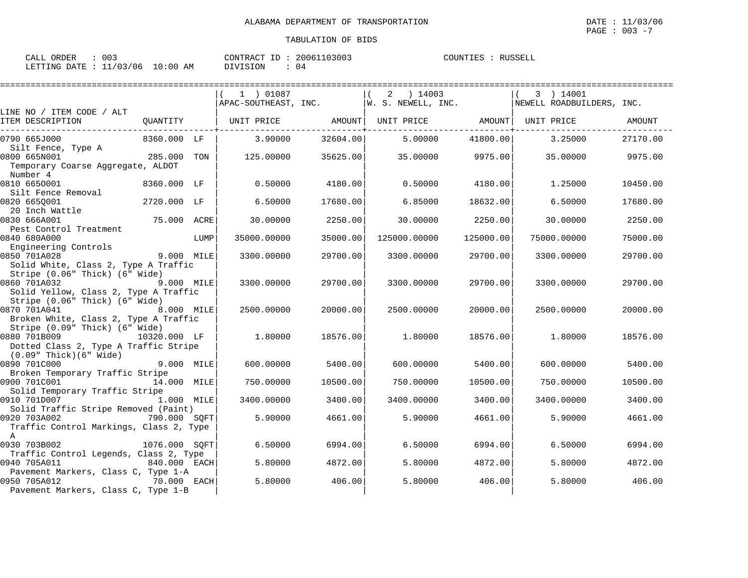| 003                              | 20061103003    | RUSSELL  |
|----------------------------------|----------------|----------|
| CALL ORDER                       | CONTRACT ID:   | COUNTIES |
| LETTING DATE : 11/03/06 10:00 AM | DIVISION<br>04 |          |

|                                                                                                         |               |      | 1 ) 01087         |          | 2 ) 14003<br>$APAC-SOUTHEAST$ , $INC.$ $W. S. NEWELL$ , $INC.$ |           | 3 ) 14001<br>NEWELL ROADBUILDERS, INC. |          |
|---------------------------------------------------------------------------------------------------------|---------------|------|-------------------|----------|----------------------------------------------------------------|-----------|----------------------------------------|----------|
| LINE NO / ITEM CODE / ALT<br>ITEM DESCRIPTION                                                           | OUANTITY      |      | UNIT PRICE AMOUNT |          | UNIT PRICE AMOUNT   UNIT PRICE                                 |           |                                        | AMOUNT   |
| 0790 665J000                                                                                            | 8360.000 LF   |      | 3.90000           | 32604.00 | 5.00000                                                        | 41800.00  | 3.25000                                | 27170.00 |
| Silt Fence, Type A<br>0800 665N001<br>Temporary Coarse Aggregate, ALDOT<br>Number 4                     | 285.000 TON   |      | 125.00000         | 35625.00 | 35.00000                                                       | 9975.00   | 35.00000                               | 9975.00  |
| 0810 6650001<br>Silt Fence Removal                                                                      | 8360.000 LF   |      | 0.50000           | 4180.00  | 0.50000                                                        | 4180.00   | 1.25000                                | 10450.00 |
| 0820 665Q001<br>20 Inch Wattle                                                                          | 2720.000 LF   |      | 6.50000           | 17680.00 | 6.85000                                                        | 18632.00  | 6.50000                                | 17680.00 |
| 0830 666A001<br>Pest Control Treatment                                                                  | 75.000 ACRE   |      | 30.00000          | 2250.00  | 30.00000                                                       | 2250.00   | 30.00000                               | 2250.00  |
| 0840 680A000<br>Engineering Controls                                                                    |               | LUMP | 35000.00000       | 35000.00 | 125000.00000                                                   | 125000.00 | 75000.00000                            | 75000.00 |
| 0850 701A028<br>Solid White, Class 2, Type A Traffic                                                    | 9.000 MILE    |      | 3300.00000        | 29700.00 | 3300.00000                                                     | 29700.00  | 3300.00000                             | 29700.00 |
| Stripe (0.06" Thick) (6" Wide)<br>0860 701A032<br>Solid Yellow, Class 2, Type A Traffic                 | 9.000 MILE    |      | 3300.00000        | 29700.00 | 3300.00000                                                     | 29700.00  | 3300.00000                             | 29700.00 |
| Stripe (0.06" Thick) (6" Wide)<br>0870 701A041<br>Broken White, Class 2, Type A Traffic                 | 8.000 MILE    |      | 2500.00000        | 20000.00 | 2500.00000                                                     | 20000.00  | 2500.00000                             | 20000.00 |
| Stripe (0.09" Thick) (6" Wide)<br>0880 701B009<br>10320.000 LF<br>Dotted Class 2, Type A Traffic Stripe |               |      | 1,80000           | 18576.00 | 1,80000                                                        | 18576.00  | 1,80000                                | 18576.00 |
| (0.09" Thick)(6" Wide)<br>0890 701C000<br>Broken Temporary Traffic Stripe                               | 9.000 MILE    |      | 600.00000         | 5400.00  | 600,00000                                                      | 5400.00   | 600,00000                              | 5400.00  |
| 0900 701C001<br>Solid Temporary Traffic Stripe                                                          | 14.000 MILE   |      | 750.00000         | 10500.00 | 750.00000                                                      | 10500.00  | 750.00000                              | 10500.00 |
| 0910 701D007<br>Solid Traffic Stripe Removed (Paint)                                                    | 1.000 MILE    |      | 3400.00000        | 3400.00  | 3400.00000                                                     | 3400.00   | 3400.00000                             | 3400.00  |
| 0920 703A002<br>Traffic Control Markings, Class 2, Type<br>$\mathbb{A}$                                 | 790.000 SQFT  |      | 5.90000           | 4661.00  | 5.90000                                                        | 4661.00   | 5.90000                                | 4661.00  |
| 0930 703B002<br>Traffic Control Legends, Class 2, Type                                                  | 1076.000 SOFT |      | 6.50000           | 6994.00  | 6.50000                                                        | 6994.00   | 6.50000                                | 6994.00  |
| 0940 705A011<br>Pavement Markers, Class C, Type 1-A                                                     | 840.000 EACH  |      | 5.80000           | 4872.00  | 5.80000                                                        | 4872.00   | 5.80000                                | 4872.00  |
| 0950 705A012<br>Pavement Markers, Class C, Type 1-B                                                     | 70.000 EACH   |      | 5.80000           | 406.00   | 5.80000                                                        | 406.00    | 5.80000                                | 406.00   |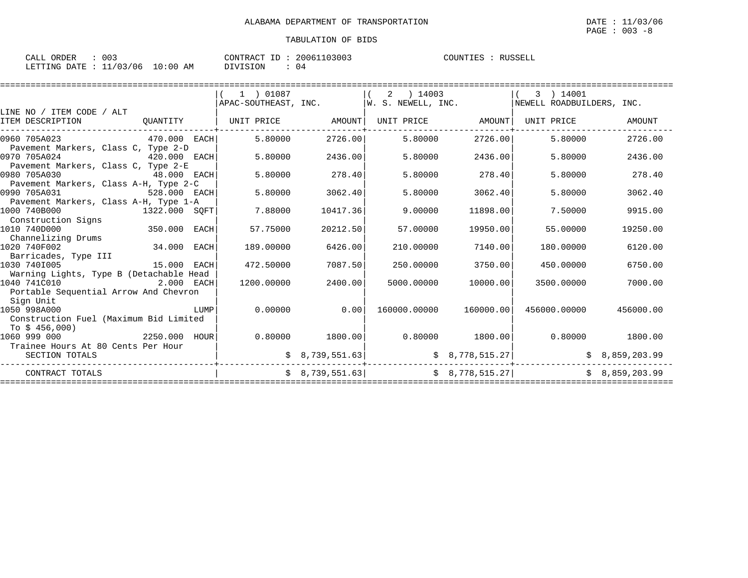| CALL ORDER                       | 003 |          | CONTRACT ID: 20061103003 | COUNTIES : RUSSELL |  |
|----------------------------------|-----|----------|--------------------------|--------------------|--|
| LETTING DATE : 11/03/06 10:00 AM |     | DIVISION | 04                       |                    |  |

|                                                                                                                                      |                 | 1 ) 01087                    |                   | 2 ) 14003         |                        | 3 ) 14001                                                                                                                                                               |           |
|--------------------------------------------------------------------------------------------------------------------------------------|-----------------|------------------------------|-------------------|-------------------|------------------------|-------------------------------------------------------------------------------------------------------------------------------------------------------------------------|-----------|
|                                                                                                                                      |                 |                              |                   |                   |                        | $ $ APAC-SOUTHEAST, INC. $ $ W. S. NEWELL, INC. $ $ NEWELL ROADBUILDERS, INC.                                                                                           |           |
| LINE NO / ITEM CODE / ALT                                                                                                            |                 |                              |                   |                   |                        |                                                                                                                                                                         |           |
| ITEM DESCRIPTION                                                                                                                     |                 | QUANTITY   UNIT PRICE AMOUNT |                   |                   |                        | UNIT PRICE AMOUNT   UNIT PRICE                                                                                                                                          | AMOUNT    |
| 0960 705A023<br>470.000 EACH                                                                                                         |                 | 5.80000                      | 2726.00           | 5.80000           | 2726.00                | 5.80000                                                                                                                                                                 | 2726.00   |
| Pavement Markers, Class C, Type 2-D                                                                                                  |                 |                              |                   |                   |                        |                                                                                                                                                                         |           |
| 0970 705A024<br>420.000 EACH                                                                                                         |                 | 5.80000                      | 2436.00           | 5.80000           | 2436.00                | 5.80000                                                                                                                                                                 | 2436.00   |
| Pavement Markers, Class C, Type 2-E                                                                                                  |                 |                              |                   |                   |                        |                                                                                                                                                                         |           |
| 0980 705A030<br>48.000 EACH                                                                                                          |                 | 5.80000                      | 278.40            | 5.80000           | 278.40                 | 5.80000                                                                                                                                                                 | 278.40    |
| Pavement Markers, Class A-H, Type 2-C                                                                                                |                 |                              |                   |                   |                        |                                                                                                                                                                         |           |
| 0990 705A031                                                                                                                         | 528.000 EACH    | 5.80000                      | 3062.40           | 5.80000           | 3062.40                | 5.80000                                                                                                                                                                 | 3062.40   |
| Pavement Markers, Class A-H, Type 1-A                                                                                                |                 |                              |                   |                   |                        |                                                                                                                                                                         |           |
| 1000 740B000<br>$\begin{array}{ccc} & 1322.000 & \text{SQFT} \end{array}$                                                            |                 | 7.88000                      | 10417.36          | 9.00000           | 11898.00               | 7.50000                                                                                                                                                                 | 9915.00   |
| Construction Signs                                                                                                                   |                 |                              |                   |                   |                        |                                                                                                                                                                         |           |
| 350.000 EACH<br>1010 740D000                                                                                                         |                 | 57.75000                     | 20212.50          | 57.00000          | 19950.00               | 55.00000                                                                                                                                                                | 19250.00  |
| Channelizing Drums                                                                                                                   |                 |                              |                   |                   |                        |                                                                                                                                                                         |           |
| 34.000 EACH<br>1020 740F002                                                                                                          |                 | 189.00000                    | 6426.00           | 210,00000         | 7140.00                | 180.00000                                                                                                                                                               | 6120.00   |
| Barricades, Type III                                                                                                                 |                 |                              |                   |                   |                        |                                                                                                                                                                         |           |
| 1030 7401005                                                                                                                         | 15.000 EACH     | 472.50000                    | 7087.50           | 250.00000         | 3750.00                | 450.00000                                                                                                                                                               | 6750.00   |
| Warning Lights, Type B (Detachable Head                                                                                              |                 |                              |                   |                   |                        |                                                                                                                                                                         |           |
| 1040 741C010<br>$2.000$ EACH                                                                                                         |                 | 1200.00000                   | 2400.00           | 5000.00000        | 10000.00               | 3500.00000                                                                                                                                                              | 7000.00   |
| Portable Sequential Arrow And Chevron                                                                                                |                 |                              |                   |                   |                        |                                                                                                                                                                         |           |
| Sign Unit                                                                                                                            |                 |                              |                   |                   |                        |                                                                                                                                                                         |           |
| 1050 998A000<br><b>EXECUTE IN THE EXECUTIVE IN THE EXECUTIVE IN THE EXECUTIVE IN THE EXECUTIVE IN THE EXECUTIVE IN THE EXECUTIVE</b> |                 | 0.00000                      | 0.00              |                   | 160000.00000 160000.00 | 456000.00000                                                                                                                                                            | 456000.00 |
| Construction Fuel (Maximum Bid Limited                                                                                               |                 |                              |                   |                   |                        |                                                                                                                                                                         |           |
| To $$456,000$                                                                                                                        |                 |                              |                   |                   |                        |                                                                                                                                                                         |           |
| 1060 999 000                                                                                                                         | $2250.000$ HOUR |                              | $0.80000$ 1800.00 | $0.80000$ 1800.00 |                        | $0.80000$ 1800.00                                                                                                                                                       |           |
| Trainee Hours At 80 Cents Per Hour                                                                                                   |                 |                              |                   |                   |                        |                                                                                                                                                                         |           |
| SECTION TOTALS                                                                                                                       |                 |                              |                   |                   |                        | $\begin{array}{cc} \text{S} & 8.739.551.63 \end{array}$ $\begin{array}{cc} \text{S} & 8.778.515.27 \end{array}$ $\begin{array}{cc} \text{S} & 8.859.203.99 \end{array}$ |           |
| CONTRACT TOTALS                                                                                                                      |                 |                              |                   |                   |                        | $\frac{1}{2}$ 8,739,551.63<br>$\frac{1}{2}$ 8,778,515.27<br>$\frac{1}{2}$ 8,859,203.99                                                                                  |           |
|                                                                                                                                      |                 |                              |                   |                   |                        |                                                                                                                                                                         |           |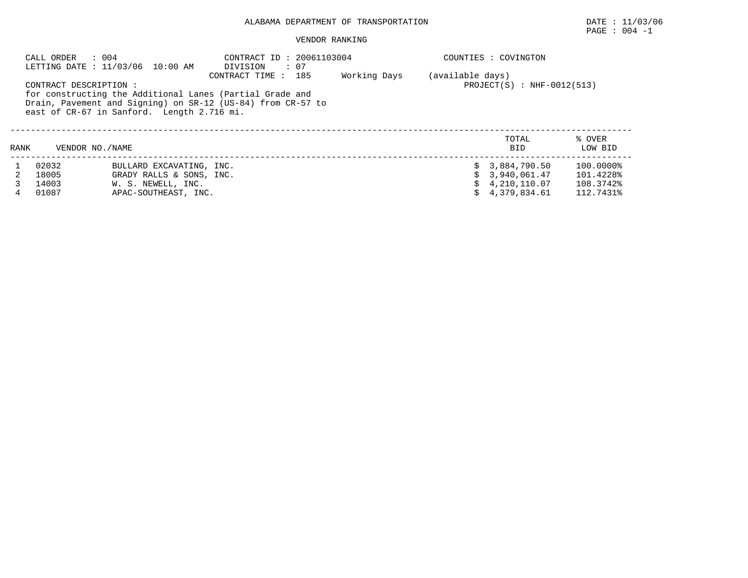## ALABAMA DEPARTMENT OF TRANSPORTATION DATE : 11/03/06

 $\texttt{PAGE}$  :  $004$  -1

#### VENDOR RANKING

|      | : 004<br>CALL ORDER   | LETTING DATE : 11/03/06 10:00 AM           | CONTRACT ID: 20061103004<br>DIVISION<br>$\therefore$ 07                                                                                        |              |                  | COUNTIES : COVINGTON         |                   |
|------|-----------------------|--------------------------------------------|------------------------------------------------------------------------------------------------------------------------------------------------|--------------|------------------|------------------------------|-------------------|
|      | CONTRACT DESCRIPTION: | east of CR-67 in Sanford. Length 2.716 mi. | CONTRACT TIME : 185<br>for constructing the Additional Lanes (Partial Grade and<br>Drain, Pavement and Signing) on SR-12 (US-84) from CR-57 to | Working Days | (available days) | $PROJECT(S) : NHF-0012(513)$ |                   |
| RANK | VENDOR NO. / NAME     |                                            |                                                                                                                                                |              |                  | TOTAL<br>BID                 | % OVER<br>LOW BID |
|      | 02032                 | BULLARD EXCAVATING, INC.                   |                                                                                                                                                |              |                  | \$3,884,790.50               | 100.0000%         |
|      | 18005                 | GRADY RALLS & SONS, INC.                   |                                                                                                                                                |              |                  | \$3.940.061.47               | 101.4228%         |
|      | 14003                 | W. S. NEWELL, INC.                         |                                                                                                                                                |              |                  | \$4,210,110.07               | 108.3742%         |
|      | 01087                 | APAC-SOUTHEAST, INC.                       |                                                                                                                                                |              |                  | \$4.379.834.61               | 112.7431%         |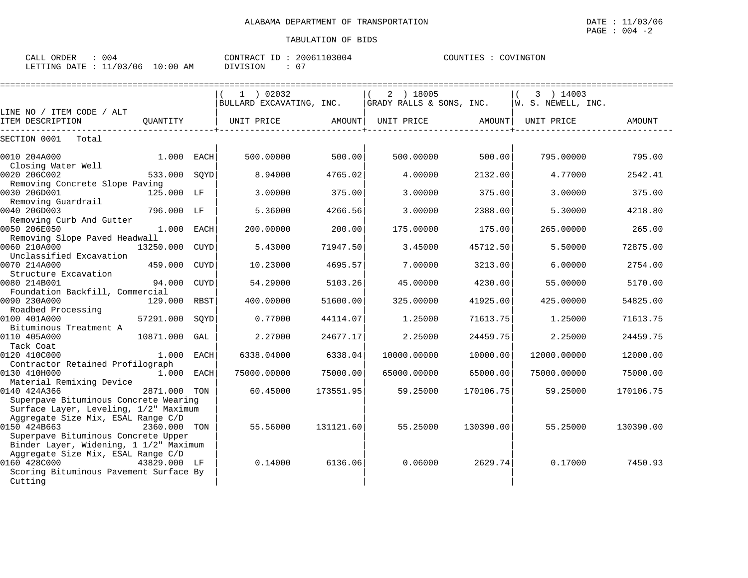| 004<br>ORDER<br>CALL                  | 20061103004<br>CONTRACT ID | COUNTIES<br>COVINGTON |
|---------------------------------------|----------------------------|-----------------------|
| $10:00$ AM<br>LETTING DATE : 11/03/06 | ∩ −<br>DIVISION            |                       |

|                                                                                                                                        |              |             | ===========================             |           | ======================                |           |                                 |           |
|----------------------------------------------------------------------------------------------------------------------------------------|--------------|-------------|-----------------------------------------|-----------|---------------------------------------|-----------|---------------------------------|-----------|
|                                                                                                                                        |              |             | $1$ ) 02032<br>BULLARD EXCAVATING, INC. |           | 2 ) 18005<br>GRADY RALLS & SONS, INC. |           | 3 ) 14003<br>W. S. NEWELL, INC. |           |
| LINE NO / ITEM CODE / ALT                                                                                                              |              |             |                                         |           |                                       |           |                                 |           |
| ITEM DESCRIPTION                                                                                                                       | OUANTITY     |             | UNIT PRICE                              | AMOUNT    | UNIT PRICE                            | AMOUNT    | UNIT PRICE                      | AMOUNT    |
| SECTION 0001<br>Total                                                                                                                  |              |             |                                         |           |                                       |           |                                 |           |
| 0010 204A000<br>Closing Water Well                                                                                                     | 1.000 EACH   |             | 500.00000                               | 500.00    | 500.00000                             | 500.00    | 795.00000                       | 795.00    |
| 0020 206C002<br>Removing Concrete Slope Paving                                                                                         | 533.000 SQYD |             | 8.94000                                 | 4765.02   | 4.00000                               | 2132.00   | 4.77000                         | 2542.41   |
| 0030 206D001<br>Removing Guardrail                                                                                                     | 125.000 LF   |             | 3.00000                                 | 375.00    | 3.00000                               | 375.00    | 3.00000                         | 375.00    |
| 0040 206D003<br>Removing Curb And Gutter                                                                                               | 796.000 LF   |             | 5.36000                                 | 4266.56   | 3.00000                               | 2388.00   | 5.30000                         | 4218.80   |
| 0050 206E050<br>Removing Slope Paved Headwall                                                                                          | $1.000$ EACH |             | 200.00000                               | 200.00    | 175.00000                             | 175.00    | 265.00000                       | 265.00    |
| 0060 210A000<br>Unclassified Excavation                                                                                                | 13250.000    | <b>CUYD</b> | 5.43000                                 | 71947.50  | 3.45000                               | 45712.50  | 5.50000                         | 72875.00  |
| 0070 214A000<br>Structure Excavation                                                                                                   | 459.000      | CUYD        | 10.23000                                | 4695.57   | 7.00000                               | 3213.00   | 6.00000                         | 2754.00   |
| 0080 214B001<br>Foundation Backfill, Commercial                                                                                        | 94.000       | <b>CUYD</b> | 54.29000                                | 5103.26   | 45.00000                              | 4230.00   | 55.00000                        | 5170.00   |
| 0090 230A000<br>Roadbed Processing                                                                                                     | 129.000 RBST |             | 400.00000                               | 51600.00  | 325.00000                             | 41925.00  | 425.00000                       | 54825.00  |
| 0100 401A000<br>Bituminous Treatment A                                                                                                 | 57291.000    | SQYD        | 0.77000                                 | 44114.07  | 1.25000                               | 71613.75  | 1.25000                         | 71613.75  |
| 0110 405A000<br>Tack Coat                                                                                                              | 10871.000    | GAL         | 2.27000                                 | 24677.17  | 2.25000                               | 24459.75  | 2.25000                         | 24459.75  |
| 0120 410C000<br>Contractor Retained Profilograph                                                                                       | $1.000$ EACH |             | 6338.04000                              | 6338.04   | 10000.00000                           | 10000.00  | 12000.00000                     | 12000.00  |
| 0130 410H000<br>Material Remixing Device                                                                                               | $1.000$ EACH |             | 75000.00000                             | 75000.00  | 65000.00000                           | 65000.00  | 75000.00000                     | 75000.00  |
| 0140 424A366<br>Superpave Bituminous Concrete Wearing<br>Surface Layer, Leveling, 1/2" Maximum                                         | 2871.000 TON |             | 60.45000                                | 173551.95 | 59.25000                              | 170106.75 | 59.25000                        | 170106.75 |
| Aggregate Size Mix, ESAL Range C/D<br>0150 424B663<br>Superpave Bituminous Concrete Upper                                              | 2360.000 TON |             | 55.56000                                | 131121.60 | 55.25000                              | 130390.00 | 55.25000                        | 130390.00 |
| Binder Layer, Widening, 1 1/2" Maximum<br>Aggregate Size Mix, ESAL Range C/D<br>0160 428C000<br>Scoring Bituminous Pavement Surface By | 43829.000 LF |             | 0.14000                                 | 6136.06   | 0.06000                               | 2629.74   | 0.17000                         | 7450.93   |
| Cutting                                                                                                                                |              |             |                                         |           |                                       |           |                                 |           |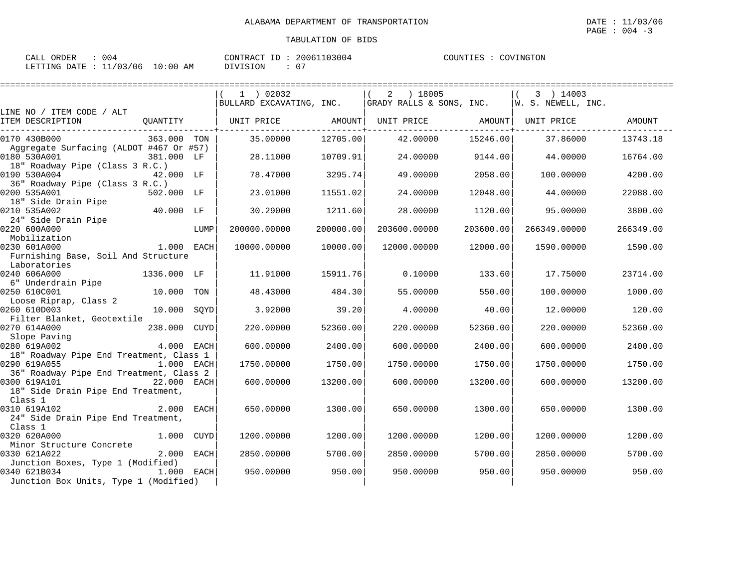| CALL ORDER<br>: 004              |          | CONTRACT ID: 20061103004 | COUNTIES : COVINGTON |
|----------------------------------|----------|--------------------------|----------------------|
| LETTING DATE : 11/03/06 10:00 AM | DIVISION |                          |                      |

|                                               |              |      | $1$ ) 02032  |           | 2 ) 18005    |           | 3 ) 14003    |           |
|-----------------------------------------------|--------------|------|--------------|-----------|--------------|-----------|--------------|-----------|
|                                               |              |      |              |           |              |           |              |           |
| LINE NO / ITEM CODE / ALT                     |              |      |              |           |              |           |              |           |
| ITEM DESCRIPTION                              |              |      |              |           |              |           |              | AMOUNT    |
| 0170 430B000                                  | 363.000 TON  |      | 35.00000     | 12705.00  | 42.00000     | 15246.00  | 37.86000     | 13743.18  |
| Aggregate Surfacing (ALDOT #467 Or #57)       |              |      |              |           |              |           |              |           |
| 0180 530A001                                  | 381.000 LF   |      | 28.11000     | 10709.91  | 24.00000     | 9144.00   | 44.00000     | 16764.00  |
| 18" Roadway Pipe (Class 3 R.C.)               |              |      |              |           |              |           |              |           |
| 0190 530A004                                  | 42.000 LF    |      | 78.47000     | 3295.74   | 49.00000     | 2058.00   | 100.00000    | 4200.00   |
| 36" Roadway Pipe (Class 3 R.C.)               |              |      |              |           |              |           |              |           |
| 0200 535A001                                  | 502.000 LF   |      | 23.01000     | 11551.02  | 24,00000     | 12048.00  | 44.00000     | 22088.00  |
| 18" Side Drain Pipe                           | $40.000$ LF  |      |              |           |              |           |              |           |
| 0210 535A002<br>24" Side Drain Pipe           |              |      | 30.29000     | 1211.60   | 28,00000     | 1120.00   | 95.00000     | 3800.00   |
| 0220 600A000                                  |              | LUMP | 200000.00000 | 200000.00 | 203600.00000 | 203600.00 | 266349.00000 | 266349.00 |
| Mobilization                                  |              |      |              |           |              |           |              |           |
| 1.000 EACH<br>0230 601A000                    |              |      | 10000.00000  | 10000.00  | 12000.00000  | 12000.00  | 1590.00000   | 1590.00   |
| Furnishing Base, Soil And Structure           |              |      |              |           |              |           |              |           |
| Laboratories                                  |              |      |              |           |              |           |              |           |
| 0240 606A000                                  | 1336.000 LF  |      | 11.91000     | 15911.76  | 0.10000      | 133.60    | 17.75000     | 23714.00  |
| 6" Underdrain Pipe                            |              |      |              |           |              |           |              |           |
| 0250 610C001                                  | 10.000 TON   |      | 48.43000     | 484.30    | 55.00000     | 550.00    | 100.00000    | 1000.00   |
| Loose Riprap, Class 2                         |              |      |              |           |              |           |              |           |
| 0260 610D003                                  | 10.000 SQYD  |      | 3.92000      | 39.20     | 4.00000      | 40.00     | 12.00000     | 120.00    |
| Filter Blanket, Geotextile                    |              |      |              |           |              |           |              |           |
| 0270 614A000<br>238.000 CUYD                  |              |      | 220.00000    | 52360.00  | 220.00000    | 52360.00  | 220.00000    | 52360.00  |
| Slope Paving                                  |              |      |              |           |              |           |              |           |
| 0280 619A002                                  | $4.000$ EACH |      | 600,00000    | 2400.00   | 600,00000    | 2400.00   | 600,00000    | 2400.00   |
| 18" Roadway Pipe End Treatment, Class 1       |              |      |              |           |              |           |              |           |
| 0290 619A055<br>1.000 EACH                    |              |      | 1750.00000   | 1750.00   | 1750.00000   | 1750.00   | 1750.00000   | 1750.00   |
| 36" Roadway Pipe End Treatment, Class 2       |              |      |              |           |              |           |              |           |
| 0300 619A101 22.000 EACH                      |              |      | 600,00000    | 13200.00  | 600.00000    | 13200.00  | 600.00000    | 13200.00  |
| 18" Side Drain Pipe End Treatment,<br>Class 1 |              |      |              |           |              |           |              |           |
| 2.000 EACH<br>0310 619A102                    |              |      | 650.00000    | 1300.00   | 650.00000    | 1300.00   | 650.00000    | 1300.00   |
| 24" Side Drain Pipe End Treatment,            |              |      |              |           |              |           |              |           |
| Class 1                                       |              |      |              |           |              |           |              |           |
| 0320 620A000                                  | 1.000 CUYD   |      | 1200.00000   | 1200.00   | 1200.00000   | 1200.00   | 1200.00000   | 1200.00   |
| Minor Structure Concrete                      |              |      |              |           |              |           |              |           |
| 0330 621A022                                  | 2.000 EACH   |      | 2850.00000   | 5700.00   | 2850.00000   | 5700.00   | 2850.00000   | 5700.00   |
| Junction Boxes, Type 1 (Modified)             |              |      |              |           |              |           |              |           |
| 0340 621B034                                  | $1.000$ EACH |      | 950.00000    | 950.00    | 950.00000    | 950.00    | 950.00000    | 950.00    |
| Junction Box Units, Type 1 (Modified)         |              |      |              |           |              |           |              |           |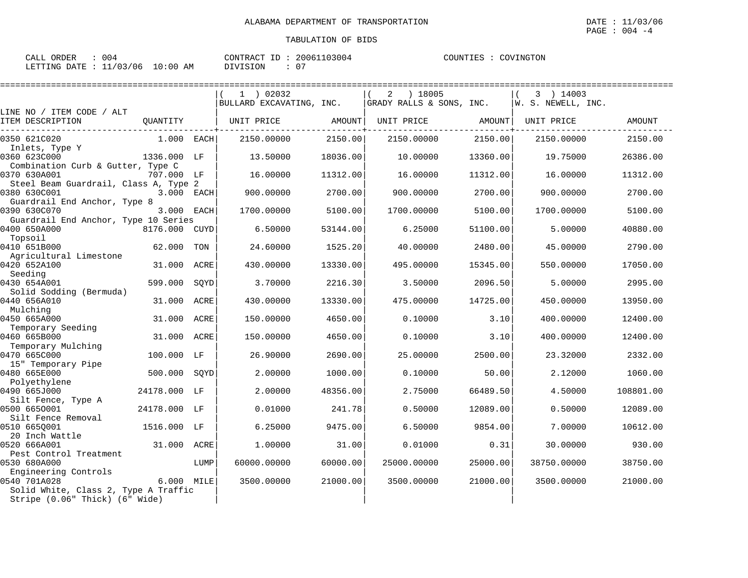| ORDER<br>CALL           | 004        | 20061103004<br>CONTRACT<br>ID: | COUNTIES :<br>: COVINGTON |
|-------------------------|------------|--------------------------------|---------------------------|
| LETTING DATE : 11/03/06 | $10:00$ AM | <b>NIVISION</b>                |                           |

|                                                          |              |      | $1$ ) 02032              |          | ) 18005<br>2             |          | 3 ) 14003          |           |
|----------------------------------------------------------|--------------|------|--------------------------|----------|--------------------------|----------|--------------------|-----------|
| LINE NO / ITEM CODE / ALT                                |              |      | BULLARD EXCAVATING, INC. |          | GRADY RALLS & SONS, INC. |          | W. S. NEWELL, INC. |           |
| ITEM DESCRIPTION                                         | QUANTITY     |      | UNIT PRICE               | AMOUNT   | UNIT PRICE               | AMOUNT   | UNIT PRICE         | AMOUNT    |
| 0350 621C020                                             | 1.000 EACH   |      | 2150.00000               | 2150.00  | 2150.00000               | 2150.00  | 2150.00000         | 2150.00   |
| Inlets, Type Y<br>0360 623C000                           | 1336.000 LF  |      | 13.50000                 | 18036.00 | 10.00000                 | 13360.00 | 19.75000           | 26386.00  |
| Combination Curb & Gutter, Type C<br>0370 630A001        | 707.000 LF   |      | 16.00000                 | 11312.00 | 16.00000                 | 11312.00 | 16.00000           | 11312.00  |
| Steel Beam Guardrail, Class A, Type 2<br>0380 630C001    | 3.000 EACH   |      | 900.00000                | 2700.00  | 900.00000                | 2700.00  | 900.00000          | 2700.00   |
| Guardrail End Anchor, Type 8<br>0390 630C070             | 3.000 EACH   |      | 1700.00000               | 5100.00  | 1700.00000               | 5100.00  | 1700.00000         | 5100.00   |
| Guardrail End Anchor, Type 10 Series<br>0400 650A000     | 8176.000     | CUYD | 6.50000                  | 53144.00 | 6.25000                  | 51100.00 | 5.00000            | 40880.00  |
| Topsoil<br>0410 651B000                                  | 62.000 TON   |      | 24.60000                 | 1525.20  | 40.00000                 | 2480.00  | 45.00000           | 2790.00   |
| Agricultural Limestone<br>0420 652A100                   | 31.000 ACRE  |      | 430.00000                | 13330.00 | 495.00000                | 15345.00 | 550.00000          | 17050.00  |
| Seeding<br>0430 654A001                                  | 599.000      | SQYD | 3.70000                  | 2216.30  | 3.50000                  | 2096.50  | 5.00000            | 2995.00   |
| Solid Sodding (Bermuda)<br>0440 656A010                  | 31,000       | ACRE | 430.00000                | 13330.00 | 475.00000                | 14725.00 | 450.00000          | 13950.00  |
| Mulching<br>0450 665A000                                 | 31.000       | ACRE | 150.00000                | 4650.00  | 0.10000                  | 3.10     | 400.00000          | 12400.00  |
| Temporary Seeding<br>0460 665B000                        | 31.000 ACRE  |      | 150.00000                | 4650.00  | 0.10000                  | 3.10     | 400.00000          | 12400.00  |
| Temporary Mulching<br>0470 665C000                       | 100.000 LF   |      | 26.90000                 | 2690.00  | 25.00000                 | 2500.00  | 23.32000           | 2332.00   |
| 15" Temporary Pipe<br>0480 665E000                       | 500.000      | SOYD | 2.00000                  | 1000.00  | 0.10000                  | 50.00    | 2.12000            | 1060.00   |
| Polyethylene<br>0490 665J000                             | 24178.000 LF |      | 2.00000                  | 48356.00 | 2.75000                  | 66489.50 | 4.50000            | 108801.00 |
| Silt Fence, Type A<br>0500 6650001<br>Silt Fence Removal | 24178.000 LF |      | 0.01000                  | 241.78   | 0.50000                  | 12089.00 | 0.50000            | 12089.00  |
| 0510 6650001<br>20 Inch Wattle                           | 1516.000 LF  |      | 6.25000                  | 9475.00  | 6.50000                  | 9854.00  | 7.00000            | 10612.00  |
| 0520 666A001<br>Pest Control Treatment                   | 31.000 ACRE  |      | 1,00000                  | 31.00    | 0.01000                  | 0.31     | 30.00000           | 930.00    |
| 0530 680A000<br>Engineering Controls                     |              | LUMP | 60000.00000              | 60000.00 | 25000.00000              | 25000.00 | 38750.00000        | 38750.00  |
| 0540 701A028<br>Solid White, Class 2, Type A Traffic     | 6.000 MILE   |      | 3500.00000               | 21000.00 | 3500.00000               | 21000.00 | 3500.00000         | 21000.00  |
| Stripe (0.06" Thick) (6" Wide)                           |              |      |                          |          |                          |          |                    |           |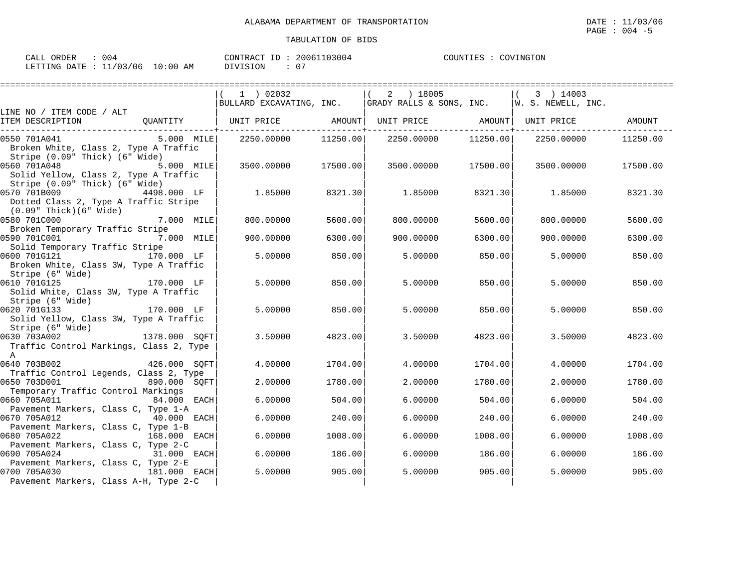| CALL ORDER<br>004                |          | CONTRACT ID: 20061103004 | COVINGTON<br>COUNTIES : 0 |
|----------------------------------|----------|--------------------------|---------------------------|
| LETTING DATE : 11/03/06 10:00 AM | DIVISION |                          |                           |

|                                                                         |                       | 1 ) 02032                                       |          | 2 ) 18005<br> BULLARD EXCAVATING, INC.   GRADY RALLS & SONS, INC.   W. S. NEWELL, INC. |          | 3 ) 14003  |          |
|-------------------------------------------------------------------------|-----------------------|-------------------------------------------------|----------|----------------------------------------------------------------------------------------|----------|------------|----------|
| LINE NO / ITEM CODE / ALT                                               |                       |                                                 |          |                                                                                        |          |            |          |
| ITEM DESCRIPTION                                                        |                       | QUANTITY   UNIT PRICE AMOUNT  UNIT PRICE AMOUNT |          |                                                                                        |          | UNIT PRICE | AMOUNT   |
| 0550 701A041                                                            | 5.000 MILE            | 2250.00000                                      | 11250.00 | 2250.00000                                                                             | 11250.00 | 2250.00000 | 11250.00 |
| Broken White, Class 2, Type A Traffic<br>Stripe (0.09" Thick) (6" Wide) |                       |                                                 |          |                                                                                        |          |            |          |
| 0560 701A048                                                            | 5.000 MILE            | 3500.00000                                      | 17500.00 | 3500.00000                                                                             | 17500.00 | 3500.00000 | 17500.00 |
| Solid Yellow, Class 2, Type A Traffic                                   |                       |                                                 |          |                                                                                        |          |            |          |
| Stripe (0.09" Thick) (6" Wide)                                          |                       |                                                 |          |                                                                                        |          |            |          |
| 0570 701B009                                                            | 4498.000 LF           | 1.85000                                         | 8321.30  | 1.85000                                                                                | 8321.30  | 1.85000    | 8321.30  |
| Dotted Class 2, Type A Traffic Stripe<br>(0.09" Thick)(6" Wide)         |                       |                                                 |          |                                                                                        |          |            |          |
| 0580 701C000                                                            | 7.000 MILE            | 800,00000                                       | 5600.00  | 800.00000                                                                              | 5600.00  | 800.00000  | 5600.00  |
| Broken Temporary Traffic Stripe                                         |                       |                                                 |          |                                                                                        |          |            |          |
| <b>7.000 MILE</b><br>0590 701C001                                       |                       | 900.00000                                       | 6300.00  | 900.00000                                                                              | 6300.00  | 900.00000  | 6300.00  |
| Solid Temporary Traffic Stripe                                          |                       |                                                 |          |                                                                                        |          |            |          |
| 0600 701G121 170.000 LF                                                 |                       | 5.00000                                         | 850.00   | 5.00000                                                                                | 850.00   | 5.00000    | 850.00   |
| Broken White, Class 3W, Type A Traffic                                  |                       |                                                 |          |                                                                                        |          |            |          |
| Stripe (6" Wide)<br>170.000 LF                                          |                       |                                                 |          |                                                                                        |          |            |          |
| 0610 701G125<br>Solid White, Class 3W, Type A Traffic                   |                       | 5.00000                                         | 850.00   | 5.00000                                                                                | 850.001  | 5.00000    | 850.00   |
| Stripe (6" Wide)                                                        |                       |                                                 |          |                                                                                        |          |            |          |
| 0620 701G133<br>170.000 LF                                              |                       | 5.00000                                         | 850.00   | 5,00000                                                                                | 850.00   | 5.00000    | 850.00   |
| Solid Yellow, Class 3W, Type A Traffic                                  |                       |                                                 |          |                                                                                        |          |            |          |
| Stripe (6" Wide)                                                        |                       |                                                 |          |                                                                                        |          |            |          |
| 1378.000 SOFT<br>0630 703A002                                           |                       | 3.50000                                         | 4823.00  | 3.50000                                                                                | 4823.00  | 3.50000    | 4823.00  |
| Traffic Control Markings, Class 2, Type                                 |                       |                                                 |          |                                                                                        |          |            |          |
| A                                                                       |                       |                                                 |          |                                                                                        |          |            |          |
| 0640 703B002                                                            | 426.000 SOFT          | 4.00000                                         | 1704.00  | 4,00000                                                                                | 1704.00  | 4.00000    | 1704.00  |
| Traffic Control Legends, Class 2, Type                                  |                       |                                                 |          |                                                                                        |          |            |          |
| 0650 703D001                                                            | 890.000 SOFT          | 2.00000                                         | 1780.00  | 2,00000                                                                                | 1780.00  | 2,00000    | 1780.00  |
| Temporary Traffic Control Markings                                      |                       |                                                 |          |                                                                                        |          |            |          |
| 0660 705A011                                                            | 84.000<br><b>EACH</b> | 6.00000                                         | 504.00   | 6,00000                                                                                | 504.00   | 6,00000    | 504.00   |
| Pavement Markers, Class C, Type 1-A<br>40.000 EACH<br>0670 705A012      |                       | 6.00000                                         | 240.00   | 6.00000                                                                                |          |            | 240.00   |
| Pavement Markers, Class C, Type 1-B                                     |                       |                                                 |          |                                                                                        | 240.00   | 6.00000    |          |
| 0680 705A022                                                            | 168.000 EACH          | 6.00000                                         | 1008.00  | 6.00000                                                                                | 1008.00  | 6.00000    | 1008.00  |
| Pavement Markers, Class C, Type 2-C                                     |                       |                                                 |          |                                                                                        |          |            |          |
| 0690 705A024                                                            | 31.000<br>EACH        | 6.00000                                         | 186.00   | 6,00000                                                                                | 186.00   | 6.00000    | 186.00   |
| Pavement Markers, Class C, Type 2-E                                     |                       |                                                 |          |                                                                                        |          |            |          |
| 181.000 EACH<br>0700 705A030                                            |                       | 5.00000                                         | 905.00   | 5.00000                                                                                | 905.00   | 5.00000    | 905.00   |
| Pavement Markers, Class A-H, Type 2-C                                   |                       |                                                 |          |                                                                                        |          |            |          |
|                                                                         |                       |                                                 |          |                                                                                        |          |            |          |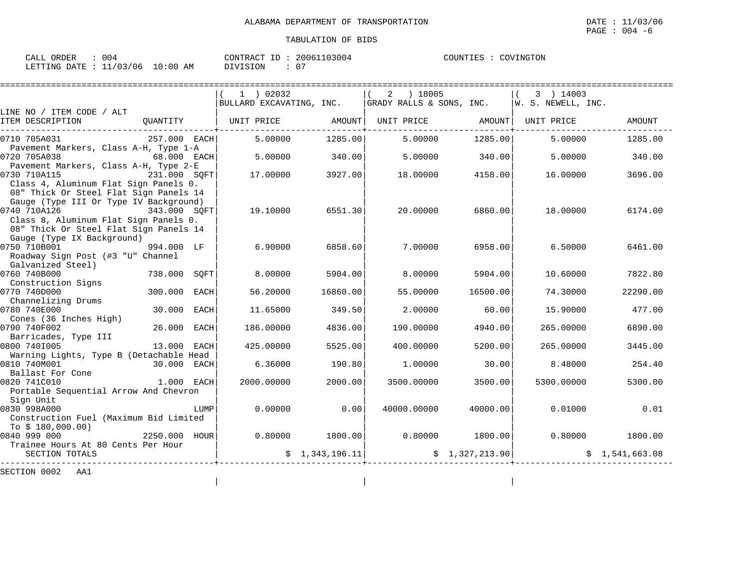| ORDER<br>CALL           | 004        | 20061103004<br>CONTRACT<br>ID: | COUNTIES :<br>: COVINGTON |
|-------------------------|------------|--------------------------------|---------------------------|
| LETTING DATE : 11/03/06 | $10:00$ AM | <b>NIVISION</b>                |                           |

|                                                                                                                                                           |              |             | $1$ ) 02032<br>BULLARD EXCAVATING, INC. $ $ GRADY RALLS & SONS, INC. $ w.$ S. NEWELL, INC. |                 | 2 ) 18005                               |                    | 3 ) 14003                                 |                 |
|-----------------------------------------------------------------------------------------------------------------------------------------------------------|--------------|-------------|--------------------------------------------------------------------------------------------|-----------------|-----------------------------------------|--------------------|-------------------------------------------|-----------------|
| LINE NO / ITEM CODE / ALT<br>ITEM DESCRIPTION                                                                                                             |              |             | QUANTITY   UNIT PRICE                                                                      |                 |                                         |                    | AMOUNT   UNIT PRICE   AMOUNT   UNIT PRICE | AMOUNT          |
| 0710 705A031                                                                                                                                              | 257.000 EACH |             | 5.00000                                                                                    | 1285.00         | 5.00000                                 | 1285.00            | 5.00000                                   | 1285.00         |
| Pavement Markers, Class A-H, Type 1-A<br>0720 705A038<br>$68.000$ EACH<br>Pavement Markers, Class A-H, Type 2-E                                           |              |             | 5.00000                                                                                    | 340.00          | 5.00000                                 | 340.00             | 5.00000                                   | 340.00          |
| 0730 710A115<br>Class 4, Aluminum Flat Sign Panels 0.<br>08" Thick Or Steel Flat Sign Panels 14                                                           | 231.000 SOFT |             | 17.00000 3927.00                                                                           |                 |                                         | 18.00000 4158.00   | 16.00000                                  | 3696.00         |
| Gauge (Type III Or Type IV Background)<br>0740 710A126<br>343.000 SOFT<br>Class 8, Aluminum Flat Sign Panels 0.<br>08" Thick Or Steel Flat Sign Panels 14 |              |             | 19.10000                                                                                   | 6551.30         | 20.00000                                | 6860.00            | 18.00000                                  | 6174.00         |
| Gauge (Type IX Background)<br>0750 710B001<br>Roadway Sign Post (#3 "U" Channel<br>Galvanized Steel)                                                      | 994.000 LF   |             | 6.90000                                                                                    | 6858.60         | 7.00000                                 | 6958.00            | 6.50000                                   | 6461.00         |
| 0760 740B000                                                                                                                                              | 738.000 SOFT |             | 8.00000                                                                                    | 5904.00         | 8,00000                                 | 5904.00            | 10.60000                                  | 7822.80         |
| Construction Signs<br>0770 740D000<br>Channelizing Drums                                                                                                  | 300.000 EACH |             | 56.20000                                                                                   | 16860.00        | 55.00000                                | 16500.00           | 74.30000                                  | 22290.00        |
| 0780 740E000<br>Cones (36 Inches High)                                                                                                                    | 30.000       | EACH        | 11.65000                                                                                   | 349.50          | 2.00000                                 | 60.00              |                                           | 15.90000 477.00 |
| 0790 740F002<br>Barricades, Type III                                                                                                                      | 26.000       | <b>EACH</b> | 186.00000                                                                                  | 4836.00         | 190.00000                               | 4940.00            | 265.00000                                 | 6890.00         |
| 0800 7401005<br>Warning Lights, Type B (Detachable Head                                                                                                   | 13.000       | EACH        | 425.00000                                                                                  | 5525.00         | 400.00000                               | 5200.00            | 265.00000                                 | 3445.00         |
| 0810 740M001<br>Ballast For Cone                                                                                                                          | 30.000 EACH  |             | 6.36000                                                                                    | 190.80          | 1.00000                                 | 30.00              | 8.48000                                   | 254.40          |
| 0820 741C010<br>Portable Sequential Arrow And Chevron<br>Sign Unit                                                                                        | 1.000        | EACH        | 2000.00000                                                                                 | 2000.00         |                                         | 3500.00000 3500.00 | 5300.00000                                | 5300.00         |
| 0830 998A000<br>Construction Fuel (Maximum Bid Limited<br>To \$ 180,000.00)                                                                               |              | LUMP        | 0.00000                                                                                    | 0.00            | 40000.00000                             | 40000.00           | 0.01000                                   | 0.01            |
| 0840 999 000<br>Trainee Hours At 80 Cents Per Hour                                                                                                        | 2250.000     | HOUR        |                                                                                            |                 | $0.80000$ $1800.00$ $0.80000$ $1800.00$ |                    | 0.80000                                   | 1800.00         |
| SECTION TOTALS                                                                                                                                            |              |             |                                                                                            | \$1,343,196.11] | \$1,327,213.90                          |                    |                                           | \$1,541,663.08  |
| SECTION 0002<br>AA1                                                                                                                                       |              |             |                                                                                            |                 |                                         |                    |                                           |                 |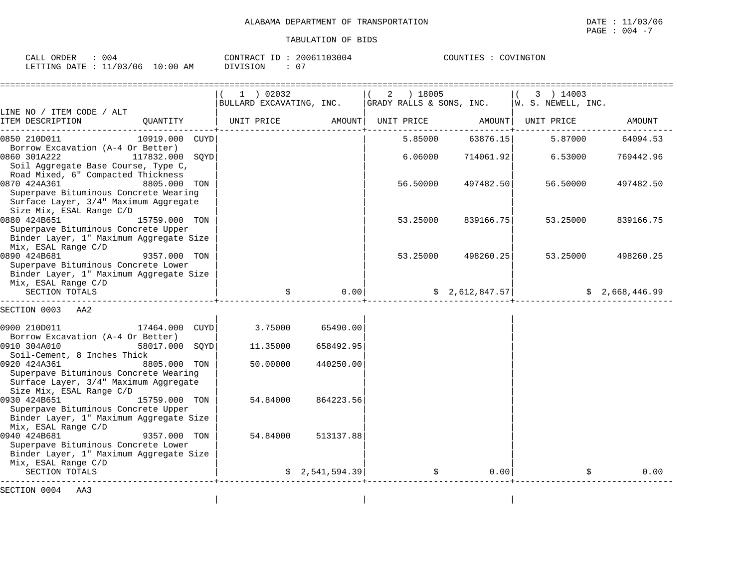| CALL ORDER<br>: 004              |          | CONTRACT ID: 20061103004 | COUNTIES : COVINGTON |
|----------------------------------|----------|--------------------------|----------------------|
| LETTING DATE : 11/03/06 10:00 AM | DIVISION |                          |                      |

| | |

|                                                                                                                                            |                | $1$ ) 02032                      |           | 2 ) 18005<br> BULLARD EXCAVATING, INC.   GRADY RALLS & SONS, INC.   W. S. NEWELL, INC. |                  | 3 ) 14003              |           |
|--------------------------------------------------------------------------------------------------------------------------------------------|----------------|----------------------------------|-----------|----------------------------------------------------------------------------------------|------------------|------------------------|-----------|
| LINE NO / ITEM CODE / ALT<br>ITEM DESCRIPTION                                                                                              | OUANTITY       | UNIT PRICE                       |           | AMOUNT   UNIT PRICE              AMOUNT   UNIT PRICE                                   |                  |                        | AMOUNT    |
| 0850 210D011<br>Borrow Excavation (A-4 Or Better)                                                                                          | 10919.000 CUYD |                                  |           |                                                                                        | 5.85000 63876.15 | 5.87000                | 64094.53  |
| 0860 301A222<br>117832.000 SQYD<br>Soil Aggregate Base Course, Type C,<br>Road Mixed, 6" Compacted Thickness                               |                |                                  |           | 6.06000                                                                                | 714061.92        | 6.53000                | 769442.96 |
| 0870 424A361<br>8805.000 TON<br>Superpave Bituminous Concrete Wearing<br>Surface Layer, 3/4" Maximum Aggregate<br>Size Mix, ESAL Range C/D |                |                                  |           | 56.50000                                                                               | 497482.50        | 56.50000               | 497482.50 |
| 0880 424B651<br>Superpave Bituminous Concrete Upper<br>Binder Layer, 1" Maximum Aggregate Size<br>Mix, ESAL Range C/D                      | 15759.000 TON  |                                  |           | 53.25000                                                                               | 839166.75        | 53.25000               | 839166.75 |
| 0890 424B681<br>Superpave Bituminous Concrete Lower<br>Binder Layer, 1" Maximum Aggregate Size<br>Mix, ESAL Range C/D                      | 9357.000 TON   |                                  |           | 53.25000                                                                               | 498260.25        | 53.25000               | 498260.25 |
| SECTION TOTALS                                                                                                                             |                |                                  |           | $0.00$ $\uparrow$ $\uparrow$ $2,612,847.57$ $\uparrow$ $\uparrow$ $2,668,446.99$       |                  |                        |           |
| SECTION 0003<br>AA2                                                                                                                        |                |                                  |           |                                                                                        |                  |                        |           |
| 17464.000 CUYD<br>0900 210D011<br>Borrow Excavation (A-4 Or Better)                                                                        |                | $3.75000$ 65490.00               |           |                                                                                        |                  |                        |           |
| 0910 304A010<br>Soil-Cement, 8 Inches Thick                                                                                                | 58017.000 SOYD | 11.35000                         | 658492.95 |                                                                                        |                  |                        |           |
| 0920 424A361<br>Superpave Bituminous Concrete Wearing<br>Surface Layer, 3/4" Maximum Aggregate<br>Size Mix, ESAL Range C/D                 | 8805.000 TON   | 50.00000                         | 440250.00 |                                                                                        |                  |                        |           |
| 0930 424B651<br>15759.000 TON<br>Superpave Bituminous Concrete Upper<br>Binder Layer, 1" Maximum Aggregate Size<br>Mix, ESAL Range C/D     |                | 54.84000                         | 864223.56 |                                                                                        |                  |                        |           |
| 0940 424B681<br>Superpave Bituminous Concrete Lower<br>Binder Layer, 1" Maximum Aggregate Size<br>Mix, ESAL Range C/D                      | 9357.000 TON   | 54.84000                         | 513137.88 |                                                                                        |                  |                        |           |
| SECTION TOTALS                                                                                                                             |                | -------------------------------- |           | $\sin 2,541,594.39$ $\sin 39$                                                          |                  | $0.00$  <br>$\ddot{s}$ | 0.00      |
| SECTION 0004 AA3                                                                                                                           |                |                                  |           |                                                                                        |                  |                        |           |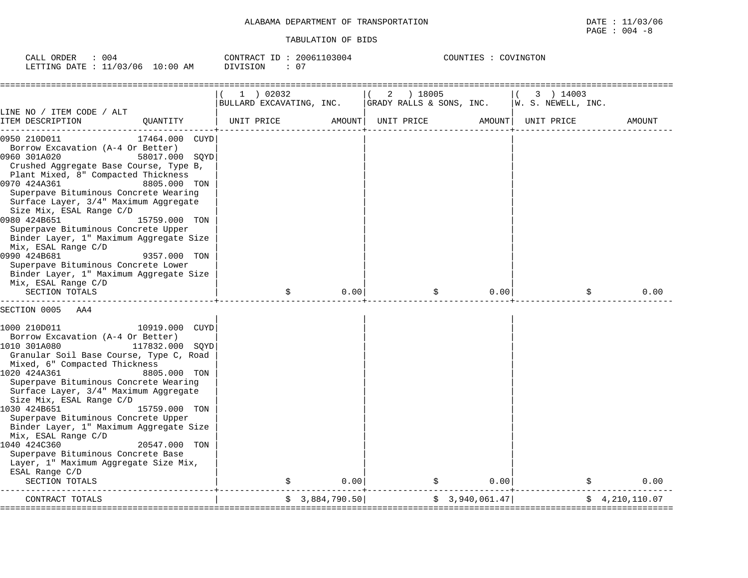| 004<br>CALL ORDER                |          | CONTRACT ID: 20061103004 | COUNTIES : COVINGTON |
|----------------------------------|----------|--------------------------|----------------------|
| LETTING DATE : 11/03/06 10:00 AM | DIVISION | $\cdot$ $\circ$<br>. U.  |                      |

|                                                                                                                                                                                                                                                                                                                                                                                                                                                                                                                                                                                                                                                     | $1$ ) 02032              |                | 2 ) 18005                |                | 3 ) 14003          |                |
|-----------------------------------------------------------------------------------------------------------------------------------------------------------------------------------------------------------------------------------------------------------------------------------------------------------------------------------------------------------------------------------------------------------------------------------------------------------------------------------------------------------------------------------------------------------------------------------------------------------------------------------------------------|--------------------------|----------------|--------------------------|----------------|--------------------|----------------|
|                                                                                                                                                                                                                                                                                                                                                                                                                                                                                                                                                                                                                                                     | BULLARD EXCAVATING, INC. |                | GRADY RALLS & SONS, INC. |                | W. S. NEWELL, INC. |                |
| LINE NO / ITEM CODE / ALT<br>ITEM DESCRIPTION<br>QUANTITY                                                                                                                                                                                                                                                                                                                                                                                                                                                                                                                                                                                           | UNIT PRICE               | AMOUNT         | UNIT PRICE               | AMOUNT         | UNIT PRICE         | <b>AMOUNT</b>  |
| 0950 210D011<br><b>CUYD</b><br>17464.000<br>Borrow Excavation (A-4 Or Better)<br>0960 301A020<br>58017.000 SQYD<br>Crushed Aggregate Base Course, Type B,<br>Plant Mixed, 8" Compacted Thickness<br>0970 424A361<br>8805.000 TON<br>Superpave Bituminous Concrete Wearing<br>Surface Layer, 3/4" Maximum Aggregate<br>Size Mix, ESAL Range C/D<br>0980 424B651<br>15759.000 TON<br>Superpave Bituminous Concrete Upper<br>Binder Layer, 1" Maximum Aggregate Size<br>Mix, ESAL Range C/D<br>0990 424B681<br>9357.000 TON<br>Superpave Bituminous Concrete Lower<br>Binder Layer, 1" Maximum Aggregate Size<br>Mix, ESAL Range C/D<br>SECTION TOTALS | \$                       | 0.001          |                          | 0.00           | \$                 | 0.00           |
| SECTION 0005<br>AA4                                                                                                                                                                                                                                                                                                                                                                                                                                                                                                                                                                                                                                 |                          |                |                          |                |                    |                |
| 1000 210D011<br>10919.000 CUYD<br>Borrow Excavation (A-4 Or Better)<br>1010 301A080<br>117832.000 SOYD<br>Granular Soil Base Course, Type C, Road<br>Mixed, 6" Compacted Thickness<br>1020 424A361<br>8805.000 TON<br>Superpave Bituminous Concrete Wearing<br>Surface Layer, 3/4" Maximum Aggregate<br>Size Mix, ESAL Range C/D<br>1030 424B651<br>15759.000 TON<br>Superpave Bituminous Concrete Upper<br>Binder Layer, 1" Maximum Aggregate Size<br>Mix, ESAL Range C/D<br>1040 424C360<br>20547.000 TON<br>Superpave Bituminous Concrete Base<br>Layer, 1" Maximum Aggregate Size Mix,<br>ESAL Range C/D<br>SECTION TOTALS                      |                          | 0.00           |                          | 0.00           |                    | 0.00           |
| CONTRACT TOTALS                                                                                                                                                                                                                                                                                                                                                                                                                                                                                                                                                                                                                                     |                          | \$3,884,790.50 |                          | \$3,940,061.47 |                    | \$4,210,110.07 |
|                                                                                                                                                                                                                                                                                                                                                                                                                                                                                                                                                                                                                                                     |                          |                |                          |                |                    |                |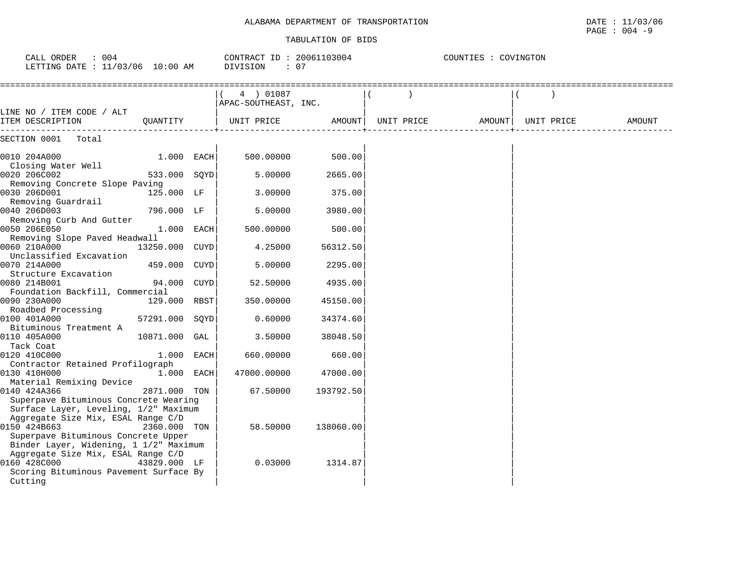## ALABAMA DEPARTMENT OF TRANSPORTATION **EXAMPLE 1999** DATE : 11/03/06

#### TABULATION OF BIDS

PAGE : 004 -9

| CALL ORDER<br>$\therefore$ 004<br>LETTING DATE : 11/03/06 10:00 AM             |                |      | CONTRACT ID: 20061103004<br>DIVISION<br>$\cdot$ 07 |           | COUNTIES : COVINGTON |  |                    |        |  |  |
|--------------------------------------------------------------------------------|----------------|------|----------------------------------------------------|-----------|----------------------|--|--------------------|--------|--|--|
|                                                                                |                |      | 4 ) 01087<br>APAC-SOUTHEAST, INC.                  |           |                      |  |                    |        |  |  |
| LINE NO / ITEM CODE / ALT<br>ITEM DESCRIPTION                                  | OUANTITY       |      | UNIT PRICE                                         |           | AMOUNT  UNIT PRICE   |  | AMOUNT  UNIT PRICE | AMOUNT |  |  |
| SECTION 0001 Total                                                             |                |      |                                                    |           |                      |  |                    |        |  |  |
| 0010 204A000                                                                   | $1.000$ EACH   |      | 500,00000                                          | 500.00    |                      |  |                    |        |  |  |
| Closing Water Well<br>0020 206C002                                             | 533.000 SQYD   |      | 5.00000                                            | 2665.00   |                      |  |                    |        |  |  |
| Removing Concrete Slope Paving<br>0030 206D001                                 | 125.000 LF     |      | 3.00000                                            | 375.00    |                      |  |                    |        |  |  |
| Removing Guardrail<br>0040 206D003                                             | 796.000 LF     |      | 5.00000                                            | 3980.00   |                      |  |                    |        |  |  |
| Removing Curb And Gutter<br>0050 206E050                                       | 1.000 EACH     |      | 500.00000                                          | 500.00    |                      |  |                    |        |  |  |
| Removing Slope Paved Headwall<br>0060 210A000                                  | 13250.000 CUYD |      | 4.25000                                            | 56312.50  |                      |  |                    |        |  |  |
| Unclassified Excavation<br>0070 214A000                                        | 459.000 CUYD   |      | 5.00000                                            | 2295.00   |                      |  |                    |        |  |  |
| Structure Excavation<br>0080 214B001                                           | 94.000 CUYD    |      | 52.50000                                           | 4935.00   |                      |  |                    |        |  |  |
| Foundation Backfill, Commercial<br>0090 230A000                                | 129.000 RBST   |      | 350.00000                                          | 45150.00  |                      |  |                    |        |  |  |
| Roadbed Processing<br>0100 401A000                                             | 57291.000 SOYD |      | 0.60000                                            | 34374.60  |                      |  |                    |        |  |  |
| Bituminous Treatment A<br>0110 405A000                                         | 10871.000 GAL  |      | 3.50000                                            | 38048.50  |                      |  |                    |        |  |  |
| Tack Coat<br>0120 410C000                                                      | 1.000          | EACH | 660.00000                                          | 660.00    |                      |  |                    |        |  |  |
| Contractor Retained Profilograph<br>0130 410H000                               | 1.000 EACH     |      | 47000.00000                                        | 47000.00  |                      |  |                    |        |  |  |
| Material Remixing Device<br>0140 424A366                                       | 2871.000 TON   |      | 67.50000                                           | 193792.50 |                      |  |                    |        |  |  |
| Superpave Bituminous Concrete Wearing<br>Surface Layer, Leveling, 1/2" Maximum |                |      |                                                    |           |                      |  |                    |        |  |  |
| Aggregate Size Mix, ESAL Range C/D<br>0150 424B663                             | 2360.000 TON   |      | 58.50000                                           | 138060.00 |                      |  |                    |        |  |  |
| Superpave Bituminous Concrete Upper<br>Binder Layer, Widening, 1 1/2" Maximum  |                |      |                                                    |           |                      |  |                    |        |  |  |
| Aggregate Size Mix, ESAL Range C/D<br>0160 428C000                             | 43829.000 LF   |      | 0.03000                                            | 1314.87   |                      |  |                    |        |  |  |
| Scoring Bituminous Pavement Surface By<br>Cutting                              |                |      |                                                    |           |                      |  |                    |        |  |  |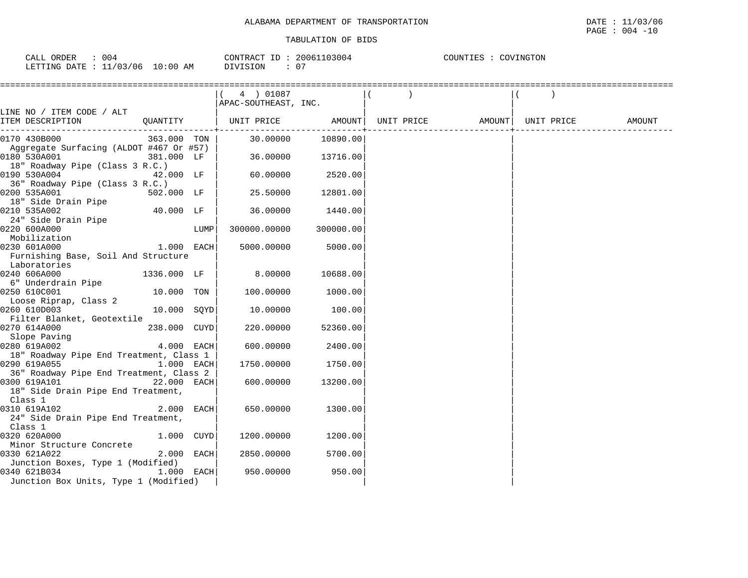| 004<br>ORDER<br>CALL        | CONTRACT           | TD. | 03004<br>2006 | COUNTIES<br>'T.TEZ' | COVINGTON |
|-----------------------------|--------------------|-----|---------------|---------------------|-----------|
| 11/03/06<br>LETTING<br>DATE | 10:00<br>ΑM<br>- - |     | 0.            |                     |           |

|                                                                  |              |      | $(4)$ 01087          |                   |  |                                       |  |  |
|------------------------------------------------------------------|--------------|------|----------------------|-------------------|--|---------------------------------------|--|--|
|                                                                  |              |      | APAC-SOUTHEAST, INC. |                   |  |                                       |  |  |
| LINE NO / ITEM CODE / ALT                                        |              |      |                      |                   |  | UNIT PRICE AMOUNT   UNIT PRICE AMOUNT |  |  |
| ITEM DESCRIPTION                                                 |              |      |                      |                   |  |                                       |  |  |
| 0170 430B000                                                     | 363.000 TON  |      |                      | 30.00000 10890.00 |  |                                       |  |  |
| Aggregate Surfacing (ALDOT #467 Or #57)                          |              |      |                      |                   |  |                                       |  |  |
| 0180 530A001                                                     | 381.000 LF   |      |                      | 36.00000 13716.00 |  |                                       |  |  |
| 18" Roadway Pipe (Class 3 R.C.)                                  |              |      |                      |                   |  |                                       |  |  |
| 42.000 LF<br>0190 530A004                                        |              |      | 60.00000             | 2520.00           |  |                                       |  |  |
| 36" Roadway Pipe (Class 3 R.C.)                                  |              |      |                      |                   |  |                                       |  |  |
| 0200 535A001                                                     | 502.000 LF   |      | 25.50000             | 12801.00          |  |                                       |  |  |
| 18" Side Drain Pipe                                              |              |      |                      |                   |  |                                       |  |  |
| 0210 535A002                                                     | 40.000 LF    |      | 36.00000             | 1440.00           |  |                                       |  |  |
| 24" Side Drain Pipe                                              |              |      |                      |                   |  |                                       |  |  |
| 0220 600A000                                                     |              | LUMP | 300000.00000         | 300000.00         |  |                                       |  |  |
| Mobilization                                                     |              |      |                      |                   |  |                                       |  |  |
| 0230 601A000                                                     | 1.000 EACH   |      | 5000.00000           | 5000.00           |  |                                       |  |  |
| Furnishing Base, Soil And Structure                              |              |      |                      |                   |  |                                       |  |  |
| Laboratories                                                     |              |      |                      |                   |  |                                       |  |  |
| 0240 606A000                                                     | 1336.000 LF  |      | 8.00000              | 10688.00          |  |                                       |  |  |
| 6" Underdrain Pipe                                               |              |      |                      |                   |  |                                       |  |  |
| 0250 610C001                                                     | 10.000 TON   |      | 100.00000            | 1000.00           |  |                                       |  |  |
| Loose Riprap, Class 2                                            |              |      |                      |                   |  |                                       |  |  |
| 0260 610D003                                                     | 10.000 SOYD  |      | 10.00000             | 100.00            |  |                                       |  |  |
| Filter Blanket, Geotextile                                       |              |      |                      |                   |  |                                       |  |  |
| 0270 614A000                                                     | 238.000 CUYD |      | 220.00000            | 52360.00          |  |                                       |  |  |
| Slope Paving<br>$4.000$ $\overline{\text{EACH}}$<br>0280 619A002 |              |      | 600,00000            | 2400.00           |  |                                       |  |  |
| 18" Roadway Pipe End Treatment, Class 1                          |              |      |                      |                   |  |                                       |  |  |
| 0290 619A055<br>1.000 EACH                                       |              |      | 1750.00000           | 1750.00           |  |                                       |  |  |
| 36" Roadway Pipe End Treatment, Class 2                          |              |      |                      |                   |  |                                       |  |  |
| 0300 619A101                                                     | 22.000 EACH  |      | 600.00000            | 13200.00          |  |                                       |  |  |
| 18" Side Drain Pipe End Treatment,                               |              |      |                      |                   |  |                                       |  |  |
| Class 1                                                          |              |      |                      |                   |  |                                       |  |  |
| 2.000 EACH<br>0310 619A102                                       |              |      | 650.00000            | 1300.00           |  |                                       |  |  |
| 24" Side Drain Pipe End Treatment,                               |              |      |                      |                   |  |                                       |  |  |
| Class 1                                                          |              |      |                      |                   |  |                                       |  |  |
| 0320 620A000                                                     | 1.000 CUYD   |      | 1200.00000           | 1200.00           |  |                                       |  |  |
| Minor Structure Concrete                                         |              |      |                      |                   |  |                                       |  |  |
| 0330 621A022                                                     | 2.000 EACH   |      | 2850.00000           | 5700.00           |  |                                       |  |  |
| Junction Boxes, Type 1 (Modified)                                |              |      |                      |                   |  |                                       |  |  |
| 0340 621B034                                                     | $1.000$ EACH |      | 950.00000            | 950.00            |  |                                       |  |  |
| Junction Box Units, Type 1 (Modified)                            |              |      |                      |                   |  |                                       |  |  |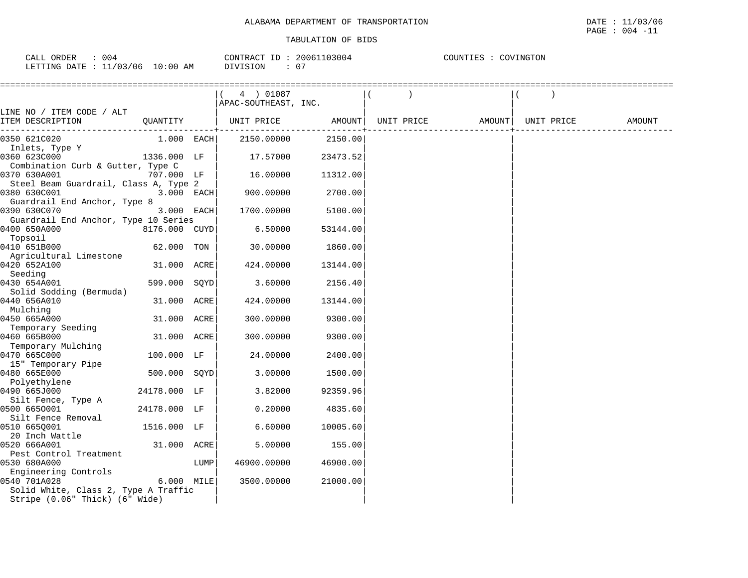| 004<br>ORDER<br>CALL                                                                                                                       | CONTRACT ID:                  | 20061103004  | COUNTIES : | COVINGTON |
|--------------------------------------------------------------------------------------------------------------------------------------------|-------------------------------|--------------|------------|-----------|
| LETTING DATE : 11/03/06<br>the contract of the contract of the contract of the contract of the contract of the contract of the contract of | $10:00$ AM<br><b>DIVISION</b> | $\cap$<br>υ. |            |           |

|                                             |               |      | 4 ) 01087                      |          |  |                    |        |
|---------------------------------------------|---------------|------|--------------------------------|----------|--|--------------------|--------|
|                                             |               |      | APAC-SOUTHEAST, INC.           |          |  |                    |        |
| LINE NO / ITEM CODE / ALT                   |               |      |                                |          |  |                    |        |
| ITEM DESCRIPTION                            | QUANTITY      |      | UNIT PRICE AMOUNT   UNIT PRICE |          |  | AMOUNT  UNIT PRICE | AMOUNT |
| ---------------------------<br>0350 621C020 | $1.000$ EACH  |      | 2150.00000                     | 2150.00  |  |                    |        |
| Inlets, Type Y                              |               |      |                                |          |  |                    |        |
| 0360 623C000                                | 1336.000 LF   |      | 17.57000                       | 23473.52 |  |                    |        |
| Combination Curb & Gutter, Type C           |               |      |                                |          |  |                    |        |
| 0370 630A001                                | 707.000 LF    |      | 16.00000                       | 11312.00 |  |                    |        |
| Steel Beam Guardrail, Class A, Type 2       |               |      |                                |          |  |                    |        |
| 0380 630C001                                | 3.000 EACH    |      | 900.00000                      | 2700.00  |  |                    |        |
| Guardrail End Anchor, Type 8                |               |      |                                |          |  |                    |        |
| 0390 630C070                                | 3.000 EACH    |      | 1700.00000                     | 5100.00  |  |                    |        |
| Guardrail End Anchor, Type 10 Series        |               |      |                                |          |  |                    |        |
| 0400 650A000                                | 8176.000 CUYD |      | 6.50000                        | 53144.00 |  |                    |        |
| Topsoil                                     |               |      |                                |          |  |                    |        |
| 0410 651B000                                | 62.000 TON    |      | 30.00000                       | 1860.00  |  |                    |        |
| Agricultural Limestone                      |               |      |                                |          |  |                    |        |
| 0420 652A100                                | 31.000 ACRE   |      | 424.00000                      | 13144.00 |  |                    |        |
| Seeding                                     |               |      |                                |          |  |                    |        |
| 0430 654A001                                | 599.000 SOYD  |      | 3.60000                        | 2156.40  |  |                    |        |
| Solid Sodding (Bermuda)                     |               |      |                                |          |  |                    |        |
| 0440 656A010                                | 31.000 ACRE   |      | 424.00000                      | 13144.00 |  |                    |        |
| Mulching                                    |               |      |                                |          |  |                    |        |
| 0450 665A000                                | 31.000 ACRE   |      | 300.00000                      | 9300.00  |  |                    |        |
| Temporary Seeding                           |               |      |                                |          |  |                    |        |
| 0460 665B000                                | 31.000 ACRE   |      | 300.00000                      | 9300.00  |  |                    |        |
| Temporary Mulching<br>0470 665C000          | 100.000 LF    |      | 24.00000                       | 2400.00  |  |                    |        |
| 15" Temporary Pipe                          |               |      |                                |          |  |                    |        |
| 0480 665E000                                | 500.000 SOYD  |      | 3.00000                        | 1500.00  |  |                    |        |
| Polyethylene                                |               |      |                                |          |  |                    |        |
| 0490 665J000                                | 24178.000 LF  |      | 3.82000                        | 92359.96 |  |                    |        |
| Silt Fence, Type A                          |               |      |                                |          |  |                    |        |
| 0500 6650001                                | 24178.000 LF  |      | 0.20000                        | 4835.60  |  |                    |        |
| Silt Fence Removal                          |               |      |                                |          |  |                    |        |
| 0510 6650001                                | 1516.000 LF   |      | 6.60000                        | 10005.60 |  |                    |        |
| 20 Inch Wattle                              |               |      |                                |          |  |                    |        |
| 0520 666A001                                | 31.000 ACRE   |      | 5.00000                        | 155.00   |  |                    |        |
| Pest Control Treatment                      |               |      |                                |          |  |                    |        |
| 0530 680A000                                |               | LUMP | 46900.00000                    | 46900.00 |  |                    |        |
| Engineering Controls                        |               |      |                                |          |  |                    |        |
| 0540 701A028                                | 6.000 MILE    |      | 3500.00000                     | 21000.00 |  |                    |        |
| Solid White, Class 2, Type A Traffic        |               |      |                                |          |  |                    |        |
| Stripe (0.06" Thick) (6" Wide)              |               |      |                                |          |  |                    |        |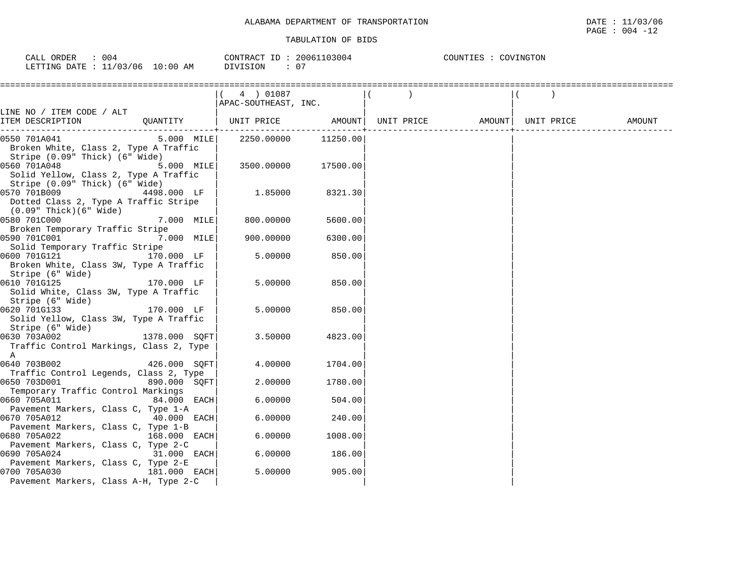| 004<br>CALL ORDER               |          | CONTRACT ID: 20061103004 | COUNTIES : COVINGTON |
|---------------------------------|----------|--------------------------|----------------------|
| LETTING DATE: 11/03/06 10:00 AM | DIVISION |                          |                      |

|                                                            |               | 4 ) 01087                                                                                                                 |         |  |  |  |
|------------------------------------------------------------|---------------|---------------------------------------------------------------------------------------------------------------------------|---------|--|--|--|
|                                                            |               | APAC-SOUTHEAST, INC.                                                                                                      |         |  |  |  |
| LINE NO / ITEM CODE / ALT                                  |               |                                                                                                                           |         |  |  |  |
| ITEM DESCRIPTION                                           |               | QUANTITY   UNIT PRICE                 AMOUNT    UNIT PRICE                  AMOUNT    UNIT PRICE                   AMOUNT |         |  |  |  |
| 0550 701A041                                               | $5.000$ MILE  | 2250.00000 11250.00                                                                                                       |         |  |  |  |
| Broken White, Class 2, Type A Traffic                      |               |                                                                                                                           |         |  |  |  |
| Stripe (0.09" Thick) (6" Wide)                             |               |                                                                                                                           |         |  |  |  |
| 0560 701A048                                               | 5.000 MILE    | 3500.00000 17500.00                                                                                                       |         |  |  |  |
| Solid Yellow, Class 2, Type A Traffic                      |               |                                                                                                                           |         |  |  |  |
| Stripe (0.09" Thick) (6" Wide)                             |               |                                                                                                                           |         |  |  |  |
| 0570 701B009<br>Dotted Class 2, Type A Traffic Stripe      | 4498.000 LF   | 1.85000                                                                                                                   | 8321.30 |  |  |  |
| (0.09" Thick)(6" Wide)                                     |               |                                                                                                                           |         |  |  |  |
| 0580 701C000                                               | 7.000 MILE    | 800.00000                                                                                                                 | 5600.00 |  |  |  |
| Broken Temporary Traffic Stripe                            |               |                                                                                                                           |         |  |  |  |
| 0590 701C001                                               | 7.000 MILE    | 900.00000                                                                                                                 | 6300.00 |  |  |  |
| Solid Temporary Traffic Stripe                             |               |                                                                                                                           |         |  |  |  |
| 0600 701G121<br>170.000 LF                                 |               | 5.00000                                                                                                                   | 850.00  |  |  |  |
| Broken White, Class 3W, Type A Traffic                     |               |                                                                                                                           |         |  |  |  |
| Stripe (6" Wide)                                           |               |                                                                                                                           |         |  |  |  |
| 0610 701G125                                               | 170.000 LF    | 5.00000                                                                                                                   | 850.00  |  |  |  |
| Solid White, Class 3W, Type A Traffic                      |               |                                                                                                                           |         |  |  |  |
| Stripe (6" Wide)                                           |               |                                                                                                                           |         |  |  |  |
| 0620 701G133<br>170.000 LF                                 |               | 5.00000                                                                                                                   | 850.00  |  |  |  |
| Solid Yellow, Class 3W, Type A Traffic<br>Stripe (6" Wide) |               |                                                                                                                           |         |  |  |  |
| 0630 703A002                                               | 1378.000 SOFT | 3.50000                                                                                                                   | 4823.00 |  |  |  |
| Traffic Control Markings, Class 2, Type                    |               |                                                                                                                           |         |  |  |  |
| A                                                          |               |                                                                                                                           |         |  |  |  |
| 0640 703B002                                               | 426.000 SOFT  | 4.00000                                                                                                                   | 1704.00 |  |  |  |
| Traffic Control Legends, Class 2, Type                     |               |                                                                                                                           |         |  |  |  |
| 0650 703D001                                               | 890.000 SOFT  | 2.00000                                                                                                                   | 1780.00 |  |  |  |
| Temporary Traffic Control Markings                         |               |                                                                                                                           |         |  |  |  |
| 0660 705A011                                               | 84.000 EACH   | 6.00000                                                                                                                   | 504.00  |  |  |  |
| Pavement Markers, Class C, Type 1-A                        |               |                                                                                                                           |         |  |  |  |
| $40.000$ EACH<br>0670 705A012                              |               | 6.00000                                                                                                                   | 240.00  |  |  |  |
| Pavement Markers, Class C, Type 1-B                        |               |                                                                                                                           |         |  |  |  |
| 0680 705A022<br>Pavement Markers, Class C, Type 2-C        | 168.000 EACH  | 6.00000                                                                                                                   | 1008.00 |  |  |  |
| 0690 705A024                                               | 31.000 EACH   | 6.00000                                                                                                                   | 186.00  |  |  |  |
| Pavement Markers, Class C, Type 2-E                        |               |                                                                                                                           |         |  |  |  |
| 181.000 EACH<br>0700 705A030                               |               | 5.00000                                                                                                                   | 905.00  |  |  |  |
| Pavement Markers, Class A-H, Type 2-C                      |               |                                                                                                                           |         |  |  |  |
|                                                            |               |                                                                                                                           |         |  |  |  |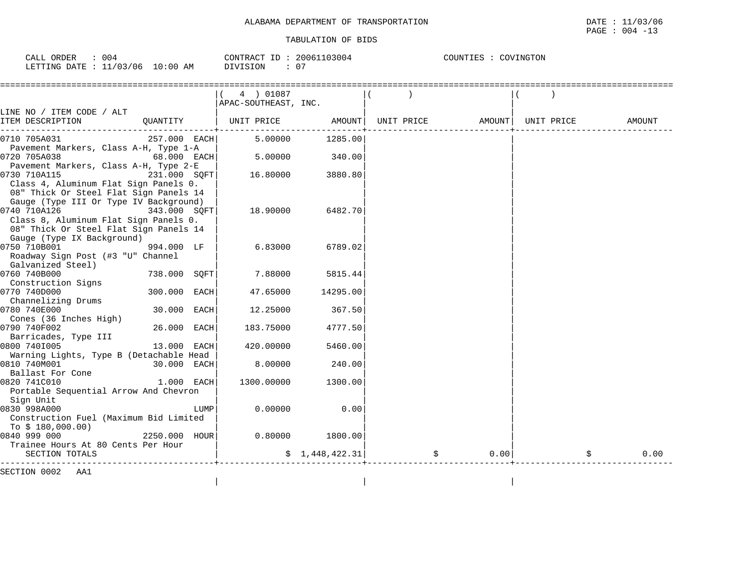| 004<br>ORDER<br>CALI     |          | CONTRACT<br>ID.              | 20061103004 | COUNTIES<br>COVINGTON |
|--------------------------|----------|------------------------------|-------------|-----------------------|
| 11/03/06<br>LETTING DATE | l0:00 AM | 0'<br><b>NOTSTON</b><br>- 71 |             |                       |

| 4 ) 01087 |                                                                                                                                                                                                                                                                                                                                                                        |                                                                                                                                                   |                 |            |                            |
|-----------|------------------------------------------------------------------------------------------------------------------------------------------------------------------------------------------------------------------------------------------------------------------------------------------------------------------------------------------------------------------------|---------------------------------------------------------------------------------------------------------------------------------------------------|-----------------|------------|----------------------------|
|           |                                                                                                                                                                                                                                                                                                                                                                        |                                                                                                                                                   |                 |            |                            |
|           |                                                                                                                                                                                                                                                                                                                                                                        |                                                                                                                                                   |                 |            |                            |
|           |                                                                                                                                                                                                                                                                                                                                                                        |                                                                                                                                                   |                 | UNIT PRICE | AMOUNT                     |
|           | 1285.00                                                                                                                                                                                                                                                                                                                                                                |                                                                                                                                                   |                 |            |                            |
|           |                                                                                                                                                                                                                                                                                                                                                                        |                                                                                                                                                   |                 |            |                            |
| 5.00000   | 340.00                                                                                                                                                                                                                                                                                                                                                                 |                                                                                                                                                   |                 |            |                            |
|           |                                                                                                                                                                                                                                                                                                                                                                        |                                                                                                                                                   |                 |            |                            |
|           |                                                                                                                                                                                                                                                                                                                                                                        |                                                                                                                                                   |                 |            |                            |
|           |                                                                                                                                                                                                                                                                                                                                                                        |                                                                                                                                                   |                 |            |                            |
|           |                                                                                                                                                                                                                                                                                                                                                                        |                                                                                                                                                   |                 |            |                            |
|           |                                                                                                                                                                                                                                                                                                                                                                        |                                                                                                                                                   |                 |            |                            |
|           |                                                                                                                                                                                                                                                                                                                                                                        |                                                                                                                                                   |                 |            |                            |
|           |                                                                                                                                                                                                                                                                                                                                                                        |                                                                                                                                                   |                 |            |                            |
|           |                                                                                                                                                                                                                                                                                                                                                                        |                                                                                                                                                   |                 |            |                            |
|           |                                                                                                                                                                                                                                                                                                                                                                        |                                                                                                                                                   |                 |            |                            |
|           |                                                                                                                                                                                                                                                                                                                                                                        |                                                                                                                                                   |                 |            |                            |
|           |                                                                                                                                                                                                                                                                                                                                                                        |                                                                                                                                                   |                 |            |                            |
|           |                                                                                                                                                                                                                                                                                                                                                                        |                                                                                                                                                   |                 |            |                            |
|           |                                                                                                                                                                                                                                                                                                                                                                        |                                                                                                                                                   |                 |            |                            |
|           |                                                                                                                                                                                                                                                                                                                                                                        |                                                                                                                                                   |                 |            |                            |
|           |                                                                                                                                                                                                                                                                                                                                                                        |                                                                                                                                                   |                 |            |                            |
|           |                                                                                                                                                                                                                                                                                                                                                                        |                                                                                                                                                   |                 |            |                            |
|           |                                                                                                                                                                                                                                                                                                                                                                        |                                                                                                                                                   |                 |            |                            |
| 183.75000 | 4777.50                                                                                                                                                                                                                                                                                                                                                                |                                                                                                                                                   |                 |            |                            |
|           |                                                                                                                                                                                                                                                                                                                                                                        |                                                                                                                                                   |                 |            |                            |
| 420.00000 | 5460.00                                                                                                                                                                                                                                                                                                                                                                |                                                                                                                                                   |                 |            |                            |
|           |                                                                                                                                                                                                                                                                                                                                                                        |                                                                                                                                                   |                 |            |                            |
| 8.00000   | 240.00                                                                                                                                                                                                                                                                                                                                                                 |                                                                                                                                                   |                 |            |                            |
|           |                                                                                                                                                                                                                                                                                                                                                                        |                                                                                                                                                   |                 |            |                            |
|           |                                                                                                                                                                                                                                                                                                                                                                        |                                                                                                                                                   |                 |            |                            |
|           |                                                                                                                                                                                                                                                                                                                                                                        |                                                                                                                                                   |                 |            |                            |
|           |                                                                                                                                                                                                                                                                                                                                                                        |                                                                                                                                                   |                 |            |                            |
|           |                                                                                                                                                                                                                                                                                                                                                                        |                                                                                                                                                   |                 |            |                            |
|           |                                                                                                                                                                                                                                                                                                                                                                        |                                                                                                                                                   |                 |            |                            |
|           |                                                                                                                                                                                                                                                                                                                                                                        |                                                                                                                                                   |                 |            |                            |
|           |                                                                                                                                                                                                                                                                                                                                                                        |                                                                                                                                                   |                 |            |                            |
|           |                                                                                                                                                                                                                                                                                                                                                                        |                                                                                                                                                   |                 |            | 0.00                       |
|           |                                                                                                                                                                                                                                                                                                                                                                        |                                                                                                                                                   |                 |            |                            |
|           |                                                                                                                                                                                                                                                                                                                                                                        |                                                                                                                                                   |                 |            |                            |
|           |                                                                                                                                                                                                                                                                                                                                                                        |                                                                                                                                                   |                 |            |                            |
|           | UNIT PRICE<br>257.000 EACH<br>5,00000<br>$68.000$ EACH<br>231.000 SQFT<br>16.80000<br>343.000 SOFT<br>18.90000<br>994.000 LF<br>738.000 SOFT<br>7.88000<br>300.000 EACH<br>47.65000<br>30.000 EACH<br>12.25000<br>26.000 EACH<br>13.000 EACH<br>Warning Lights, Type B (Detachable Head<br>30.000 EACH<br>1.000 EACH<br>1300.00000<br>0.00000<br>LUMP<br>2250.000 HOUR | APAC-SOUTHEAST, INC.<br>AMOUNT<br>3880.80<br>6482.70<br>6.83000<br>6789.02<br>5815.44<br>14295.00<br>367.50<br>1300.00<br>0.00<br>0.80000 1800.00 | \$1,448,422.31] |            | UNIT PRICE AMOUNT<br>0.001 |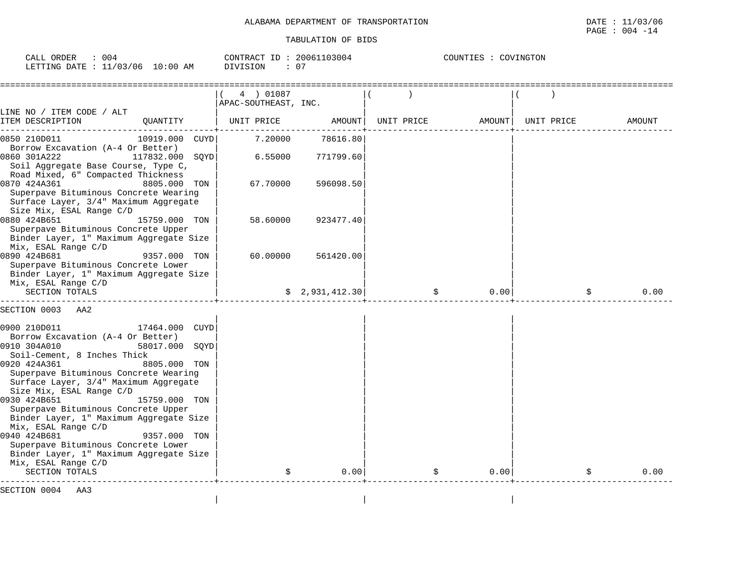| ORDER<br>004<br>CALL                                                                                                                                        | 20061103004<br>CONTRACT ID | COUNTIES<br>COVINGTON |
|-------------------------------------------------------------------------------------------------------------------------------------------------------------|----------------------------|-----------------------|
| $10:00$ AM<br>11/03/06<br>LETTING DATE :<br>the contract of the contract of the contract of the contract of the contract of the contract of the contract of | $\sim$ $\sim$<br>DIVISION  |                       |

|                                                                                                                                                                                                                                                                                                                                                                                                                |                                                                                   | 4 ) 01087<br>APAC-SOUTHEAST, INC. |                 |                   |       |            |            |
|----------------------------------------------------------------------------------------------------------------------------------------------------------------------------------------------------------------------------------------------------------------------------------------------------------------------------------------------------------------------------------------------------------------|-----------------------------------------------------------------------------------|-----------------------------------|-----------------|-------------------|-------|------------|------------|
| LINE NO / ITEM CODE / ALT<br>ITEM DESCRIPTION                                                                                                                                                                                                                                                                                                                                                                  | QUANTITY                                                                          | UNIT PRICE                        | AMOUNT          | UNIT PRICE AMOUNT |       | UNIT PRICE | AMOUNT     |
| 0850 210D011                                                                                                                                                                                                                                                                                                                                                                                                   | 10919.000 CUYD                                                                    | 7.20000                           | 78616.80        |                   |       |            |            |
| Borrow Excavation (A-4 Or Better)<br>0860 301A222<br>Soil Aggregate Base Course, Type C,                                                                                                                                                                                                                                                                                                                       | 117832.000<br>SOYD                                                                | 6.55000                           | 771799.60       |                   |       |            |            |
| Road Mixed, 6" Compacted Thickness<br>0870 424A361<br>Superpave Bituminous Concrete Wearing<br>Surface Layer, 3/4" Maximum Aggregate<br>Size Mix, ESAL Range C/D                                                                                                                                                                                                                                               | 8805.000 TON                                                                      | 67.70000                          | 596098.50       |                   |       |            |            |
| 0880 424B651<br>Superpave Bituminous Concrete Upper<br>Binder Layer, 1" Maximum Aggregate Size                                                                                                                                                                                                                                                                                                                 | 15759.000 TON                                                                     | 58.60000                          | 923477.40       |                   |       |            |            |
| Mix, ESAL Range C/D<br>0890 424B681<br>Superpave Bituminous Concrete Lower<br>Binder Layer, 1" Maximum Aggregate Size                                                                                                                                                                                                                                                                                          | 9357.000 TON                                                                      | 60.00000                          | 561420.00       |                   |       |            |            |
| Mix, ESAL Range C/D<br>SECTION TOTALS                                                                                                                                                                                                                                                                                                                                                                          |                                                                                   |                                   | \$2,931,412.30] |                   | 0.00  |            | \$<br>0.00 |
| SECTION 0003<br>AA2                                                                                                                                                                                                                                                                                                                                                                                            |                                                                                   |                                   |                 |                   |       |            |            |
| 0900 210D011<br>Borrow Excavation (A-4 Or Better)<br>0910 304A010<br>Soil-Cement, 8 Inches Thick<br>0920 424A361<br>Superpave Bituminous Concrete Wearing<br>Surface Layer, 3/4" Maximum Aggregate<br>Size Mix, ESAL Range C/D<br>0930 424B651<br>Superpave Bituminous Concrete Upper<br>Binder Layer, 1" Maximum Aggregate Size<br>Mix, ESAL Range C/D<br>0940 424B681<br>Superpave Bituminous Concrete Lower | 17464.000 CUYD<br>58017.000 SOYD<br>8805.000 TON<br>15759.000 TON<br>9357.000 TON |                                   |                 |                   |       |            |            |
| Binder Layer, 1" Maximum Aggregate Size<br>Mix, ESAL Range C/D<br>SECTION TOTALS                                                                                                                                                                                                                                                                                                                               |                                                                                   |                                   | 0.001           | \$                | 0.001 |            | 0.00       |
| SECTION 0004 AA3                                                                                                                                                                                                                                                                                                                                                                                               |                                                                                   |                                   |                 |                   |       |            |            |

| | |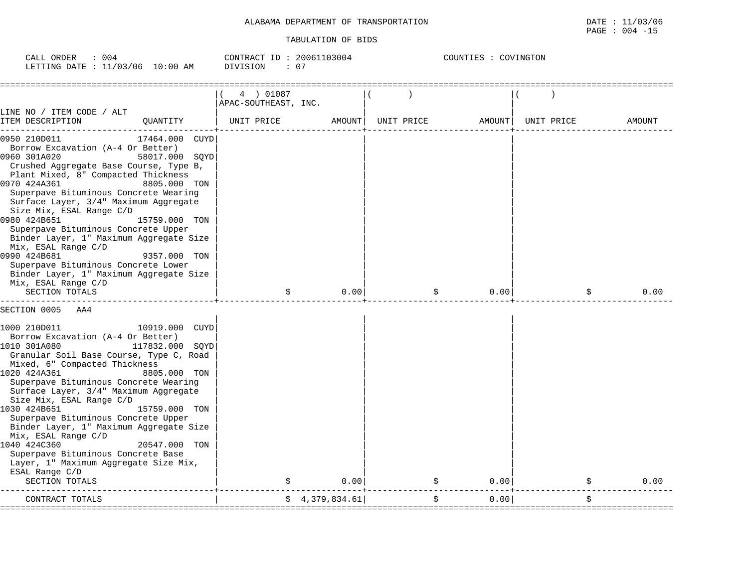| 004<br>ORDER<br>CALL      |            | CONTRACT ID: | 20061103004 | COUNTIES : 0<br>COVINGTON |
|---------------------------|------------|--------------|-------------|---------------------------|
| LETTING DATE : $11/03/06$ | $10:00$ AM | DIVISION     | v.          |                           |

|                                                                                                                                                                                                                                                                                                                                                                                                                                                                                                                                                                                                                         | 4 ) 01087            |                |            |        |            |            |
|-------------------------------------------------------------------------------------------------------------------------------------------------------------------------------------------------------------------------------------------------------------------------------------------------------------------------------------------------------------------------------------------------------------------------------------------------------------------------------------------------------------------------------------------------------------------------------------------------------------------------|----------------------|----------------|------------|--------|------------|------------|
| LINE NO / ITEM CODE / ALT                                                                                                                                                                                                                                                                                                                                                                                                                                                                                                                                                                                               | APAC-SOUTHEAST, INC. |                |            |        |            |            |
| ITEM DESCRIPTION<br>QUANTITY                                                                                                                                                                                                                                                                                                                                                                                                                                                                                                                                                                                            | UNIT PRICE           | AMOUNT         | UNIT PRICE | AMOUNT | UNIT PRICE | AMOUNT     |
| 0950 210D011<br>17464.000 CUYD<br>Borrow Excavation (A-4 Or Better)<br>0960 301A020<br>58017.000 SQYD<br>Crushed Aggregate Base Course, Type B,<br>Plant Mixed, 8" Compacted Thickness<br>0970 424A361<br>8805.000 TON<br>Superpave Bituminous Concrete Wearing<br>Surface Layer, 3/4" Maximum Aggregate<br>Size Mix, ESAL Range C/D<br>0980 424B651<br>15759.000 TON<br>Superpave Bituminous Concrete Upper<br>Binder Layer, 1" Maximum Aggregate Size<br>Mix, ESAL Range C/D<br>0990 424B681<br>9357.000 TON<br>Superpave Bituminous Concrete Lower<br>Binder Layer, 1" Maximum Aggregate Size<br>Mix, ESAL Range C/D |                      |                |            |        |            |            |
| SECTION TOTALS                                                                                                                                                                                                                                                                                                                                                                                                                                                                                                                                                                                                          | \$                   | 0.00           | \$         | 0.00   |            | 0.00<br>\$ |
| SECTION 0005<br>AA4<br>1000 210D011<br>10919.000 CUYD<br>Borrow Excavation (A-4 Or Better)<br>1010 301A080<br>117832.000<br>SOYD<br>Granular Soil Base Course, Type C, Road<br>Mixed, 6" Compacted Thickness<br>1020 424A361<br>8805.000 TON<br>Superpave Bituminous Concrete Wearing<br>Surface Layer, 3/4" Maximum Aggregate<br>Size Mix, ESAL Range C/D<br>1030 424B651<br>15759.000 TON<br>Superpave Bituminous Concrete Upper<br>Binder Layer, 1" Maximum Aggregate Size<br>Mix, ESAL Range C/D<br>1040 424C360<br>20547.000<br>TON<br>Superpave Bituminous Concrete Base<br>Layer, 1" Maximum Aggregate Size Mix, |                      |                |            |        |            |            |
| ESAL Range C/D<br>SECTION TOTALS                                                                                                                                                                                                                                                                                                                                                                                                                                                                                                                                                                                        |                      | 0.00           |            | 0.00   |            | 0.00       |
| CONTRACT TOTALS                                                                                                                                                                                                                                                                                                                                                                                                                                                                                                                                                                                                         |                      | \$4,379,834.61 | \$         | 0.00   |            | \$         |
|                                                                                                                                                                                                                                                                                                                                                                                                                                                                                                                                                                                                                         |                      |                |            |        |            |            |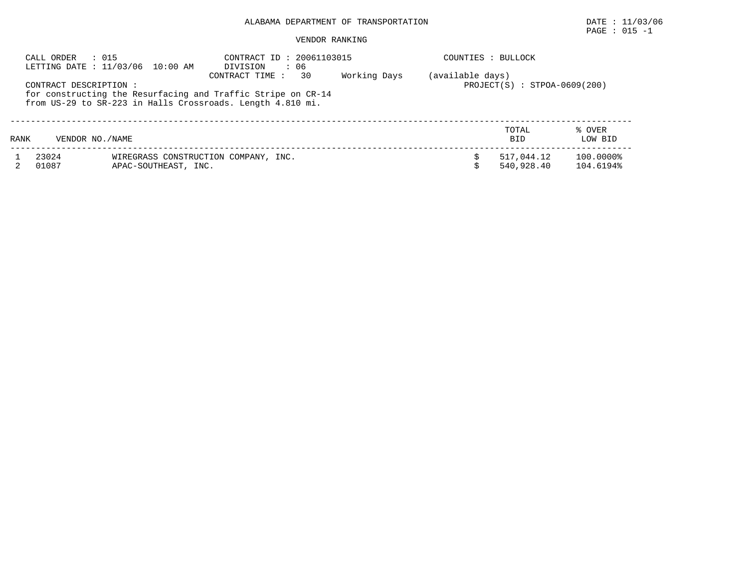## ALABAMA DEPARTMENT OF TRANSPORTATION DATE : 11/03/06

## $\texttt{PAGE}$  : 015 -1

## VENDOR RANKING

|      | CALL ORDER     |                                                                                                                                                                                                                                                                                                                                | CONTRACT ID: 20061103015<br>: 06<br>DIVISION       |  | COUNTIES : BULLOCK |                          |                        |
|------|----------------|--------------------------------------------------------------------------------------------------------------------------------------------------------------------------------------------------------------------------------------------------------------------------------------------------------------------------------|----------------------------------------------------|--|--------------------|--------------------------|------------------------|
|      |                |                                                                                                                                                                                                                                                                                                                                | (available days)<br>$PROJECT(S) : STPOA-0609(200)$ |  |                    |                          |                        |
| RANK |                | : 015<br>LETTING DATE : 11/03/06 10:00 AM<br>30<br>Working Days<br>CONTRACT TIME:<br>CONTRACT DESCRIPTION :<br>for constructing the Resurfacing and Traffic Stripe on CR-14<br>from US-29 to SR-223 in Halls Crossroads. Length 4.810 mi.<br>VENDOR NO. / NAME<br>WIREGRASS CONSTRUCTION COMPANY, INC.<br>APAC-SOUTHEAST, INC. |                                                    |  |                    | TOTAL<br><b>BID</b>      | % OVER<br>LOW BID      |
|      | 23024<br>01087 |                                                                                                                                                                                                                                                                                                                                |                                                    |  |                    | 517,044.12<br>540,928.40 | 100.0000%<br>104.6194% |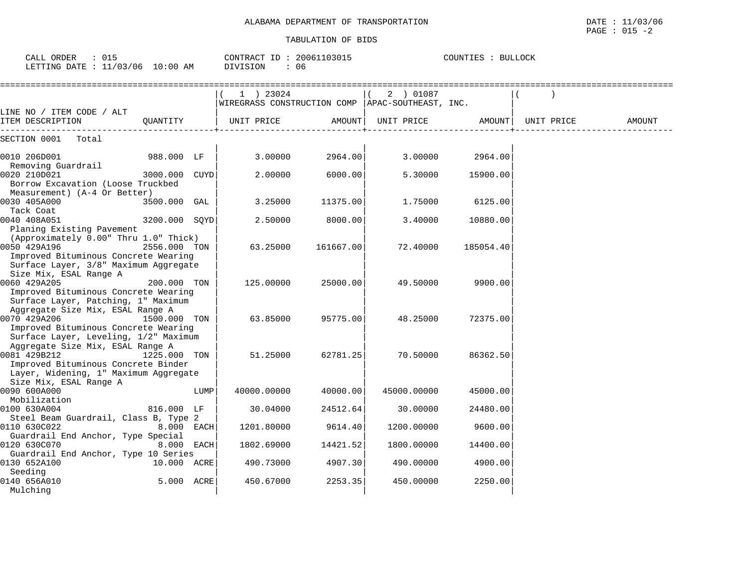| CALL ORDER : 015<br>LETTING DATE : 11/03/06 10:00 AM                                                                                   |               |      | CONTRACT ID: 20061103015<br>DIVISION<br>: 06                      | COUNTIES : BULLOCK |             |           |            |        |
|----------------------------------------------------------------------------------------------------------------------------------------|---------------|------|-------------------------------------------------------------------|--------------------|-------------|-----------|------------|--------|
|                                                                                                                                        |               |      | $(1)$ 23024<br>WIREGRASS CONSTRUCTION COMP   APAC-SOUTHEAST, INC. |                    | $(2)$ 01087 |           |            |        |
| LINE NO / ITEM CODE / ALT<br>ITEM DESCRIPTION                                                                                          | OUANTITY      |      | UNIT PRICE                                                        | AMOUNT             | UNIT PRICE  | AMOUNT    | UNIT PRICE | AMOUNT |
| SECTION 0001 Total                                                                                                                     |               |      |                                                                   |                    |             |           |            |        |
| 0010 206D001                                                                                                                           | 988.000 LF    |      | 3.00000                                                           | 2964.00            | 3.00000     | 2964.00   |            |        |
| Removing Guardrail<br>0020 210D021<br>Borrow Excavation (Loose Truckbed                                                                | 3000.000 CUYD |      | 2,00000                                                           | 6000.00            | 5.30000     | 15900.00  |            |        |
| Measurement) (A-4 Or Better)<br>0030 405A000                                                                                           | 3500.000 GAL  |      | 3.25000                                                           | 11375.00           | 1.75000     | 6125.00   |            |        |
| Tack Coat<br>0040 408A051<br>Planing Existing Pavement                                                                                 | 3200.000 SQYD |      | 2.50000                                                           | 8000.00            | 3.40000     | 10880.00  |            |        |
| (Approximately 0.00" Thru 1.0" Thick)<br>0050 429A196<br>Improved Bituminous Concrete Wearing<br>Surface Layer, 3/8" Maximum Aggregate | 2556.000 TON  |      | 63.25000                                                          | 161667.00          | 72.40000    | 185054.40 |            |        |
| Size Mix, ESAL Range A<br>0060 429A205<br>Improved Bituminous Concrete Wearing<br>Surface Layer, Patching, 1" Maximum                  | 200.000 TON   |      | 125.00000                                                         | 25000.00           | 49.50000    | 9900.00   |            |        |
| Aggregate Size Mix, ESAL Range A<br>0070 429A206<br>Improved Bituminous Concrete Wearing<br>Surface Layer, Leveling, 1/2" Maximum      | 1500.000 TON  |      | 63.85000                                                          | 95775.00           | 48.25000    | 72375.00  |            |        |
| Aggregate Size Mix, ESAL Range A<br>0081 429B212<br>Improved Bituminous Concrete Binder<br>Layer, Widening, 1" Maximum Aggregate       | 1225.000 TON  |      | 51.25000                                                          | 62781.25           | 70.50000    | 86362.50  |            |        |
| Size Mix, ESAL Range A<br>0090 600A000                                                                                                 |               | LUMP | 40000.00000                                                       | 40000.00           | 45000.00000 | 45000.00  |            |        |
| Mobilization<br>0100 630A004                                                                                                           | 816.000 LF    |      | 30.04000                                                          | 24512.64           | 30.00000    | 24480.00  |            |        |
| Steel Beam Guardrail, Class B, Type 2<br>0110 630C022                                                                                  | 8.000 EACH    |      | 1201.80000                                                        | 9614.40            | 1200.00000  | 9600.00   |            |        |
| Guardrail End Anchor, Type Special<br>0120 630C070<br>Guardrail End Anchor, Type 10 Series                                             | 8.000 EACH    |      | 1802.69000                                                        | 14421.52           | 1800.00000  | 14400.00  |            |        |
| 0130 652A100<br>Seeding                                                                                                                | 10.000 ACRE   |      | 490.73000                                                         | 4907.30            | 490.00000   | 4900.00   |            |        |
| 0140 656A010<br>Mulching                                                                                                               | 5.000 ACRE    |      | 450.67000                                                         | 2253.35            | 450.00000   | 2250.00   |            |        |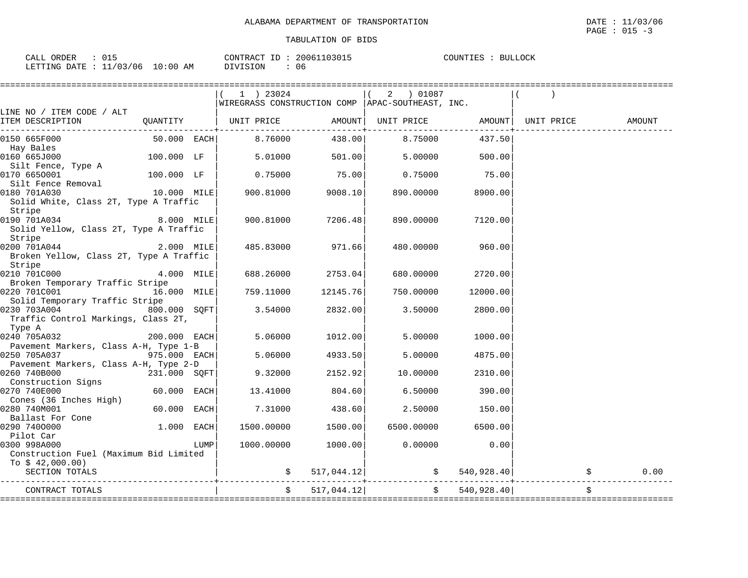|                                         |               |      | 1 ) 23024                                          |                  | 01087 (<br>$\overline{a}$ |               |                    |        |
|-----------------------------------------|---------------|------|----------------------------------------------------|------------------|---------------------------|---------------|--------------------|--------|
|                                         |               |      | WIREGRASS CONSTRUCTION COMP   APAC-SOUTHEAST, INC. |                  |                           |               |                    |        |
| LINE NO / ITEM CODE / ALT               |               |      |                                                    |                  |                           |               |                    |        |
| ITEM DESCRIPTION                        | QUANTITY      |      | UNIT PRICE                                         | AMOUNT           | UNIT PRICE                |               | AMOUNT  UNIT PRICE | AMOUNT |
| 0150 665F000                            | $50.000$ EACH |      | 8.76000                                            | 438.00           | 8.75000                   | 437.50        |                    |        |
|                                         |               |      |                                                    |                  |                           |               |                    |        |
| Hay Bales                               |               |      |                                                    |                  |                           |               |                    |        |
| 0160 665J000                            | 100.000 LF    |      | 5.01000                                            | 501.00           | 5.00000                   | 500.00        |                    |        |
| Silt Fence, Type A                      |               |      |                                                    | 75.00            |                           |               |                    |        |
| 0170 6650001                            | 100.000 LF    |      | 0.75000                                            |                  | 0.75000                   | 75.00         |                    |        |
| Silt Fence Removal                      |               |      |                                                    |                  |                           |               |                    |        |
| 0180 701A030                            | 10.000 MILE   |      | 900.81000                                          | 9008.10          | 890.00000                 | 8900.00       |                    |        |
| Solid White, Class 2T, Type A Traffic   |               |      |                                                    |                  |                           |               |                    |        |
| Stripe                                  |               |      |                                                    |                  |                           |               |                    |        |
| 0190 701A034                            | 8.000 MILE    |      | 900.81000                                          | 7206.48          | 890.00000                 | 7120.00       |                    |        |
| Solid Yellow, Class 2T, Type A Traffic  |               |      |                                                    |                  |                           |               |                    |        |
| Stripe                                  |               |      |                                                    |                  |                           |               |                    |        |
| 0200 701A044                            | 2.000 MILE    |      |                                                    | 485.83000 971.66 | 480.00000                 | 960.00        |                    |        |
| Broken Yellow, Class 2T, Type A Traffic |               |      |                                                    |                  |                           |               |                    |        |
| Stripe                                  |               |      |                                                    |                  |                           |               |                    |        |
| 0210 701C000                            | 4.000 MILE    |      | 688.26000                                          | 2753.04          | 680.00000                 | 2720.00       |                    |        |
| Broken Temporary Traffic Stripe         |               |      |                                                    |                  |                           |               |                    |        |
| 0220 701C001                            | 16.000 MILE   |      | 759.11000                                          | 12145.76         | 750.00000                 | 12000.00      |                    |        |
| Solid Temporary Traffic Stripe          |               |      |                                                    |                  |                           |               |                    |        |
| 0230 703A004                            | 800.000 SOFT  |      | 3.54000                                            | 2832.00          | 3.50000                   | 2800.00       |                    |        |
| Traffic Control Markings, Class 2T,     |               |      |                                                    |                  |                           |               |                    |        |
| Type A                                  |               |      |                                                    |                  |                           |               |                    |        |
| 0240 705A032                            | 200.000 EACH  |      | 5.06000                                            | 1012.00          | 5.00000                   | 1000.00       |                    |        |
| Pavement Markers, Class A-H, Type 1-B   |               |      |                                                    |                  |                           |               |                    |        |
| 0250 705A037                            | 975.000 EACH  |      | 5.06000                                            | 4933.50          | 5.00000                   | 4875.00       |                    |        |
| Pavement Markers, Class A-H, Type 2-D   |               |      |                                                    |                  |                           |               |                    |        |
| 0260 740B000                            | 231.000 SQFT  |      | 9.32000                                            | 2152.92          | 10.00000                  | 2310.00       |                    |        |
| Construction Signs                      |               |      |                                                    |                  |                           |               |                    |        |
| 0270 740E000                            | $60.000$ EACH |      | 13.41000                                           | 804.60           | 6.50000                   | 390.00        |                    |        |
| Cones (36 Inches High)                  |               |      |                                                    |                  |                           |               |                    |        |
| 0280 740M001                            | 60.000 EACH   |      |                                                    | 7.31000 438.60   | 2.50000                   | 150.00        |                    |        |
| Ballast For Cone                        |               |      |                                                    |                  |                           |               |                    |        |
| 0290 7400000                            | $1.000$ EACH  |      | 1500.00000                                         | 1500.00          | 6500.00000                | 6500.00       |                    |        |
| Pilot Car                               |               |      |                                                    |                  |                           |               |                    |        |
| 0300 998A000                            |               | LUMP | 1000.00000                                         | 1000.00          | 0.00000                   | 0.00          |                    |        |
| Construction Fuel (Maximum Bid Limited  |               |      |                                                    |                  |                           |               |                    |        |
| To $$42,000.00)$                        |               |      |                                                    |                  |                           |               |                    |        |
| SECTION TOTALS                          |               |      |                                                    | 517,044.12       |                           | \$540,928.40] |                    | 0.00   |
|                                         |               |      |                                                    |                  |                           |               |                    |        |
| CONTRACT TOTALS                         |               |      |                                                    | 517,044.12       | $\ddot{s}$                | 540,928.40    |                    | \$     |
|                                         |               |      |                                                    |                  |                           |               |                    |        |

 $\texttt{PAGE}$  : 015 -3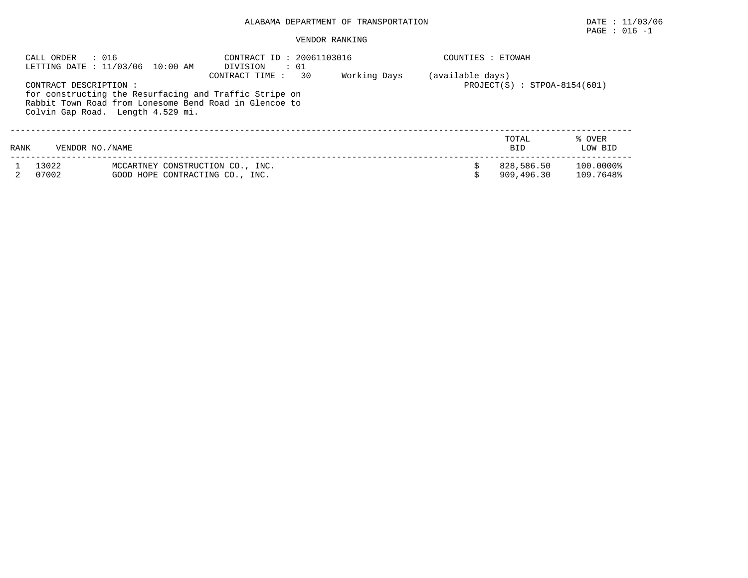## ALABAMA DEPARTMENT OF TRANSPORTATION DATE : 11/03/06

## $\texttt{PAGE}$  : 016 -1

#### VENDOR RANKING

|      | : 016<br>CALL ORDER    | LETTING DATE : 11/03/06 10:00 AM                                                                                                                      | CONTRACT ID: 20061103016<br>$\therefore$ 01<br>DIVISION |  | COUNTIES : ETOWAH |                          |                        |
|------|------------------------|-------------------------------------------------------------------------------------------------------------------------------------------------------|---------------------------------------------------------|--|-------------------|--------------------------|------------------------|
|      | CONTRACT DESCRIPTION : | for constructing the Resurfacing and Traffic Stripe on<br>Rabbit Town Road from Lonesome Bend Road in Glencoe to<br>Colvin Gap Road. Length 4.529 mi. | (available days)<br>$PROJECT(S) : STPOA-8154(601)$      |  |                   |                          |                        |
| RANK | VENDOR NO./NAME        |                                                                                                                                                       |                                                         |  |                   | TOTAL<br><b>BID</b>      | % OVER<br>LOW BID      |
|      | 13022<br>07002         | MCCARTNEY CONSTRUCTION CO., INC.<br>GOOD HOPE CONTRACTING CO., INC.                                                                                   |                                                         |  |                   | 828,586.50<br>909,496.30 | 100.0000%<br>109.7648% |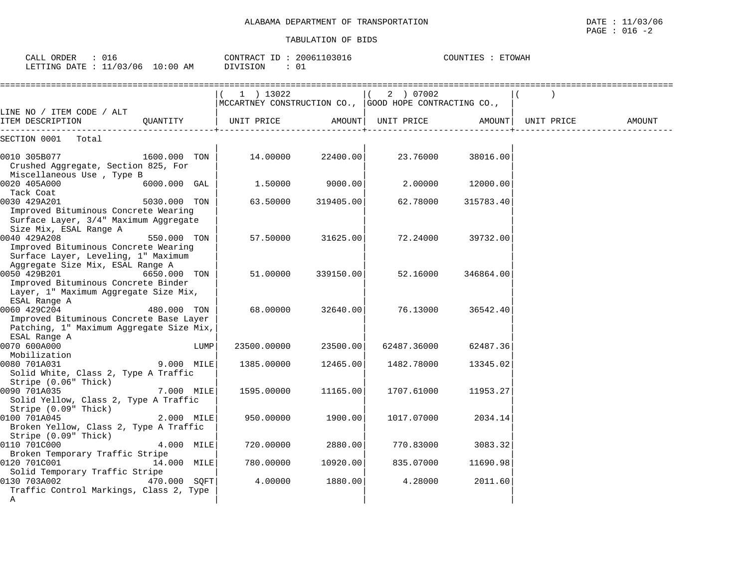| : 016<br>CALL ORDER<br>LETTING DATE : 11/03/06 10:00 AM                                                                         |              |      | CONTRACT ID: 20061103016<br>: 01<br>DIVISION                          |           |                    | COUNTIES : ETOWAH |                    |        |
|---------------------------------------------------------------------------------------------------------------------------------|--------------|------|-----------------------------------------------------------------------|-----------|--------------------|-------------------|--------------------|--------|
|                                                                                                                                 |              |      | $(1)$ 13022<br>MCCARTNEY CONSTRUCTION CO., GOOD HOPE CONTRACTING CO., |           | (2) 07002          |                   | $\rightarrow$      |        |
| LINE NO / ITEM CODE / ALT<br>ITEM DESCRIPTION                                                                                   | QUANTITY     |      | UNIT PRICE                                                            |           | AMOUNT  UNIT PRICE |                   | AMOUNT  UNIT PRICE | AMOUNT |
| SECTION 0001 Total                                                                                                              |              |      |                                                                       |           |                    |                   |                    |        |
| 0010 305B077<br>Crushed Aggregate, Section 825, For<br>Miscellaneous Use, Type B                                                | 1600.000 TON |      | 14.00000                                                              | 22400.00  | 23.76000           | 38016.00          |                    |        |
| 0020 405A000<br>Tack Coat                                                                                                       | 6000.000 GAL |      | 1.50000                                                               | 9000.00   | 2,00000            | 12000.00          |                    |        |
| 0030 429A201<br>Improved Bituminous Concrete Wearing<br>Surface Layer, 3/4" Maximum Aggregate<br>Size Mix, ESAL Range A         | 5030.000 TON |      | 63.50000                                                              | 319405.00 | 62.78000           | 315783.40         |                    |        |
| 0040 429A208<br>Improved Bituminous Concrete Wearing<br>Surface Layer, Leveling, 1" Maximum<br>Aggregate Size Mix, ESAL Range A | 550.000 TON  |      | 57.50000                                                              | 31625.00  | 72.24000           | 39732.00          |                    |        |
| 0050 429B201<br>Improved Bituminous Concrete Binder<br>Layer, 1" Maximum Aggregate Size Mix,<br>ESAL Range A                    | 6650.000 TON |      | 51.00000                                                              | 339150.00 | 52.16000           | 346864.00         |                    |        |
| 0060 429C204<br>Improved Bituminous Concrete Base Layer<br>Patching, 1" Maximum Aggregate Size Mix,<br>ESAL Range A             | 480.000 TON  |      | 68.00000                                                              | 32640.00  | 76.13000           | 36542.40          |                    |        |
| 0070 600A000<br>Mobilization                                                                                                    |              | LUMP | 23500.00000                                                           | 23500.00  | 62487.36000        | 62487.36          |                    |        |
| 0080 701A031<br>Solid White, Class 2, Type A Traffic<br>Stripe (0.06" Thick)                                                    | 9.000 MILE   |      | 1385.00000                                                            | 12465.00  | 1482.78000         | 13345.02          |                    |        |
| 0090 701A035<br>Solid Yellow, Class 2, Type A Traffic<br>Stripe (0.09" Thick)                                                   | 7.000 MILE   |      | 1595.00000                                                            | 11165.00  | 1707.61000         | 11953.27          |                    |        |
| 0100 701A045<br>Broken Yellow, Class 2, Type A Traffic<br>Stripe (0.09" Thick)                                                  | 2.000 MILE   |      | 950.00000                                                             | 1900.00   | 1017.07000         | 2034.14           |                    |        |
| 0110 701C000<br>Broken Temporary Traffic Stripe                                                                                 | 4.000 MILE   |      | 720.00000                                                             | 2880.00   | 770.83000          | 3083.32           |                    |        |
| 0120 701C001<br>Solid Temporary Traffic Stripe                                                                                  | 14.000 MILE  |      | 780.00000                                                             | 10920.00  | 835.07000          | 11690.98          |                    |        |
| 0130 703A002<br>Traffic Control Markings, Class 2, Type<br>Α                                                                    | 470.000 SOFT |      | 4.00000                                                               | 1880.00   | 4.28000            | 2011.60           |                    |        |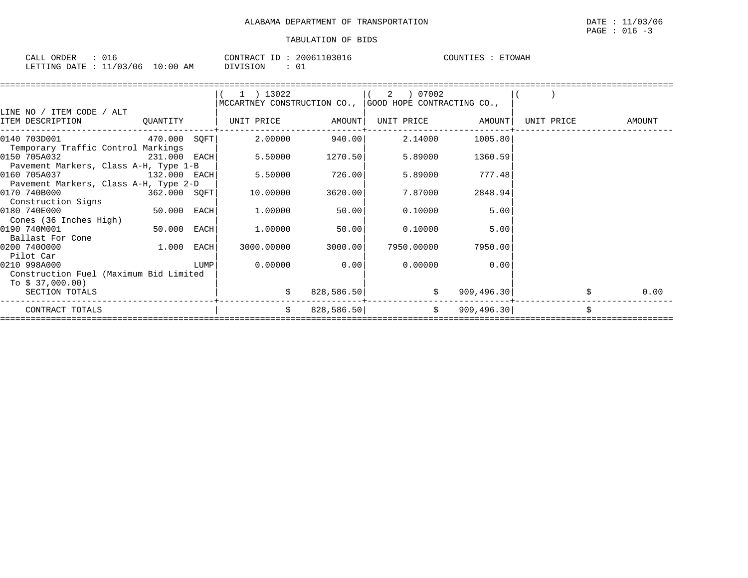| ORDER<br>CALL |          |           |    | CONTRACT | ID. | 103016<br>20061 | COUNTIES | <b>ETOWAH</b> |
|---------------|----------|-----------|----|----------|-----|-----------------|----------|---------------|
| LETTING DATE  | 11/03/06 | :00<br>10 | AΜ | DIVISION |     | $\sim$<br>◡∸    |          |               |

|                                        |                |      | 1 ) 13022                                              |            |            |                   |            |        |
|----------------------------------------|----------------|------|--------------------------------------------------------|------------|------------|-------------------|------------|--------|
|                                        |                |      | MCCARTNEY CONSTRUCTION CO., GOOD HOPE CONTRACTING CO., |            |            |                   |            |        |
| LINE NO / ITEM CODE / ALT              |                |      |                                                        |            |            |                   |            |        |
| ITEM DESCRIPTION                       | QUANTITY       |      | UNIT PRICE AMOUNT                                      |            |            | UNIT PRICE AMOUNT | UNIT PRICE | AMOUNT |
| 0140 703D001 470.000 SQFT              |                |      | 2.00000                                                | 940.00     | 2.14000    | 1005.80           |            |        |
| Temporary Traffic Control Markings     |                |      |                                                        |            |            |                   |            |        |
| 0150 705A032                           | $231.000$ EACH |      | 5.50000                                                | 1270.50    | 5.89000    | 1360.59           |            |        |
| Pavement Markers, Class A-H, Type 1-B  |                |      |                                                        |            |            |                   |            |        |
| 0160 705A037                           | 132.000 EACH   |      | 5.50000                                                | 726.00     | 5.89000    | 777.48            |            |        |
| Pavement Markers, Class A-H, Type 2-D  |                |      |                                                        |            |            |                   |            |        |
| 0170 740B000                           | 362.000 SQFT   |      | 10.00000                                               | 3620.00    | 7.87000    | 2848.94           |            |        |
| Construction Signs                     |                |      |                                                        |            |            |                   |            |        |
| 0180 740E000                           |                |      | 1.00000                                                | 50.00      | 0.10000    | 5.00              |            |        |
| Cones (36 Inches High)                 |                |      |                                                        |            |            |                   |            |        |
| 0190 740M001                           | $50.000$ EACH  |      | 1.00000                                                | 50.00      | 0.10000    | 5.00              |            |        |
| Ballast For Cone                       |                |      |                                                        |            |            |                   |            |        |
| 0200 7400000                           | $1.000$ EACH   |      | 3000.00000                                             | 3000.00    | 7950.00000 | 7950.00           |            |        |
| Pilot Car                              |                |      |                                                        |            |            |                   |            |        |
| 0210 998A000                           |                | LUMP | 0.00000                                                | 0.00       | 0.00000    | 0.00              |            |        |
| Construction Fuel (Maximum Bid Limited |                |      |                                                        |            |            |                   |            |        |
| To \$ 37,000.00)                       |                |      |                                                        |            |            |                   |            |        |
| SECTION TOTALS                         |                |      | \$                                                     | 828,586.50 | \$         | 909,496.30        |            | 0.00   |
| CONTRACT TOTALS                        |                |      | \$                                                     | 828,586.50 |            | \$909,496.30]     |            |        |
|                                        |                |      |                                                        |            |            |                   |            |        |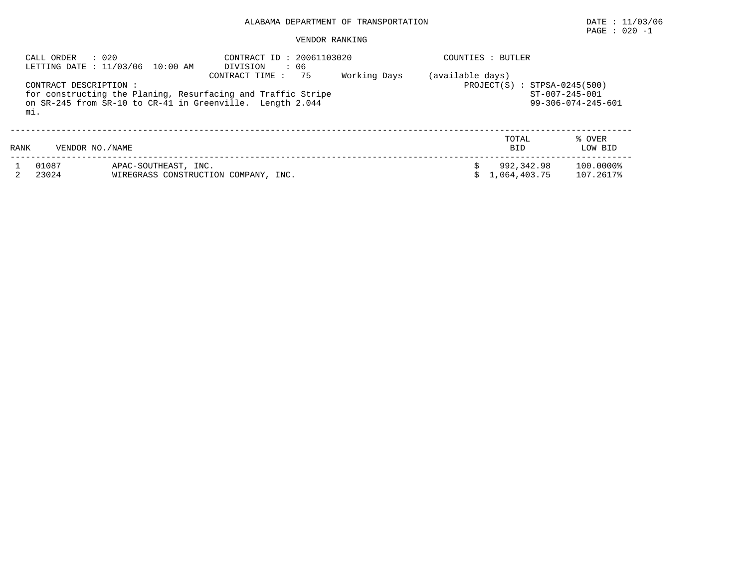## ALABAMA DEPARTMENT OF TRANSPORTATION DATE : 11/03/06

# PAGE : 020 -1

### VENDOR RANKING

|      | : 020<br>CALL ORDER    | LETTING DATE : 11/03/06 10:00 AM                             | CONTRACT ID: 20061103020<br>: 06<br>DIVISION                                                                                                      |              | COUNTIES : BUTLER              |                                         |                              |
|------|------------------------|--------------------------------------------------------------|---------------------------------------------------------------------------------------------------------------------------------------------------|--------------|--------------------------------|-----------------------------------------|------------------------------|
| mi.  | CONTRACT DESCRIPTION : |                                                              | 75<br>CONTRACT TIME:<br>for constructing the Planing, Resurfacing and Traffic Stripe<br>on SR-245 from SR-10 to CR-41 in Greenville. Length 2.044 | Working Days | (available days)<br>PROJECT(S) | $: STPSA-0245(500)$<br>$ST-007-245-001$ | $99 - 306 - 074 - 245 - 601$ |
| RANK | VENDOR NO. / NAME      |                                                              |                                                                                                                                                   |              |                                | TOTAL<br><b>BID</b>                     | % OVER<br>LOW BID            |
|      | 01087<br>23024         | APAC-SOUTHEAST, INC.<br>WIREGRASS CONSTRUCTION COMPANY, INC. |                                                                                                                                                   |              |                                | 992,342.98<br>1,064,403.75              | 100.0000%<br>107.2617%       |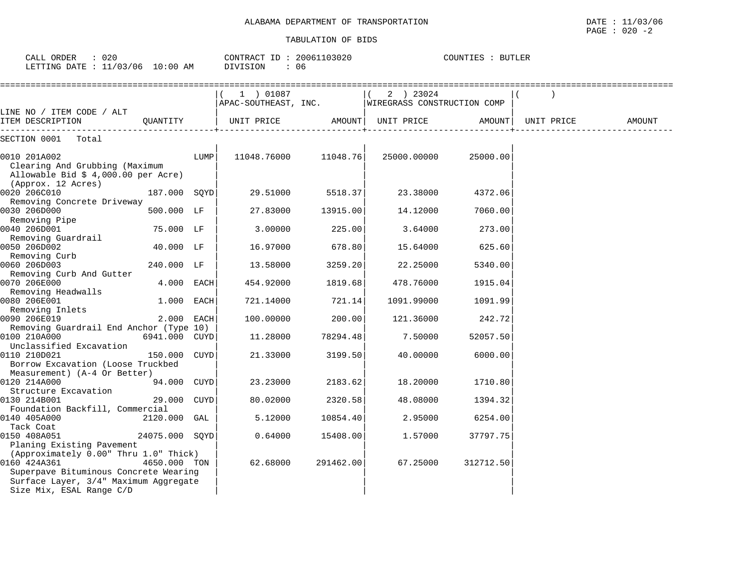| LETTING DATE : $11/03/06$ 10:00 AM                                                                                                      |                |      | DIVISION<br>: 06 |           |                                                                            |                     |        |
|-----------------------------------------------------------------------------------------------------------------------------------------|----------------|------|------------------|-----------|----------------------------------------------------------------------------|---------------------|--------|
|                                                                                                                                         |                |      | 1 ) 01087        |           | 2 ) 23024<br>$\vert$ (<br>APAC-SOUTHEAST, INC. WIREGRASS CONSTRUCTION COMP |                     |        |
| LINE NO / ITEM CODE / ALT<br>ITEM DESCRIPTION                                                                                           | OUANTITY       |      | UNIT PRICE       |           | AMOUNT  UNIT PRICE                                                         | AMOUNT   UNIT PRICE | AMOUNT |
| SECTION 0001 Total                                                                                                                      |                |      |                  |           |                                                                            |                     |        |
| 0010 201A002<br>Clearing And Grubbing (Maximum<br>Allowable Bid \$ 4,000.00 per Acre)<br>(Approx. 12 Acres)                             |                | LUMP | 11048.76000      | 11048.76  | 25000.00000                                                                | 25000.00            |        |
| 0020 206C010<br>Removing Concrete Driveway                                                                                              | 187.000 SOYD   |      | 29.51000         | 5518.37   | 23.38000                                                                   | 4372.06             |        |
| 0030 206D000<br>Removing Pipe                                                                                                           | 500.000 LF     |      | 27.83000         | 13915.00  | 14.12000                                                                   | 7060.00             |        |
| 0040 206D001<br>Removing Guardrail                                                                                                      | 75.000 LF      |      | 3.00000          | 225.00    | 3.64000                                                                    | 273.00              |        |
| 0050 206D002<br>Removing Curb                                                                                                           | 40.000 LF      |      | 16.97000         | 678.80    | 15.64000                                                                   | 625.60              |        |
| 0060 206D003<br>Removing Curb And Gutter                                                                                                | 240.000 LF     |      | 13.58000         | 3259.20   | 22.25000                                                                   | 5340.00             |        |
| 0070 206E000<br>Removing Headwalls                                                                                                      | 4.000 EACH     |      | 454.92000        | 1819.68   | 478.76000                                                                  | 1915.04             |        |
| 0080 206E001<br>Removing Inlets                                                                                                         | 1.000 EACH     |      | 721.14000        | 721.14    | 1091.99000                                                                 | 1091.99             |        |
| 0090 206E019                                                                                                                            | 2.000 EACH     |      | 100.00000        | 200.00    | 121.36000                                                                  | 242.72              |        |
| Removing Guardrail End Anchor (Type 10)<br>0100 210A000                                                                                 | 6941.000 CUYD  |      | 11.28000         | 78294.48  | 7.50000                                                                    | 52057.50            |        |
| Unclassified Excavation<br>0110 210D021<br>Borrow Excavation (Loose Truckbed                                                            | 150.000 CUYD   |      | 21.33000         | 3199.50   | 40.00000                                                                   | 6000.00             |        |
| Measurement) (A-4 Or Better)<br>0120 214A000                                                                                            | 94.000 CUYD    |      | 23.23000         | 2183.62   | 18.20000                                                                   | 1710.80             |        |
| Structure Excavation<br>0130 214B001<br>Foundation Backfill, Commercial                                                                 | 29.000 CUYD    |      | 80.02000         | 2320.58   | 48.08000                                                                   | 1394.32             |        |
| 0140 405A000<br>Tack Coat                                                                                                               | 2120.000 GAL   |      | 5.12000          | 10854.40  | 2.95000                                                                    | 6254.00             |        |
| 0150 408A051<br>Planing Existing Pavement                                                                                               | 24075.000 SOYD |      | 0.64000          | 15408.00  | 1.57000                                                                    | 37797.75            |        |
| (Approximately 0.00" Thru 1.0" Thick)<br>0160 424A361<br>Superpave Bituminous Concrete Wearing<br>Surface Layer, 3/4" Maximum Aggregate | 4650.000 TON   |      | 62.68000         | 291462.00 | 67.25000                                                                   | 312712.50           |        |

Size Mix, ESAL Range C/D | | |

 CALL ORDER : 020 CONTRACT ID : 20061103020 COUNTIES : BUTLERCOUNTIES : BUTLER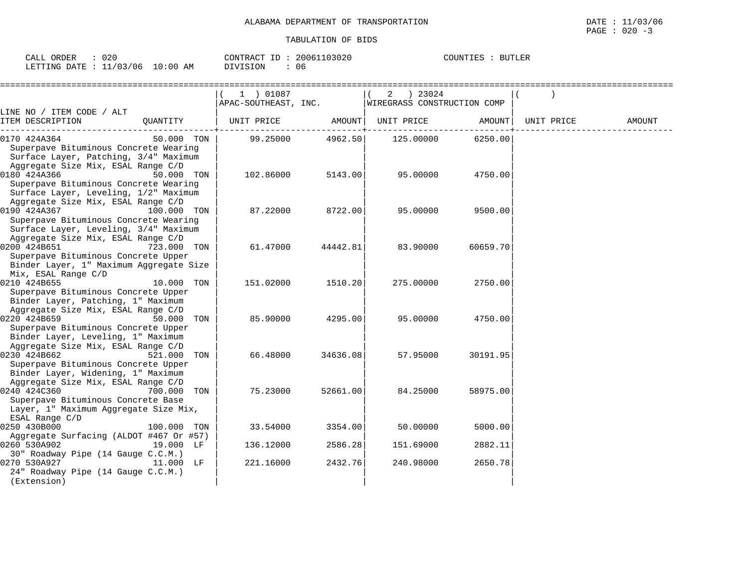| ORDER<br>CALL | 020                     | 20061103020<br>ΙD<br>CONTRACT | COUNTIES<br><b>BUTLER</b> |
|---------------|-------------------------|-------------------------------|---------------------------|
| LETTING DATE  | 10:00<br>11/03/06<br>AM | <b>DIVISION</b><br>J 6        |                           |

|                                                                |             | 1 ) 01087            |          | ) 23024<br>2                |          |            |        |
|----------------------------------------------------------------|-------------|----------------------|----------|-----------------------------|----------|------------|--------|
|                                                                |             | APAC-SOUTHEAST, INC. |          | WIREGRASS CONSTRUCTION COMP |          |            |        |
| LINE NO / ITEM CODE / ALT                                      |             |                      |          |                             |          |            |        |
| ITEM DESCRIPTION                                               | OUANTITY    | UNIT PRICE           | AMOUNT   | UNIT PRICE                  | AMOUNT   | UNIT PRICE | AMOUNT |
| 0170 424A364                                                   | 50.000 TON  | 99.25000             | 4962.50  | 125.00000                   | 6250.00  |            |        |
| Superpave Bituminous Concrete Wearing                          |             |                      |          |                             |          |            |        |
| Surface Layer, Patching, 3/4" Maximum                          |             |                      |          |                             |          |            |        |
| Aggregate Size Mix, ESAL Range C/D                             |             |                      |          |                             |          |            |        |
| 0180 424A366<br>Superpave Bituminous Concrete Wearing          | 50.000 TON  | 102.86000            | 5143.00  | 95.00000                    | 4750.00  |            |        |
| Surface Layer, Leveling, 1/2" Maximum                          |             |                      |          |                             |          |            |        |
| Aggregate Size Mix, ESAL Range C/D                             |             |                      |          |                             |          |            |        |
| 0190 424A367                                                   | 100.000 TON | 87.22000             | 8722.00  | 95.00000                    | 9500.00  |            |        |
| Superpave Bituminous Concrete Wearing                          |             |                      |          |                             |          |            |        |
| Surface Layer, Leveling, 3/4" Maximum                          |             |                      |          |                             |          |            |        |
| Aggregate Size Mix, ESAL Range C/D                             |             |                      |          |                             |          |            |        |
| 0200 424B651                                                   | 723.000 TON | 61.47000             | 44442.81 | 83.90000                    | 60659.70 |            |        |
| Superpave Bituminous Concrete Upper                            |             |                      |          |                             |          |            |        |
| Binder Layer, 1" Maximum Aggregate Size<br>Mix, ESAL Range C/D |             |                      |          |                             |          |            |        |
| 0210 424B655                                                   | 10.000 TON  | 151.02000            | 1510.20  | 275.00000                   | 2750.00  |            |        |
| Superpave Bituminous Concrete Upper                            |             |                      |          |                             |          |            |        |
| Binder Layer, Patching, 1" Maximum                             |             |                      |          |                             |          |            |        |
| Aggregate Size Mix, ESAL Range C/D                             |             |                      |          |                             |          |            |        |
| 0220 424B659                                                   | 50.000 TON  | 85,90000             | 4295.00  | 95.00000                    | 4750.00  |            |        |
| Superpave Bituminous Concrete Upper                            |             |                      |          |                             |          |            |        |
| Binder Layer, Leveling, 1" Maximum                             |             |                      |          |                             |          |            |        |
| Aggregate Size Mix, ESAL Range C/D<br>0230 424B662             | 521.000 TON | 66.48000             | 34636.08 | 57.95000                    | 30191.95 |            |        |
| Superpave Bituminous Concrete Upper                            |             |                      |          |                             |          |            |        |
| Binder Layer, Widening, 1" Maximum                             |             |                      |          |                             |          |            |        |
| Aggregate Size Mix, ESAL Range C/D                             |             |                      |          |                             |          |            |        |
| 0240 424C360                                                   | 700.000 TON | 75.23000             | 52661.00 | 84.25000                    | 58975.00 |            |        |
| Superpave Bituminous Concrete Base                             |             |                      |          |                             |          |            |        |
| Layer, 1" Maximum Aggregate Size Mix,                          |             |                      |          |                             |          |            |        |
| ESAL Range C/D<br>0250 430B000                                 | 100.000 TON | 33.54000             | 3354.00  | 50.00000                    | 5000.00  |            |        |
| Aggregate Surfacing (ALDOT #467 Or #57)                        |             |                      |          |                             |          |            |        |
| 0260 530A902                                                   | 19.000 LF   | 136.12000            | 2586.28  | 151.69000                   | 2882.11  |            |        |
| 30" Roadway Pipe (14 Gauge C.C.M.)                             |             |                      |          |                             |          |            |        |
| 0270 530A927                                                   | 11.000 LF   | 221.16000            | 2432.76  | 240.98000                   | 2650.78  |            |        |
| 24" Roadway Pipe (14 Gauge C.C.M.)                             |             |                      |          |                             |          |            |        |
| (Extension)                                                    |             |                      |          |                             |          |            |        |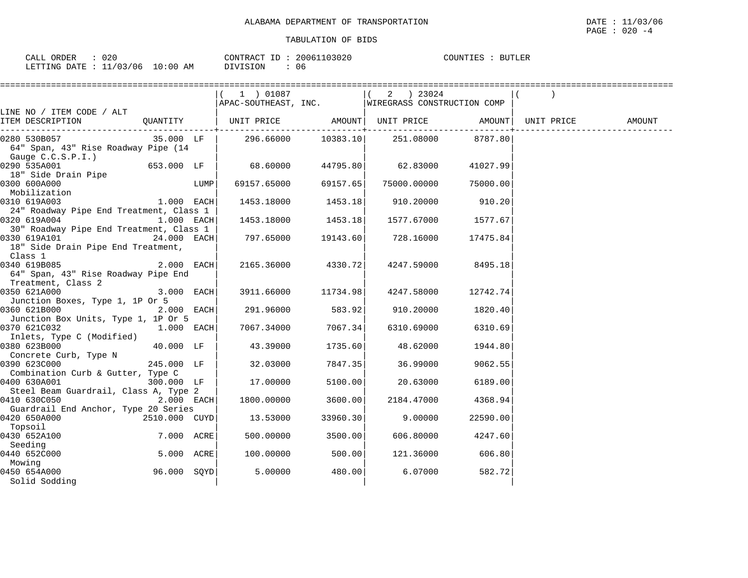|                                         |               |      |                                                    |                     | ==============================                     |                    |        |
|-----------------------------------------|---------------|------|----------------------------------------------------|---------------------|----------------------------------------------------|--------------------|--------|
|                                         |               |      | 1) 01087                                           |                     | 2 ) 23024                                          |                    |        |
|                                         |               |      |                                                    |                     | APAC-SOUTHEAST, INC.   WIREGRASS CONSTRUCTION COMP |                    |        |
| LINE NO / ITEM CODE / ALT               |               |      |                                                    |                     |                                                    |                    |        |
| ITEM DESCRIPTION                        | QUANTITY      |      | UNIT PRICE AMOUNT   UNIT PRICE AMOUNT   UNIT PRICE |                     |                                                    |                    | AMOUNT |
|                                         |               |      |                                                    |                     | . _ _ _ _ + _ _ _ _ _ _ _ _ _ _ _                  |                    |        |
| 0280 530B057                            | 35.000 LF     |      |                                                    |                     |                                                    |                    |        |
| 64" Span, 43" Rise Roadway Pipe (14     |               |      |                                                    |                     |                                                    |                    |        |
| Gauge C.C.S.P.I.)                       |               |      |                                                    |                     |                                                    |                    |        |
| 0290 535A001                            | 653.000 LF    |      | 68.60000                                           | 44795.80            | 62.83000                                           | 41027.99           |        |
| 18" Side Drain Pipe                     |               |      |                                                    |                     |                                                    |                    |        |
| 0300 600A000                            |               | LUMP | 69157.65000                                        | 69157.65            | 75000.00000                                        | 75000.00           |        |
| Mobilization                            |               |      |                                                    |                     |                                                    |                    |        |
| 0310 619A003                            | $1.000$ EACH  |      |                                                    | 1453.18000 1453.18  | 910.20000                                          | 910.20             |        |
| 24" Roadway Pipe End Treatment, Class 1 |               |      |                                                    |                     |                                                    |                    |        |
| 0320 619A004                            | $1.000$ EACH  |      |                                                    | 1453.18000 1453.18  |                                                    | 1577.67000 1577.67 |        |
| 30" Roadway Pipe End Treatment, Class 1 |               |      |                                                    |                     |                                                    |                    |        |
| 0330 619A101                            | 24.000 EACH   |      | 797.65000                                          | 19143.60            | 728.16000                                          | 17475.84           |        |
| 18" Side Drain Pipe End Treatment,      |               |      |                                                    |                     |                                                    |                    |        |
| Class 1                                 |               |      |                                                    |                     |                                                    |                    |        |
| 0340 619B085                            | $2.000$ EACH  |      | 2165.36000                                         | 4330.72             | 4247.59000                                         | 8495.18            |        |
| 64" Span, 43" Rise Roadway Pipe End     |               |      |                                                    |                     |                                                    |                    |        |
| Treatment, Class 2                      |               |      |                                                    |                     |                                                    |                    |        |
| 0350 621A000                            | $3.000$ EACH  |      |                                                    | 3911.66000 11734.98 | 4247.58000                                         | 12742.74           |        |
| Junction Boxes, Type 1, 1P Or 5         |               |      |                                                    |                     |                                                    |                    |        |
| 0360 621B000                            | $2.000$ EACH  |      | 291.96000                                          | 583.92              | 910.20000                                          | 1820.40            |        |
| Junction Box Units, Type 1, 1P Or 5     |               |      |                                                    |                     |                                                    |                    |        |
| 0370 621C032                            | $1.000$ EACH  |      | 7067.34000                                         | 7067.34             | 6310.69000                                         | 6310.69            |        |
| Inlets, Type C (Modified)               |               |      |                                                    |                     |                                                    |                    |        |
| 0380 623B000                            | 40.000 LF     |      | 43.39000                                           | 1735.60             | 48.62000                                           | 1944.80            |        |
| Concrete Curb, Type N                   |               |      |                                                    |                     |                                                    |                    |        |
| 0390 623C000                            | 245.000 LF    |      | 32.03000                                           | 7847.35             | 36.99000                                           | 9062.55            |        |
| Combination Curb & Gutter, Type C       |               |      |                                                    |                     |                                                    |                    |        |
| 0400 630A001                            | 300.000 LF    |      | 17.00000                                           | 5100.00             | 20.63000                                           | 6189.00            |        |
| Steel Beam Guardrail, Class A, Type 2   |               |      |                                                    |                     |                                                    |                    |        |
| 0410 630C050                            | $2.000$ EACH  |      | 1800.00000                                         | 3600.00             | 2184.47000                                         | 4368.94            |        |
| Guardrail End Anchor, Type 20 Series    |               |      |                                                    |                     |                                                    |                    |        |
| 0420 650A000                            | 2510.000 CUYD |      | 13.53000                                           | 33960.30            | 9.00000                                            | 22590.00           |        |
| Topsoil                                 |               |      |                                                    |                     |                                                    |                    |        |
| 0430 652A100                            | 7.000 ACRE    |      | 500.00000                                          | 3500.00             | 606.80000                                          | 4247.60            |        |
| Seeding                                 |               |      |                                                    |                     |                                                    |                    |        |
| 0440 652C000                            | 5.000 ACRE    |      | 100.00000                                          | 500.00              | 121.36000                                          | 606.80             |        |
| Mowing                                  |               |      |                                                    |                     |                                                    |                    |        |
| 0450 654A000                            | 96.000 SOYD   |      | 5.00000                                            | 480.00              | 6.07000                                            | 582.72             |        |
| Solid Sodding                           |               |      |                                                    |                     |                                                    |                    |        |

PAGE : 020 -4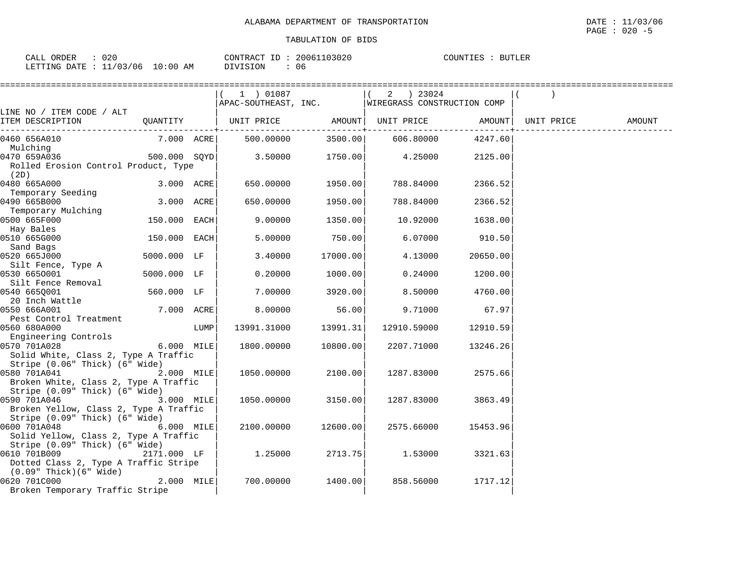| ORDER<br>$\sim$ $\sim$ $\sim$<br>וני<br>∪A⊔⊥ | 020    |                    | CONTRACT<br>___ | 03020<br>20061 | COUNTIES | <b>BUTLER</b> |
|----------------------------------------------|--------|--------------------|-----------------|----------------|----------|---------------|
| LETTING DATE                                 | /03/06 | :00<br>AΜ<br>- ( ) | DIVISION        | 06             |          |               |

|                                                      |                |      | 1 ) 01087                            |          | 2 ) 23024                                        |          |            |        |
|------------------------------------------------------|----------------|------|--------------------------------------|----------|--------------------------------------------------|----------|------------|--------|
|                                                      |                |      |                                      |          | APAC-SOUTHEAST, INC. WIREGRASS CONSTRUCTION COMP |          |            |        |
| LINE NO / ITEM CODE / ALT                            |                |      |                                      |          |                                                  |          |            |        |
| ITEM DESCRIPTION                                     | QUANTITY       |      | UNIT PRICE AMOUNT  UNIT PRICE AMOUNT |          |                                                  |          | UNIT PRICE | AMOUNT |
| 0460 656A010                                         | 7.000 ACRE     |      | 500.00000                            | 3500.00  | 606.80000                                        | 4247.60  |            |        |
| Mulching                                             |                |      |                                      |          |                                                  |          |            |        |
| 0470 659A036                                         | $500.000$ SQYD |      | 3.50000                              | 1750.00  | 4.25000                                          | 2125.00  |            |        |
| Rolled Erosion Control Product, Type                 |                |      |                                      |          |                                                  |          |            |        |
| (2D)                                                 |                |      |                                      |          |                                                  |          |            |        |
| 0480 665A000                                         | 3.000 ACRE     |      | 650.00000                            | 1950.00  | 788.84000                                        | 2366.52  |            |        |
| Temporary Seeding                                    |                |      |                                      |          |                                                  |          |            |        |
| 0490 665B000                                         | 3.000 ACRE     |      | 650.00000                            | 1950.00  | 788.84000                                        | 2366.52  |            |        |
| Temporary Mulching<br>0500 665F000                   | 150.000 EACH   |      | 9.00000                              | 1350.00  | 10.92000                                         | 1638.00  |            |        |
| Hay Bales                                            |                |      |                                      |          |                                                  |          |            |        |
| 0510 665G000                                         | 150.000 EACH   |      | 5.00000                              | 750.00   | 6.07000                                          | 910.50   |            |        |
| Sand Bags                                            |                |      |                                      |          |                                                  |          |            |        |
| 0520 665J000                                         | 5000.000 LF    |      | 3.40000                              | 17000.00 | 4.13000                                          | 20650.00 |            |        |
| Silt Fence, Type A                                   |                |      |                                      |          |                                                  |          |            |        |
| 0530 6650001                                         | 5000.000 LF    |      | 0.20000                              | 1000.00  | 0.24000                                          | 1200.00  |            |        |
| Silt Fence Removal                                   |                |      |                                      |          |                                                  |          |            |        |
| 0540 6650001                                         | 560.000 LF     |      | 7.00000                              | 3920.00  | 8.50000                                          | 4760.00  |            |        |
| 20 Inch Wattle                                       |                |      |                                      |          |                                                  |          |            |        |
| 0550 666A001                                         | 7.000 ACRE     |      | 8.00000                              | 56.00    | 9.71000                                          | 67.97    |            |        |
| Pest Control Treatment                               |                |      |                                      |          |                                                  |          |            |        |
| 0560 680A000                                         |                | LUMP | 13991.31000                          | 13991.31 | 12910.59000                                      | 12910.59 |            |        |
| Engineering Controls                                 |                |      |                                      |          |                                                  |          |            |        |
| 0570 701A028<br>Solid White, Class 2, Type A Traffic | 6.000 MILE     |      | 1800.00000                           | 10800.00 | 2207.71000                                       | 13246.26 |            |        |
| Stripe (0.06" Thick) (6" Wide)                       |                |      |                                      |          |                                                  |          |            |        |
| 0580 701A041                                         | 2.000 MILE     |      | 1050.00000                           | 2100.00  | 1287.83000                                       | 2575.66  |            |        |
| Broken White, Class 2, Type A Traffic                |                |      |                                      |          |                                                  |          |            |        |
| Stripe (0.09" Thick) (6" Wide)                       |                |      |                                      |          |                                                  |          |            |        |
| 0590 701A046                                         | 3.000 MILE     |      | 1050.00000                           | 3150.00  | 1287.83000                                       | 3863.49  |            |        |
| Broken Yellow, Class 2, Type A Traffic               |                |      |                                      |          |                                                  |          |            |        |
| Stripe (0.09" Thick) (6" Wide)                       |                |      |                                      |          |                                                  |          |            |        |
| 0600 701A048                                         | 6.000 MILE     |      | 2100.00000                           | 12600.00 | 2575.66000                                       | 15453.96 |            |        |
| Solid Yellow, Class 2, Type A Traffic                |                |      |                                      |          |                                                  |          |            |        |
| Stripe (0.09" Thick) (6" Wide)                       |                |      |                                      |          |                                                  |          |            |        |
| 0610 701B009                                         | 2171.000 LF    |      | 1.25000                              | 2713.75  | 1.53000                                          | 3321.63  |            |        |
| Dotted Class 2, Type A Traffic Stripe                |                |      |                                      |          |                                                  |          |            |        |
| $(0.09"$ Thick $)(6"$ Wide $)$<br>0620 701C000       |                |      |                                      |          |                                                  |          |            |        |
| Broken Temporary Traffic Stripe                      | $2.000$ MILE   |      | 700.00000                            | 1400.00  | 858.56000                                        | 1717.12  |            |        |
|                                                      |                |      |                                      |          |                                                  |          |            |        |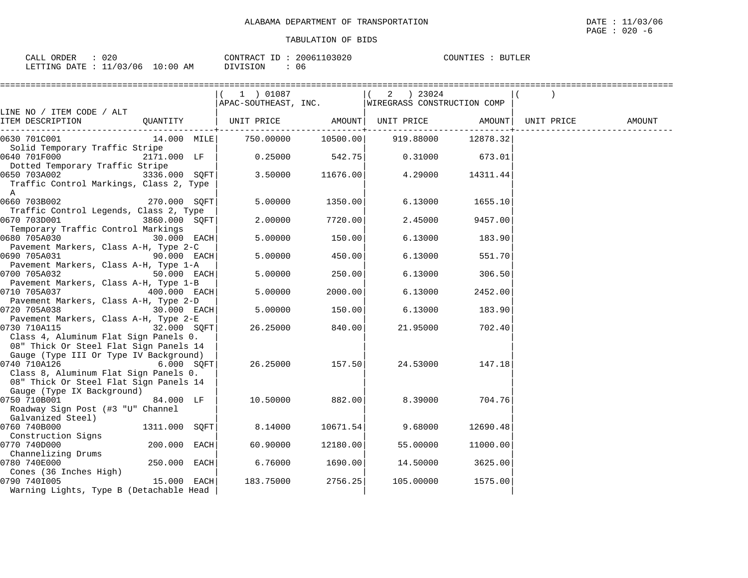| CALL ORDER                       | $\therefore$ 020 |          | CONTRACT ID: 20061103020 | COUNTIES : BUTLER |  |
|----------------------------------|------------------|----------|--------------------------|-------------------|--|
| LETTING DATE : 11/03/06 10:00 AM |                  | DIVISION | 06                       |                   |  |

|                                         |               | 1 ) 01087            |          | $2 \t) 23024$               |          |            |        |
|-----------------------------------------|---------------|----------------------|----------|-----------------------------|----------|------------|--------|
|                                         |               | APAC-SOUTHEAST, INC. |          | WIREGRASS CONSTRUCTION COMP |          |            |        |
| LINE NO / ITEM CODE / ALT               |               |                      |          |                             |          |            |        |
| ITEM DESCRIPTION                        | QUANTITY      | UNIT PRICE           |          | AMOUNT  UNIT PRICE          | AMOUNT   | UNIT PRICE | AMOUNT |
| 0630 701C001                            | $14.000$ MILE | 750.00000            | 10500.00 | 919.88000                   | 12878.32 |            |        |
| Solid Temporary Traffic Stripe          |               |                      |          |                             |          |            |        |
| 0640 701F000                            | 2171.000 LF   | 0.25000              | 542.75   | 0.31000                     | 673.01   |            |        |
| Dotted Temporary Traffic Stripe         |               |                      |          |                             |          |            |        |
| 0650 703A002                            | 3336.000 SQFT | 3.50000              | 11676.00 | 4.29000                     | 14311.44 |            |        |
| Traffic Control Markings, Class 2, Type |               |                      |          |                             |          |            |        |
| A                                       |               |                      |          |                             |          |            |        |
| 0660 703B002                            | 270.000 SOFT  | 5.00000              | 1350.00  | 6.13000                     | 1655.10  |            |        |
| Traffic Control Legends, Class 2, Type  |               |                      |          |                             |          |            |        |
| 0670 703D001                            | 3860.000 SOFT | 2,00000              | 7720.00  | 2.45000                     | 9457.00  |            |        |
| Temporary Traffic Control Markings      |               |                      |          |                             |          |            |        |
| 0680 705A030                            | 30.000 EACH   | 5.00000              | 150.00   | 6.13000                     | 183.90   |            |        |
| Pavement Markers, Class A-H, Type 2-C   |               |                      |          |                             |          |            |        |
| 0690 705A031                            | 90.000 EACH   | 5.00000              | 450.00   | 6.13000                     | 551.70   |            |        |
| Pavement Markers, Class A-H, Type 1-A   |               |                      |          |                             |          |            |        |
| 0700 705A032                            | 50.000 EACH   | 5.00000              | 250.00   | 6.13000                     | 306.50   |            |        |
| Pavement Markers, Class A-H, Type 1-B   |               |                      |          |                             |          |            |        |
| 0710 705A037                            | 400.000 EACH  | 5.00000              | 2000.00  | 6.13000                     | 2452.00  |            |        |
| Pavement Markers, Class A-H, Type 2-D   |               |                      |          |                             |          |            |        |
| 30.000 EACH<br>0720 705A038             |               | 5.00000              | 150.00   | 6.13000                     | 183.90   |            |        |
| Pavement Markers, Class A-H, Type 2-E   |               |                      |          |                             |          |            |        |
| 0730 710A115<br>$32.000$ SQFT           |               | 26.25000             | 840.00   | 21.95000                    | 702.40   |            |        |
| Class 4, Aluminum Flat Sign Panels 0.   |               |                      |          |                             |          |            |        |
| 08" Thick Or Steel Flat Sign Panels 14  |               |                      |          |                             |          |            |        |
| Gauge (Type III Or Type IV Background)  |               |                      |          |                             |          |            |        |
| 0740 710A126                            | 6.000 SOFT    | 26.25000             | 157.50   | 24.53000                    | 147.18   |            |        |
| Class 8, Aluminum Flat Sign Panels 0.   |               |                      |          |                             |          |            |        |
| 08" Thick Or Steel Flat Sign Panels 14  |               |                      |          |                             |          |            |        |
| Gauge (Type IX Background)              |               |                      |          |                             |          |            |        |
| 0750 710B001                            | 84.000 LF     | 10.50000             | 882.00   | 8.39000                     | 704.76   |            |        |
| Roadway Sign Post (#3 "U" Channel       |               |                      |          |                             |          |            |        |
| Galvanized Steel)                       |               |                      |          |                             |          |            |        |
| 0760 740B000                            | 1311.000 SQFT | 8.14000              | 10671.54 | 9.68000                     | 12690.48 |            |        |
| Construction Signs                      |               |                      |          |                             |          |            |        |
| 0770 740D000                            | 200.000 EACH  | 60.90000             | 12180.00 | 55.00000                    | 11000.00 |            |        |
| Channelizing Drums                      |               |                      |          |                             |          |            |        |
| 0780 740E000                            | 250.000 EACH  | 6.76000              | 1690.00  | 14.50000                    | 3625.00  |            |        |
| Cones (36 Inches High)                  |               |                      |          |                             |          |            |        |
| 0790 7401005                            | 15.000 EACH   | 183.75000            | 2756.25  | 105.00000                   | 1575.00  |            |        |
| Warning Lights, Type B (Detachable Head |               |                      |          |                             |          |            |        |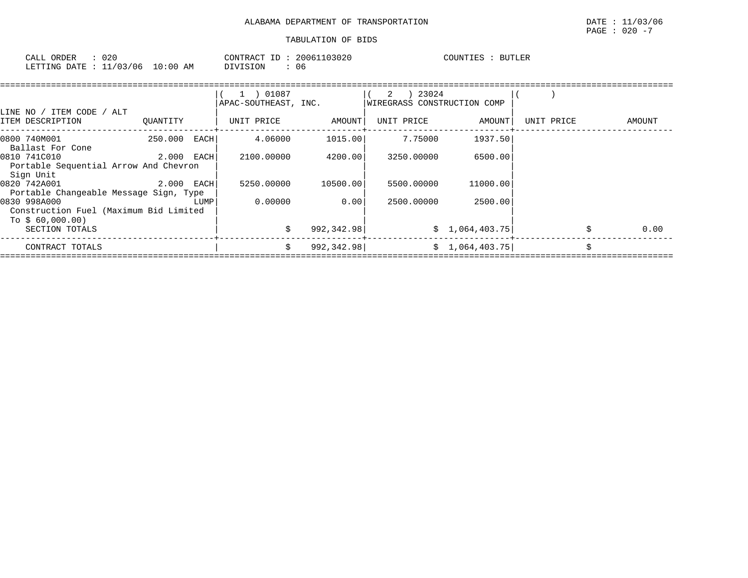| $\sim$ $ -$<br>ORDER<br>CALL | へへい<br>'ا ∠ ∪     |                  | CONTR<br>$\sqrt{2}$<br>'R A ( | TD. | 103020<br>ោក | COUNTIES | <b>BUTLER</b> |
|------------------------------|-------------------|------------------|-------------------------------|-----|--------------|----------|---------------|
| <b>ETTING</b><br>ה התר       | 102<br>/06<br>113 | :00<br>L O<br>AΜ | VISION                        |     | 06           |          |               |

|                                                                            |            |      | 1 ) 01087<br>APAC-SOUTHEAST, INC. |             | 23024<br>2<br>WIREGRASS CONSTRUCTION COMP |                 |            |        |
|----------------------------------------------------------------------------|------------|------|-----------------------------------|-------------|-------------------------------------------|-----------------|------------|--------|
| LINE NO /<br>/ ALT<br>ITEM CODE<br>ITEM DESCRIPTION                        | OUANTITY   |      | UNIT PRICE                        | AMOUNT      | UNIT PRICE                                | AMOUNT          | UNIT PRICE | AMOUNT |
| 0800 740M001<br>Ballast For Cone                                           | 250.000    | EACH | 4.06000                           | 1015.00     | 7.75000                                   | 1937.50         |            |        |
| 0810 741C010<br>Portable Sequential Arrow And Chevron<br>Sign Unit         | 2.000 EACH |      | 2100.00000                        | 4200.00     | 3250.00000                                | 6500.00         |            |        |
| 0820 742A001<br>Portable Changeable Message Sign, Type                     | 2.000 EACH |      | 5250.00000                        | 10500.00    | 5500.00000                                | 11000.00        |            |        |
| 0830 998A000<br>Construction Fuel (Maximum Bid Limited<br>To $$60,000.00)$ |            | LUMP | 0.00000                           | 0.00        | 2500.00000                                | 2500.00         |            |        |
| SECTION TOTALS                                                             |            |      |                                   | 992,342.98  |                                           | \$1,064,403.75  |            | 0.00   |
| CONTRACT TOTALS                                                            |            |      | Ŝ.                                | 992, 342.98 |                                           | \$1,064,403.75] |            |        |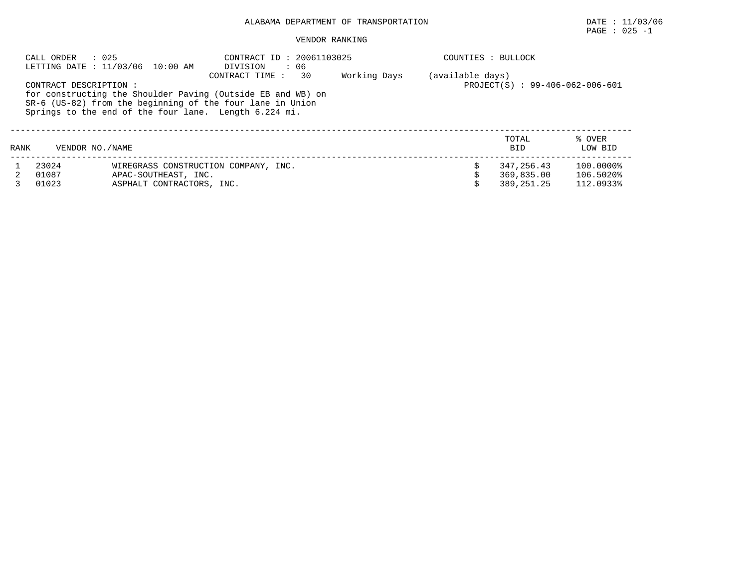## ALABAMA DEPARTMENT OF TRANSPORTATION DATE : 11/03/06

# $\texttt{PAGE}$  : 025 -1

## VENDOR RANKING

| CALL ORDER<br>: 025<br>LETTING DATE : 11/03/06 10:00 AM                                                                                                                                                                                       |                   | CONTRACT ID: 20061103025<br>DIVISION<br>$\cdot$ 06 |                                      | COUNTIES : BULLOCK |                  |                     |                   |
|-----------------------------------------------------------------------------------------------------------------------------------------------------------------------------------------------------------------------------------------------|-------------------|----------------------------------------------------|--------------------------------------|--------------------|------------------|---------------------|-------------------|
|                                                                                                                                                                                                                                               |                   |                                                    | 30<br>CONTRACT TIME :                | Working Days       | (available days) |                     |                   |
| PROJECT(S) : 99-406-062-006-601<br>CONTRACT DESCRIPTION:<br>for constructing the Shoulder Paving (Outside EB and WB) on<br>SR-6 (US-82) from the beginning of the four lane in Union<br>Springs to the end of the four lane. Length 6.224 mi. |                   |                                                    |                                      |                    |                  |                     |                   |
| RANK                                                                                                                                                                                                                                          | VENDOR NO. / NAME |                                                    |                                      |                    |                  | TOTAL<br><b>BID</b> | % OVER<br>LOW BID |
|                                                                                                                                                                                                                                               | 23024             |                                                    | WIREGRASS CONSTRUCTION COMPANY, INC. |                    |                  | 347,256.43          | 100.0000%         |
|                                                                                                                                                                                                                                               | 01087             | APAC-SOUTHEAST, INC.                               |                                      |                    |                  | 369,835.00          | 106.5020%         |
|                                                                                                                                                                                                                                               | 01023             | ASPHALT CONTRACTORS, INC.                          |                                      |                    |                  | 389, 251, 25        | 112.0933%         |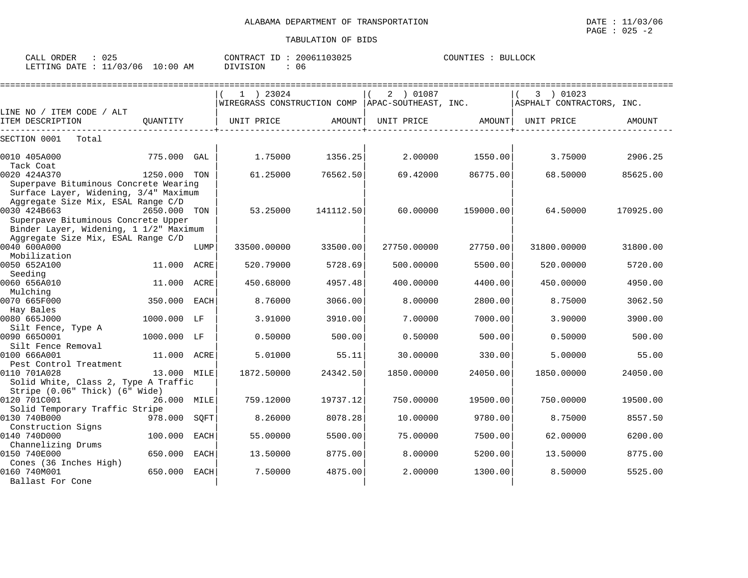|                                        |              |      | $1$ ) 23024                 |           | 2 ) 01087            |           | 3 ) 01023                 |               |
|----------------------------------------|--------------|------|-----------------------------|-----------|----------------------|-----------|---------------------------|---------------|
|                                        |              |      | WIREGRASS CONSTRUCTION COMP |           | APAC-SOUTHEAST, INC. |           | ASPHALT CONTRACTORS, INC. |               |
| LINE NO / ITEM CODE / ALT              |              |      |                             |           |                      |           |                           |               |
| ITEM DESCRIPTION                       | OUANTITY     |      | UNIT PRICE                  | AMOUNT    | UNIT PRICE           | AMOUNT    | UNIT PRICE                | <b>AMOUNT</b> |
| SECTION 0001<br>Total                  |              |      |                             |           |                      |           |                           |               |
|                                        |              |      |                             |           |                      |           |                           |               |
| 0010 405A000                           | 775.000      | GAL  | 1.75000                     | 1356.25   | 2.00000              | 1550.00   | 3.75000                   | 2906.25       |
| Tack Coat                              |              |      |                             |           |                      |           |                           |               |
| 0020 424A370                           | 1250.000 TON |      | 61.25000                    | 76562.50  | 69.42000             | 86775.00  | 68.50000                  | 85625.00      |
| Superpave Bituminous Concrete Wearing  |              |      |                             |           |                      |           |                           |               |
| Surface Layer, Widening, 3/4" Maximum  |              |      |                             |           |                      |           |                           |               |
| Aggregate Size Mix, ESAL Range C/D     |              |      |                             |           |                      |           |                           |               |
| 0030 424B663                           | 2650,000 TON |      | 53.25000                    | 141112.50 | 60.00000             | 159000.00 | 64.50000                  | 170925.00     |
| Superpave Bituminous Concrete Upper    |              |      |                             |           |                      |           |                           |               |
| Binder Layer, Widening, 1 1/2" Maximum |              |      |                             |           |                      |           |                           |               |
| Aggregate Size Mix, ESAL Range C/D     |              |      |                             |           |                      |           |                           |               |
| 0040 600A000                           |              | LUMP | 33500.00000                 | 33500.00  | 27750.00000          | 27750.00  | 31800.00000               | 31800.00      |
| Mobilization                           |              |      |                             |           |                      |           |                           |               |
| 0050 652A100                           | 11,000       | ACRE | 520.79000                   | 5728.69   | 500.00000            | 5500.00   | 520.00000                 | 5720.00       |
| Seeding                                |              |      |                             |           |                      |           |                           |               |
| 0060 656A010                           | 11.000 ACRE  |      | 450.68000                   | 4957.48   | 400.00000            | 4400.00   | 450.00000                 | 4950.00       |
| Mulching                               |              |      |                             |           |                      |           |                           |               |
| 0070 665F000                           | 350.000      | EACH | 8.76000                     | 3066.00   | 8,00000              | 2800.00   | 8.75000                   | 3062.50       |
| Hay Bales                              |              |      |                             |           |                      |           |                           |               |
| 0080 665J000                           | 1000.000     | LF   | 3.91000                     | 3910.00   | 7.00000              | 7000.00   | 3.90000                   | 3900.00       |
| Silt Fence, Type A                     |              |      |                             |           |                      |           |                           |               |
| 0090 6650001                           | 1000.000 LF  |      | 0.50000                     | 500.00    | 0.50000              | 500.00    | 0.50000                   | 500.00        |
| Silt Fence Removal                     |              |      |                             |           |                      |           |                           |               |
| 0100 666A001                           | 11.000       | ACRE | 5.01000                     | 55.11     | 30.00000             | 330.00    | 5.00000                   | 55.00         |
| Pest Control Treatment                 |              |      |                             |           |                      |           |                           |               |
| 0110 701A028                           | 13.000 MILE  |      | 1872.50000                  | 24342.50  | 1850.00000           | 24050.00  | 1850.00000                | 24050.00      |
| Solid White, Class 2, Type A Traffic   |              |      |                             |           |                      |           |                           |               |
| Stripe (0.06" Thick) (6" Wide)         |              |      |                             |           |                      |           |                           |               |
| 0120 701C001                           | 26.000 MILE  |      | 759.12000                   | 19737.12  | 750.00000            | 19500.00  | 750.00000                 | 19500.00      |
| Solid Temporary Traffic Stripe         |              |      |                             |           |                      |           |                           |               |
| 0130 740B000                           | 978.000      | SOFT | 8.26000                     | 8078.28   | 10.00000             | 9780.00   | 8.75000                   | 8557.50       |
| Construction Signs                     |              |      |                             |           |                      |           |                           |               |
| 0140 740D000                           | 100.000      | EACH | 55.00000                    | 5500.00   | 75.00000             | 7500.00   | 62.00000                  | 6200.00       |
| Channelizing Drums                     |              |      |                             |           |                      |           |                           |               |
| 0150 740E000                           | 650.000      | EACH | 13.50000                    | 8775.00   | 8,00000              | 5200.00   | 13.50000                  | 8775.00       |
| Cones (36 Inches High)                 |              |      |                             |           |                      |           |                           |               |
| 0160 740M001                           | 650.000      | EACH | 7.50000                     | 4875.00   | 2.00000              | 1300.00   | 8.50000                   | 5525.00       |
| Ballast For Cone                       |              |      |                             |           |                      |           |                           |               |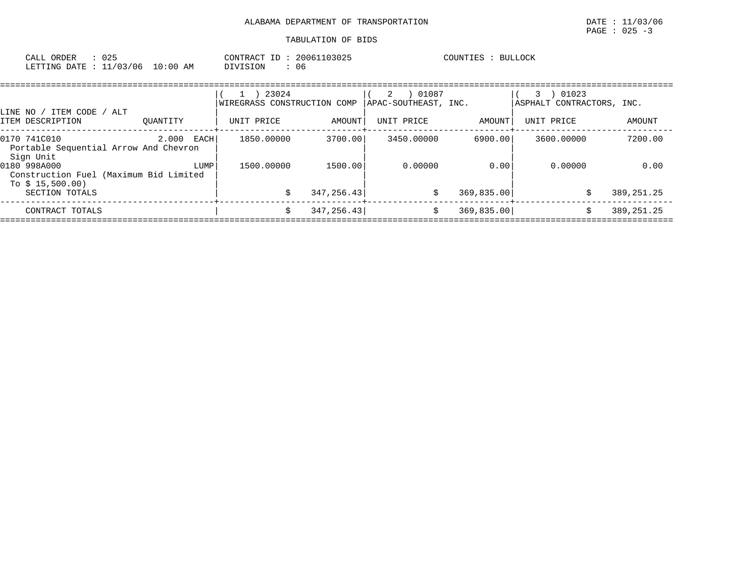| : 025<br>CALL ORDER              |          | CONTRACT ID: 20061103025 | BULLOCK<br>COUNTIES : |
|----------------------------------|----------|--------------------------|-----------------------|
| LETTING DATE : 11/03/06 10:00 AM | DIVISION | 06                       |                       |

|                                                                                                                             | 01087           |                                         |              |
|-----------------------------------------------------------------------------------------------------------------------------|-----------------|-----------------------------------------|--------------|
| 23024<br>2<br>APAC-SOUTHEAST, INC.<br>WIREGRASS CONSTRUCTION COMP<br>ALT<br>ITEM CODE<br>LINE NO /                          |                 | 01023<br>3<br>ASPHALT CONTRACTORS, INC. |              |
| AMOUNT<br>ITEM DESCRIPTION<br>UNIT PRICE<br>UNIT PRICE<br>OUANTITY                                                          | AMOUNT          | UNIT PRICE                              | AMOUNT       |
| 3700.00<br>0170 741C010<br>2.000<br>1850.00000<br>3450.00000<br>EACHI<br>Portable Sequential Arrow And Chevron<br>Sign Unit | 6900.00         | 3600.00000                              | 7200.00      |
| 0180 998A000<br>1500,00000<br>1500.00<br>LUMP<br>Construction Fuel (Maximum Bid Limited<br>To $$15,500.00)$                 | 0.00000<br>0.00 | 0.00000                                 | 0.00         |
| 347, 256. 43<br>SECTION TOTALS                                                                                              | 369,835.00      |                                         | 389, 251. 25 |
| 347, 256.43<br>CONTRACT TOTALS                                                                                              | 369,835.00      |                                         | 389, 251. 25 |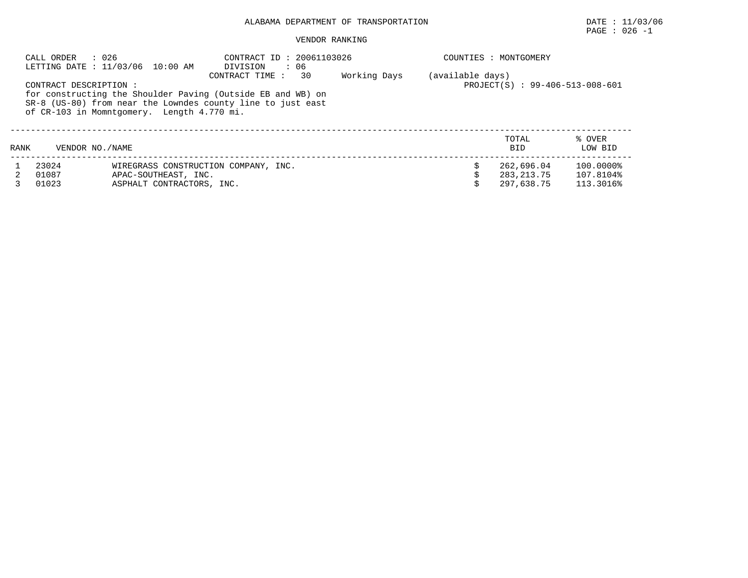## ALABAMA DEPARTMENT OF TRANSPORTATION DATE : 11/03/06

## PAGE : 026 -1

## VENDOR RANKING

| : 026<br>CALL ORDER<br>LETTING DATE : 11/03/06 10:00 AM |                        |                                            | CONTRACT ID: 20061103026<br>DIVISION<br>$\cdot$ 06          |    |              |                  | COUNTIES : MONTGOMERY           |           |  |  |
|---------------------------------------------------------|------------------------|--------------------------------------------|-------------------------------------------------------------|----|--------------|------------------|---------------------------------|-----------|--|--|
|                                                         |                        |                                            | CONTRACT TIME :                                             | 30 | Working Days | (available days) |                                 |           |  |  |
|                                                         | CONTRACT DESCRIPTION : |                                            |                                                             |    |              |                  | PROJECT(S) : 99-406-513-008-601 |           |  |  |
|                                                         |                        |                                            | for constructing the Shoulder Paving (Outside EB and WB) on |    |              |                  |                                 |           |  |  |
|                                                         |                        |                                            | SR-8 (US-80) from near the Lowndes county line to just east |    |              |                  |                                 |           |  |  |
|                                                         |                        | of CR-103 in Momntgomery. Length 4.770 mi. |                                                             |    |              |                  |                                 |           |  |  |
|                                                         |                        |                                            |                                                             |    |              |                  |                                 |           |  |  |
|                                                         |                        |                                            |                                                             |    |              |                  |                                 |           |  |  |
|                                                         |                        |                                            |                                                             |    |              |                  | TOTAL                           | % OVER    |  |  |
| RANK                                                    | VENDOR NO. / NAME      |                                            |                                                             |    |              |                  | <b>BID</b>                      | LOW BID   |  |  |
|                                                         | 23024                  |                                            | WIREGRASS CONSTRUCTION COMPANY, INC.                        |    |              |                  | 262,696.04                      | 100.0000% |  |  |
|                                                         | 01087                  | APAC-SOUTHEAST, INC.                       |                                                             |    |              |                  | 283, 213, 75                    | 107.8104% |  |  |
|                                                         | 01023                  | ASPHALT CONTRACTORS, INC.                  |                                                             |    |              |                  | 297,638.75                      | 113.3016% |  |  |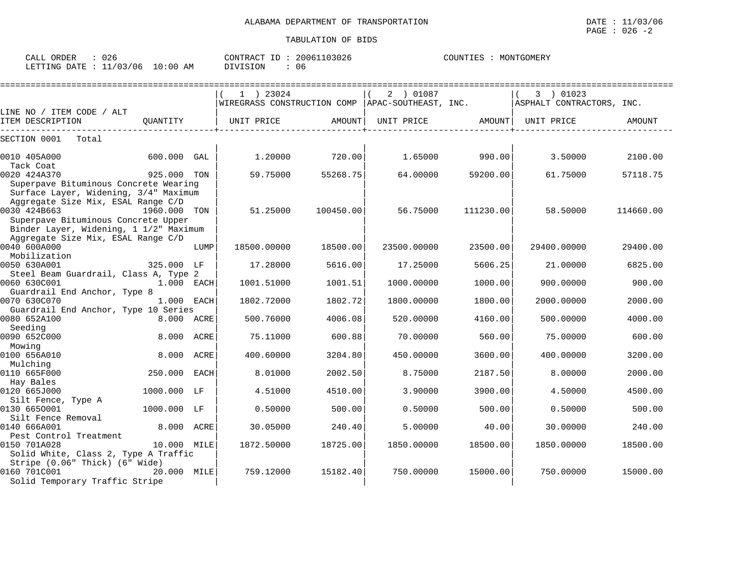| $\cap \cap'$<br>ORDER<br>$\sim$ $\sim$ $\sim$ $\sim$<br>UZ6<br>. |                   | <b>AONTR</b><br>ז גיש | ີ າ3026<br>200617 | COUNTIES<br>, <i>,</i> $\cap$ , , , ,<br>.TGOMERY<br>ורונ |
|------------------------------------------------------------------|-------------------|-----------------------|-------------------|-----------------------------------------------------------|
| 706<br>$^{\prime}$ ר $\sim$<br>LETTING<br>DATE                   | AΜ<br>, : ೧೧<br>. | <b>TSTON</b><br>.     | Ub                |                                                           |

|                                                                                                                      |              |      | $1$ ) 23024<br>$ \texttt{WIREGRASS}$ CONSTRUCTION COMP $ \texttt{APAC-SOUTHERST} \texttt{INC}.$ |           | 2 ) 01087   |           | 3 ) 01023<br>ASPHALT CONTRACTORS, INC. |           |
|----------------------------------------------------------------------------------------------------------------------|--------------|------|-------------------------------------------------------------------------------------------------|-----------|-------------|-----------|----------------------------------------|-----------|
| LINE NO / ITEM CODE / ALT                                                                                            |              |      |                                                                                                 |           |             |           |                                        |           |
| ITEM DESCRIPTION                                                                                                     | OUANTITY     |      | UNIT PRICE                                                                                      | AMOUNT    | UNIT PRICE  | AMOUNT    | UNIT PRICE                             | AMOUNT    |
| SECTION 0001<br>Total                                                                                                |              |      |                                                                                                 |           |             |           |                                        |           |
| 0010 405A000                                                                                                         | 600.000 GAL  |      | 1,20000                                                                                         | 720.00    | 1.65000     | 990.00    | 3.50000                                | 2100.00   |
| Tack Coat<br>0020 424A370                                                                                            | 925.000 TON  |      | 59.75000                                                                                        | 55268.75  | 64.00000    | 59200.00  | 61.75000                               | 57118.75  |
| Superpave Bituminous Concrete Wearing<br>Surface Layer, Widening, 3/4" Maximum<br>Aggregate Size Mix, ESAL Range C/D |              |      |                                                                                                 |           |             |           |                                        |           |
| 0030 424B663<br>Superpave Bituminous Concrete Upper<br>Binder Layer, Widening, 1 1/2" Maximum                        | 1960.000 TON |      | 51.25000                                                                                        | 100450.00 | 56.75000    | 111230.00 | 58.50000                               | 114660.00 |
| Aggregate Size Mix, ESAL Range C/D<br>0040 600A000<br>Mobilization                                                   |              | LUMP | 18500.00000                                                                                     | 18500.00  | 23500.00000 | 23500.00  | 29400.00000                            | 29400.00  |
| 0050 630A001<br>Steel Beam Guardrail, Class A, Type 2                                                                | 325.000 LF   |      | 17.28000                                                                                        | 5616.00   | 17.25000    | 5606.25   | 21,00000                               | 6825.00   |
| 0060 630C001<br>Guardrail End Anchor, Type 8                                                                         | 1.000 EACH   |      | 1001.51000                                                                                      | 1001.51   | 1000.00000  | 1000.00   | 900.00000                              | 900.00    |
| 0070 630C070<br>Guardrail End Anchor, Type 10 Series                                                                 | 1.000 EACH   |      | 1802.72000                                                                                      | 1802.72   | 1800.00000  | 1800.00   | 2000.00000                             | 2000.00   |
| 0080 652A100<br>Seeding                                                                                              | 8.000 ACRE   |      | 500.76000                                                                                       | 4006.08   | 520.00000   | 4160.00   | 500,00000                              | 4000.00   |
| 0090 652C000<br>Mowing                                                                                               | 8.000 ACRE   |      | 75.11000                                                                                        | 600.88    | 70.00000    | 560.00    | 75.00000                               | 600.00    |
| 0100 656A010<br>Mulching                                                                                             | 8.000 ACRE   |      | 400.60000                                                                                       | 3204.80   | 450.00000   | 3600.00   | 400.00000                              | 3200.00   |
| 0110 665F000<br>Hay Bales                                                                                            | 250.000      | EACH | 8.01000                                                                                         | 2002.50   | 8.75000     | 2187.50   | 8,00000                                | 2000.00   |
| 0120 665J000<br>Silt Fence, Type A                                                                                   | 1000.000 LF  |      | 4.51000                                                                                         | 4510.00   | 3.90000     | 3900.00   | 4.50000                                | 4500.00   |
| 0130 6650001<br>Silt Fence Removal                                                                                   | 1000.000 LF  |      | 0.50000                                                                                         | 500.00    | 0.50000     | 500.00    | 0.50000                                | 500.00    |
| 0140 666A001<br>Pest Control Treatment                                                                               | 8.000 ACRE   |      | 30.05000                                                                                        | 240.40    | 5.00000     | 40.00     | 30.00000                               | 240.00    |
| 0150 701A028<br>Solid White, Class 2, Type A Traffic                                                                 | 10.000 MILE  |      | 1872.50000                                                                                      | 18725.00  | 1850.00000  | 18500.00  | 1850.00000                             | 18500.00  |
| Stripe (0.06" Thick) (6" Wide)<br>0160 701C001<br>Solid Temporary Traffic Stripe                                     | 20.000 MILE  |      | 759.12000                                                                                       | 15182.40  | 750.00000   | 15000.00  | 750.00000                              | 15000.00  |